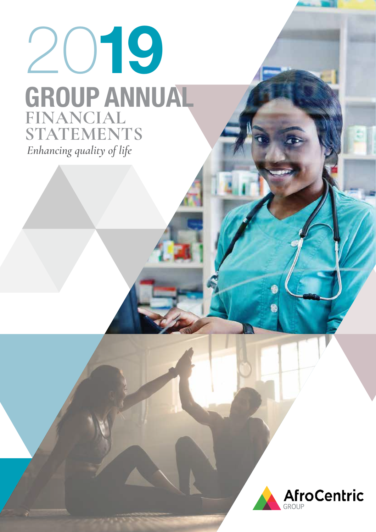# 2019 *Enhancing quality of life* GROUP ANNUAL **FINANCIAL STATEMENTS**

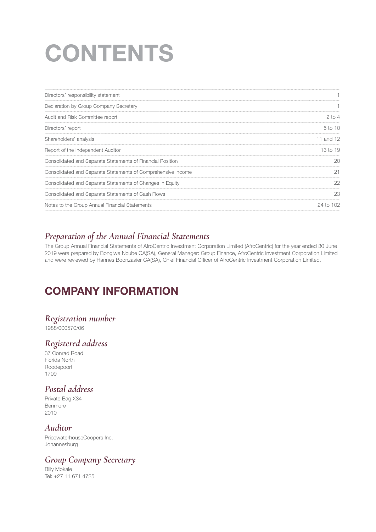# **CONTENTS**

| Directors' responsibility statement                          |                     |
|--------------------------------------------------------------|---------------------|
| Declaration by Group Company Secretary                       |                     |
| Audit and Risk Committee report                              | $2$ to 4            |
| Directors' report                                            | 5 to 10             |
| Shareholders' analysis                                       | 11 and 12           |
| Report of the Independent Auditor                            | 13 <sub>to</sub> 19 |
| Consolidated and Separate Statements of Financial Position   | 20                  |
| Consolidated and Separate Statements of Comprehensive Income | 21                  |
| Consolidated and Separate Statements of Changes in Equity    | 22                  |
| Consolidated and Separate Statements of Cash Flows           | 23                  |
| Notes to the Group Annual Financial Statements               | 24 to 102           |

# *Preparation of the Annual Financial Statements*

The Group Annual Financial Statements of AfroCentric Investment Corporation Limited (AfroCentric) for the year ended 30 June 2019 were prepared by Bongiwe Ncube CA(SA), General Manager: Group Finance, AfroCentric Investment Corporation Limited and were reviewed by Hannes Boonzaaier CA(SA), Chief Financial Officer of AfroCentric Investment Corporation Limited.

# COMPANY INFORMATION

# *Registration number*

1988/000570/06

# *Registered address*

37 Conrad Road Florida North Roodepoort 1709

# *Postal address*

Private Bag X34 Benmore 2010

# *Auditor*

PricewaterhouseCoopers Inc. Johannesburg

# *Group Company Secretary*

Billy Mokale Tel: +27 11 671 4725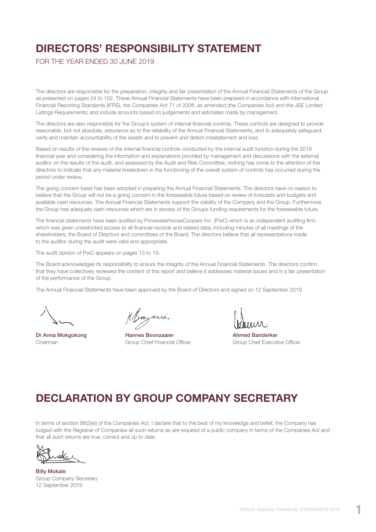# DIRECTORS' RESPONSIBILITY STATEMENT

FOR THE YEAR ENDED 30 JUNE 2019

The directors are responsible for the preparation, integrity and fair presentation of the Annual Financial Statements of the Group as presented on pages 24 to 102. These Annual Financial Statements have been prepared in accordance with International Financial Reporting Standards (IFRS), the Companies Act 71 of 2008, as amended (the Companies Act) and the JSE Limited Listings Requirements; and include amounts based on judgements and estimates made by management.

The directors are also responsible for the Group's system of internal financial controls. These controls are designed to provide reasonable, but not absolute, assurance as to the reliability of the Annual Financial Statements, and to adequately safeguard, verify and maintain accountability of the assets and to prevent and detect misstatement and loss.

Based on results of the reviews of the internal financial controls conducted by the internal audit function during the 2019 financial year and considering the information and explanations provided by management and discussions with the external auditor on the results of the audit, and assessed by the Audit and Risk Committee, nothing has come to the attention of the directors to indicate that any material breakdown in the functioning of the overall system of controls has occurred during the period under review.

The going concern basis has been adopted in preparing the Annual Financial Statements. The directors have no reason to believe that the Group will not be a going concern in the foreseeable future based on review of forecasts and budgets and available cash resources. The Annual Financial Statements support the viability of the Company and the Group. Furthermore the Group has adequate cash resources which are in excess of the Groups funding requirements for the foreseeable future.

The financial statements have been audited by PricewaterhouseCoopers Inc. (PwC) which is an independent auditing firm, which was given unrestricted access to all financial records and related data, including minutes of all meetings of the shareholders, the Board of Directors and committees of the Board. The directors believe that all representations made to the auditor during the audit were valid and appropriate.

The audit opinion of PwC appears on pages 13 to 19.

The Board acknowledges its responsibility to ensure the integrity of the Annual Financial Statements. The directors confirm that they have collectively reviewed the content of this report and believe it addresses material issues and is a fair presentation of the performance of the Group.

The Annual Financial Statements have been approved by the Board of Directors and signed on 12 September 2019.

Dr Anna Mokgokong **Hannes Boonzaaier** Ahmed Banderker

Chairman **Group Chief Financial Officer** Group Chief Executive Officer Chairman

# DECLARATION BY GROUP COMPANY SECRETARY

In terms of section 88(2)(e) of the Companies Act, I declare that to the best of my knowledge and belief, the Company has lodged with the Registrar of Companies all such returns as are required of a public company in terms of the Companies Act and that all such returns are true, correct and up to date.

Billy Mokale Group Company Secretary 12 September 2019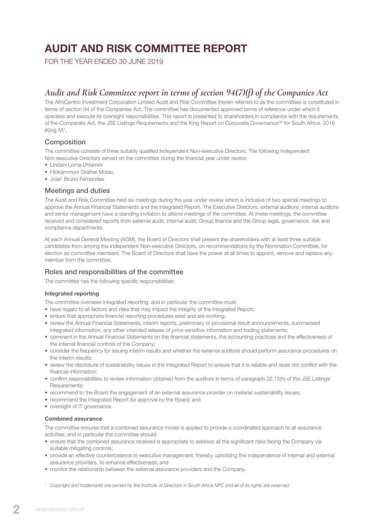# AUDIT AND RISK COMMITTEE REPORT

FOR THE YEAR ENDED 30 JUNE 2019

# *Audit and Risk Committee report in terms of section 94(7)(f) of the Companies Act*

The AfroCentric Investment Corporation Limited Audit and Risk Committee (herein referred to as the committee) is constituted in terms of section 94 of the Companies Act. The committee has documented approved terms of reference under which it operates and execute its oversight responsibilities. This report is presented to shareholders in compliance with the requirements of the Companies Act, the JSE Listings Requirements and the King Report on Corporate Governance™ for South Africa, 2016  $(King IV)^1$ .

# **Composition**

The committee consists of three suitably qualified Independent Non-executive Directors. The following Independent Non-executive Directors served on the committee during the financial year under review:

- Lindani Lorna Dhlamini
- Hlokammoni Grathel Motau
- Jose' Bruno Fernandes

# Meetings and duties

The Audit and Risk Committee held six meetings during the year under review which is inclusive of two special meetings to approve the Annual Financial Statements and the Integrated Report. The Executive Directors, external auditors, internal auditors and senior management have a standing invitation to attend meetings of the committee. At these meetings, the committee received and considered reports from external audit, internal audit, Group finance and the Group legal, governance, risk and compliance departments.

At each Annual General Meeting (AGM), the Board of Directors shall present the shareholders with at least three suitable candidates from among the Independent Non-executive Directors, on recommendations by the Nomination Committee, for election as committee members. The Board of Directors shall have the power at all times to appoint, remove and replace any member from the committee.

# Roles and responsibilities of the committee

The committee has the following specific responsibilities:

### Integrated reporting

The committee oversees integrated reporting, and in particular the committee must:

- have regard to all factors and risks that may impact the integrity of the Integrated Report;
- ensure that appropriate financial reporting procedures exist and are working;
- review the Annual Financial Statements, interim reports, preliminary or provisional result announcements, summarised integrated information, any other intended release of price-sensitive information and trading statements;
- comment in the Annual Financial Statements on the financial statements, the accounting practices and the effectiveness of the internal financial controls of the Company;
- consider the frequency for issuing interim results and whether the external auditors should perform assurance procedures on the interim results:
- review the disclosure of sustainability issues in the Integrated Report to ensure that it is reliable and does not conflict with the financial information;
- confirm responsibilities to review information obtained from the auditors in terms of paragraph 22.15(h) of the JSE Listings Requirements:
- recommend to the Board the engagement of an external assurance provider on material sustainability issues;
- recommend the Integrated Report for approval by the Board; and
- oversight of IT governance.

### Combined assurance

The committee ensures that a combined assurance model is applied to provide a coordinated approach to all assurance activities, and in particular the committee should:

- ensure that the combined assurance received is appropriate to address all the significant risks facing the Company via suitable mitigating controls;
- provide an effective counterbalance to executive management, thereby upholding the independence of internal and external assurance providers, to enhance effectiveness; and
- monitor the relationship between the external assurance providers and the Company.
- *<sup>1</sup> Copyright and trademarks are owned by the Institute of Directors in South Africa NPC and all of its rights are reserved.*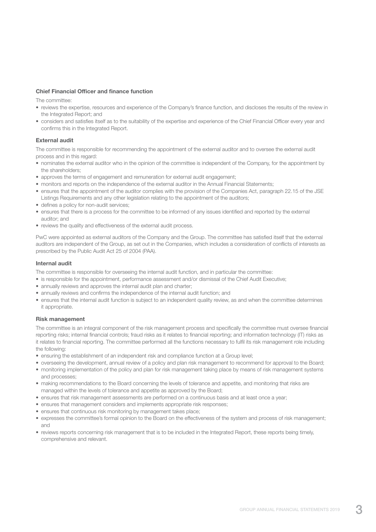### Chief Financial Officer and finance function

The committee:

- reviews the expertise, resources and experience of the Company's finance function, and discloses the results of the review in the Integrated Report; and
- considers and satisfies itself as to the suitability of the expertise and experience of the Chief Financial Officer every year and confirms this in the Integrated Report.

### External audit

The committee is responsible for recommending the appointment of the external auditor and to oversee the external audit process and in this regard:

- nominates the external auditor who in the opinion of the committee is independent of the Company, for the appointment by the shareholders;
- approves the terms of engagement and remuneration for external audit engagement;
- monitors and reports on the independence of the external auditor in the Annual Financial Statements;
- ensures that the appointment of the auditor complies with the provision of the Companies Act, paragraph 22.15 of the JSE Listings Requirements and any other legislation relating to the appointment of the auditors;
- defines a policy for non-audit services;
- ensures that there is a process for the committee to be informed of any issues identified and reported by the external auditor; and
- reviews the quality and effectiveness of the external audit process.

PwC were appointed as external auditors of the Company and the Group. The committee has satisfied itself that the external auditors are independent of the Group, as set out in the Companies, which includes a consideration of conflicts of interests as prescribed by the Public Audit Act 25 of 2004 (PAA).

### Internal audit

The committee is responsible for overseeing the internal audit function, and in particular the committee:

- is responsible for the appointment, performance assessment and/or dismissal of the Chief Audit Executive;
- annually reviews and approves the internal audit plan and charter;
- annually reviews and confirms the independence of the internal audit function; and
- ensures that the internal audit function is subject to an independent quality review, as and when the committee determines it appropriate.

### Risk management

The committee is an integral component of the risk management process and specifically the committee must oversee financial reporting risks; internal financial controls; fraud risks as it relates to financial reporting; and information technology (IT) risks as it relates to financial reporting. The committee performed all the functions necessary to fulfil its risk management role including the following:

- ensuring the establishment of an independent risk and compliance function at a Group level;
- overseeing the development, annual review of a policy and plan risk management to recommend for approval to the Board; • monitoring implementation of the policy and plan for risk management taking place by means of risk management systems and processes;
- making recommendations to the Board concerning the levels of tolerance and appetite, and monitoring that risks are managed within the levels of tolerance and appetite as approved by the Board;
- ensures that risk management assessments are performed on a continuous basis and at least once a year;
- ensures that management considers and implements appropriate risk responses;
- ensures that continuous risk monitoring by management takes place;
- expresses the committee's formal opinion to the Board on the effectiveness of the system and process of risk management; and
- reviews reports concerning risk management that is to be included in the Integrated Report, these reports being timely, comprehensive and relevant.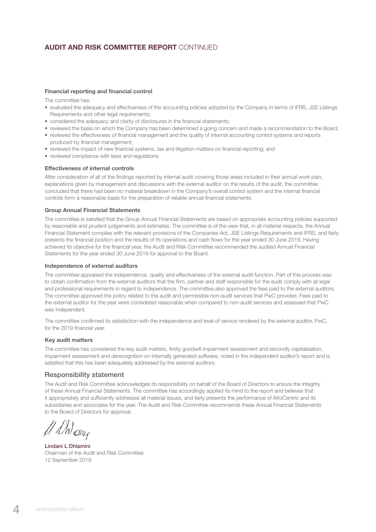# AUDIT AND RISK COMMITTEE REPORT CONTINUED

### Financial reporting and financial control

The committee has:

- evaluated the adequacy and effectiveness of the accounting policies adopted by the Company in terms of IFRS, JSE Listings Requirements and other legal requirements;
- considered the adequacy and clarity of disclosures in the financial statements;
- reviewed the basis on which the Company has been determined a going concern and made a recommendation to the Board;
- reviewed the effectiveness of financial management and the quality of internal accounting control systems and reports produced by financial management;
- reviewed the impact of new financial systems, tax and litigation matters on financial reporting; and
- reviewed compliance with laws and regulations.

### Effectiveness of internal controls

After consideration of all of the findings reported by internal audit covering those areas included in their annual work plan, explanations given by management and discussions with the external auditor on the results of the audit, the committee concluded that there had been no material breakdown in the Company's overall control system and the internal financial controls form a reasonable basis for the preparation of reliable annual financial statements.

### Group Annual Financial Statements

The committee is satisfied that the Group Annual Financial Statements are based on appropriate accounting policies supported by reasonable and prudent judgements and estimates. The committee is of the view that, in all material respects, the Annual Financial Statement complies with the relevant provisions of the Companies Act, JSE Listings Requirements and IFRS, and fairly presents the financial position and the results of its operations and cash flows for the year ended 30 June 2019. Having achieved its objective for the financial year, the Audit and Risk Committee recommended the audited Annual Financial Statements for the year ended 30 June 2019 for approval to the Board.

### Independence of external auditors

The committee appraised the independence, quality and effectiveness of the external audit function. Part of this process was to obtain confirmation from the external auditors that the firm, partner and staff responsible for the audit comply with all legal and professional requirements in regard to independence. The committee also approved the fees paid to the external auditors. The committee approved the policy related to the audit and permissible non-audit services that PwC provides. Fees paid to the external auditor for the year were considered reasonable when compared to non-audit services and assessed that PwC was independent.

The committee confirmed its satisfaction with the independence and level of service rendered by the external auditor, PwC, for the 2019 financial year.

### Key audit matters

The committee has considered the key audit matters, firstly goodwill impairment assessment and secondly capitalisation, impairment assessment and derecognition on internally generated software, noted in the independent auditor's report and is satisfied that this has been adequately addressed by the external auditors.

### Responsibility statement

The Audit and Risk Committee acknowledges its responsibility on behalf of the Board of Directors to ensure the integrity of these Annual Financial Statements. The committee has accordingly applied its mind to the report and believes that it appropriately and sufficiently addresses all material issues, and fairly presents the performance of AfroCentric and its subsidiaries and associates for the year. The Audit and Risk Committee recommends these Annual Financial Statements to the Board of Directors for approval.

Mau<sub>r</sub>

Lindani L Dhlamini Chairman of the Audit and Risk Committee 12 September 2019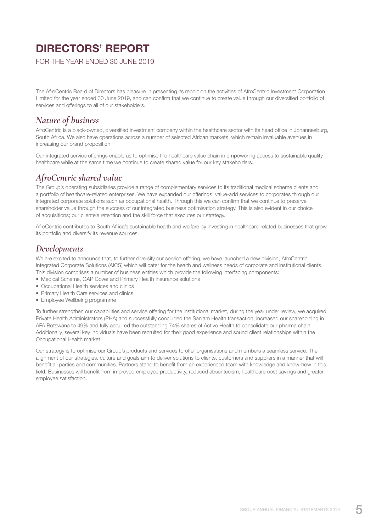# DIRECTORS' REPORT

FOR THE YEAR ENDED 30 JUNE 2019

The AfroCentric Board of Directors has pleasure in presenting its report on the activities of AfroCentric Investment Corporation Limited for the year ended 30 June 2019, and can confirm that we continue to create value through our diversified portfolio of services and offerings to all of our stakeholders.

# *Nature of business*

AfroCentric is a black-owned, diversified investment company within the healthcare sector with its head office in Johannesburg, South Africa. We also have operations across a number of selected African markets, which remain invaluable avenues in increasing our brand proposition.

Our integrated service offerings enable us to optimise the healthcare value chain in empowering access to sustainable quality healthcare while at the same time we continue to create shared value for our key stakeholders.

# *AfroCentric shared value*

The Group's operating subsidiaries provide a range of complementary services to its traditional medical scheme clients and a portfolio of healthcare-related enterprises. We have expanded our offerings' value-add services to corporates through our integrated corporate solutions such as occupational health. Through this we can confirm that we continue to preserve shareholder value through the success of our integrated business optimisation strategy. This is also evident in our choice of acquisitions; our clientele retention and the skill force that executes our strategy.

AfroCentric contributes to South Africa's sustainable health and welfare by investing in healthcare-related businesses that grow its portfolio and diversify its revenue sources.

# *Developments*

We are excited to announce that, to further diversify our service offering, we have launched a new division, AfroCentric Integrated Corporate Solutions (AICS) which will cater for the health and wellness needs of corporate and institutional clients. This division comprises a number of business entities which provide the following interfacing components:

- Medical Scheme, GAP Cover and Primary Health Insurance solutions
- Occupational Health services and clinics
- Primary Health Care services and clinics
- Employee Wellbeing programme

To further strengthen our capabilities and service offering for the institutional market, during the year under review, we acquired Private Health Administrators (PHA) and successfully concluded the Sanlam Health transaction, increased our shareholding in AFA Botswana to 49% and fully acquired the outstanding 74% shares of Activo Health to consolidate our pharma chain. Additionally, several key individuals have been recruited for their good experience and sound client relationships within the Occupational Health market.

Our strategy is to optimise our Group's products and services to offer organisations and members a seamless service. The alignment of our strategies, culture and goals aim to deliver solutions to clients, customers and suppliers in a manner that will benefit all parties and communities. Partners stand to benefit from an experienced team with knowledge and know-how in this field. Businesses will benefit from improved employee productivity, reduced absenteeism, healthcare cost savings and greater employee satisfaction.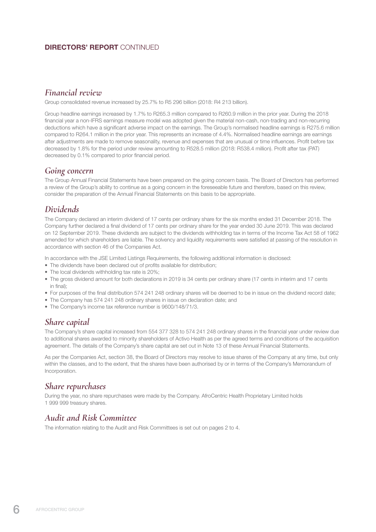# DIRECTORS' REPORT CONTINUED

# *Financial review*

Group consolidated revenue increased by 25.7% to R5 296 billion (2018: R4 213 billion).

Group headline earnings increased by 1.7% to R265.3 million compared to R260.9 million in the prior year. During the 2018 financial year a non-IFRS earnings measure model was adopted given the material non-cash, non-trading and non-recurring deductions which have a significant adverse impact on the earnings. The Group's normalised headline earnings is R275.6 million compared to R264.1 million in the prior year. This represents an increase of 4.4%. Normalised headline earnings are earnings after adjustments are made to remove seasonality, revenue and expenses that are unusual or time influences. Profit before tax decreased by 1.8% for the period under review amounting to R528.5 million (2018: R538.4 million). Profit after tax (PAT) decreased by 0.1% compared to prior financial period.

# *Going concern*

The Group Annual Financial Statements have been prepared on the going concern basis. The Board of Directors has performed a review of the Group's ability to continue as a going concern in the foreseeable future and therefore, based on this review, consider the preparation of the Annual Financial Statements on this basis to be appropriate.

# *Dividends*

The Company declared an interim dividend of 17 cents per ordinary share for the six months ended 31 December 2018. The Company further declared a final dividend of 17 cents per ordinary share for the year ended 30 June 2019. This was declared on 12 September 2019. These dividends are subject to the dividends withholding tax in terms of the Income Tax Act 58 of 1962 amended for which shareholders are liable. The solvency and liquidity requirements were satisfied at passing of the resolution in accordance with section 46 of the Companies Act.

In accordance with the JSE Limited Listings Requirements, the following additional information is disclosed:

- The dividends have been declared out of profits available for distribution;
- The local dividends withholding tax rate is 20%;
- The gross dividend amount for both declarations in 2019 is 34 cents per ordinary share (17 cents in interim and 17 cents in final);
- For purposes of the final distribution 574 241 248 ordinary shares will be deemed to be in issue on the dividend record date;
- The Company has 574 241 248 ordinary shares in issue on declaration date; and
- The Company's income tax reference number is 9600/148/71/3.

# *Share capital*

The Company's share capital increased from 554 377 328 to 574 241 248 ordinary shares in the financial year under review due to additional shares awarded to minority shareholders of Activo Health as per the agreed terms and conditions of the acquisition agreement. The details of the Company's share capital are set out in Note 13 of these Annual Financial Statements.

As per the Companies Act, section 38, the Board of Directors may resolve to issue shares of the Company at any time, but only within the classes, and to the extent, that the shares have been authorised by or in terms of the Company's Memorandum of Incorporation.

# *Share repurchases*

During the year, no share repurchases were made by the Company. AfroCentric Health Proprietary Limited holds 1 999 999 treasury shares.

# *Audit and Risk Committee*

The information relating to the Audit and Risk Committees is set out on pages 2 to 4.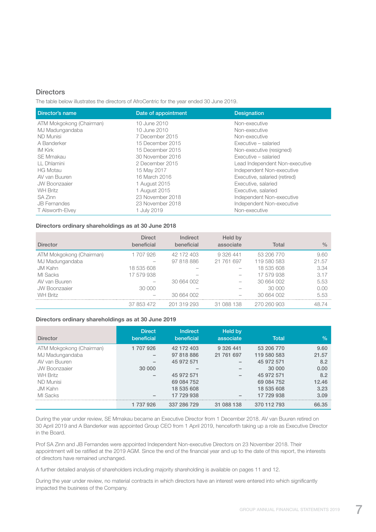### **Directors**

The table below illustrates the directors of AfroCentric for the year ended 30 June 2019.

| Director's name          | Date of appointment | <b>Designation</b>             |
|--------------------------|---------------------|--------------------------------|
| ATM Mokgokong (Chairman) | 10 June 2010        | Non-executive                  |
| MJ Madungandaba          | 10 June 2010        | Non-executive                  |
| <b>ND Munisi</b>         | 7 December 2015     | Non-executive                  |
| A Banderker              | 15 December 2015    | Executive - salaried           |
| IM Kirk                  | 15 December 2015    | Non-executive (resigned)       |
| <b>SE Mmakau</b>         | 30 November 2016    | Executive - salaried           |
| LL Dhlamini              | 2 December 2015     | Lead Independent Non-executive |
| <b>HG Motau</b>          | 15 May 2017         | Independent Non-executive      |
| AV van Buuren            | 16 March 2016       | Executive, salaried (retired)  |
| <b>JW Boonzaaier</b>     | 1 August 2015       | Executive, salaried            |
| <b>WH Britz</b>          | 1 August 2015       | Executive, salaried            |
| SA Zinn                  | 23 November 2018    | Independent Non-executive      |
| <b>JB</b> Fernandes      | 23 November 2018    | Independent Non-executive      |
| T Alsworth-Elvey         | 1 July 2019         | Non-executive                  |

# Directors ordinary shareholdings as at 30 June 2018

| <b>Director</b>          | <b>Direct</b><br>beneficial | Indirect<br>beneficial | Held by<br>associate | Total       | $\frac{0}{0}$ |
|--------------------------|-----------------------------|------------------------|----------------------|-------------|---------------|
| ATM Mokgokong (Chairman) | 1707926                     | 42 172 403             | 9 326 441            | 53 206 770  | 9.60          |
| MJ Madungandaba          |                             | 97 818 886             | 21 761 697           | 119 580 583 | 21.57         |
| JM Kahn                  | 18 535 608                  |                        |                      | 18 535 608  | 3.34          |
| MI Sacks                 | 17 579 938                  |                        |                      | 17 579 938  | 3.17          |
| AV van Buuren            |                             | 30 664 002             |                      | 30 664 002  | 5.53          |
| <b>JW Boonzaaier</b>     | 30 000                      |                        |                      | 30,000      | 0.00          |
| <b>WH Britz</b>          |                             | 30 664 002             |                      | 30 664 002  | 5.53          |
|                          | 37 853 472                  | 201 319 293            | 31 088 138           | 270 260 903 | 48.74         |

### Directors ordinary shareholdings as at 30 June 2019

| <b>Director</b>          | <b>Direct</b><br>beneficial | <b>Indirect</b><br>beneficial | Held by<br>associate | <b>Total</b> | $\%$  |
|--------------------------|-----------------------------|-------------------------------|----------------------|--------------|-------|
| ATM Mokgokong (Chairman) | 1707926                     | 42 172 403                    | 9 3 2 6 4 4 1        | 53 206 770   | 9.60  |
| MJ Madungandaba          |                             | 97 818 886                    | 21 761 697           | 119 580 583  | 21.57 |
| AV van Buuren            |                             | 45 972 571                    |                      | 45 972 571   | 8.2   |
| <b>JW Boonzaaier</b>     | 30 000                      |                               |                      | 30 000       | 0.00  |
| <b>WH Britz</b>          |                             | 45 972 571                    |                      | 45 972 571   | 8.2   |
| <b>ND Munisi</b>         |                             | 69 084 752                    |                      | 69 084 752   | 12.46 |
| JM Kahn                  |                             | 18 535 608                    |                      | 18 535 608   | 3.23  |
| MI Sacks                 |                             | 17 729 938                    |                      | 17 729 938   | 3.09  |
|                          | 1 737 926                   | 337 286 729                   | 31 088 138           | 370 112 793  | 66.35 |

During the year under review, SE Mmakau became an Executive Director from 1 December 2018. AV van Buuren retired on 30 April 2019 and A Banderker was appointed Group CEO from 1 April 2019, henceforth taking up a role as Executive Director in the Board.

Prof SA Zinn and JB Fernandes were appointed Independent Non-executive Directors on 23 November 2018. Their appointment will be ratified at the 2019 AGM. Since the end of the financial year and up to the date of this report, the interests of directors have remained unchanged.

A further detailed analysis of shareholders including majority shareholding is available on pages 11 and 12.

During the year under review, no material contracts in which directors have an interest were entered into which significantly impacted the business of the Company.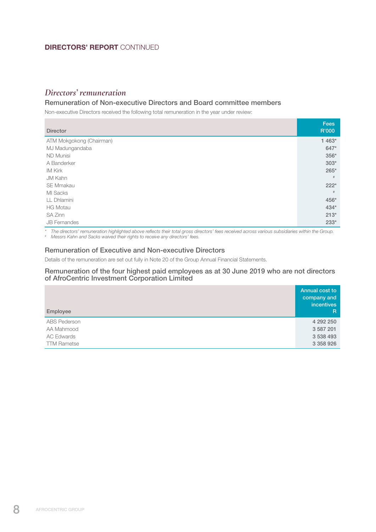# DIRECTORS' REPORT CONTINUED

# *Directors' remuneration*

# Remuneration of Non-executive Directors and Board committee members

Non-executive Directors received the following total remuneration in the year under review:

| <b>Director</b>          | <b>Fees</b><br>R'000 |
|--------------------------|----------------------|
| ATM Mokgokong (Chairman) | 1 463*               |
| MJ Madungandaba          | 647*                 |
| <b>ND Munisi</b>         | 356*                 |
| A Banderker              | $303*$               |
| <b>IM Kirk</b>           | $265*$               |
| <b>JM Kahn</b>           | #                    |
| <b>SE Mmakau</b>         | $222*$               |
| MI Sacks                 | #                    |
| LL Dhlamini              | 456*                 |
| <b>HG Motau</b>          | $434*$               |
| SA Zinn                  | $213*$               |
| <b>JB</b> Fernandes      | $233*$               |

*\* The directors' remuneration highlighted above reflects their total gross directors' fees received across various subsidiaries within the Group.*

*# Messrs Kahn and Sacks waived their rights to receive any directors' fees.*

### Remuneration of Executive and Non-executive Directors

Details of the remuneration are set out fully in Note 20 of the Group Annual Financial Statements.

### Remuneration of the four highest paid employees as at 30 June 2019 who are not directors of AfroCentric Investment Corporation Limited

| Employee            | Annual cost to<br>company and<br><i>incentives</i><br>$\mathsf{R}$ |
|---------------------|--------------------------------------------------------------------|
| <b>ABS Pederson</b> | 4 292 250                                                          |
| AA Mahmood          | 3 587 201                                                          |
| <b>AC Edwards</b>   | 3 538 493                                                          |
| <b>TTM Rametse</b>  | 3 358 926                                                          |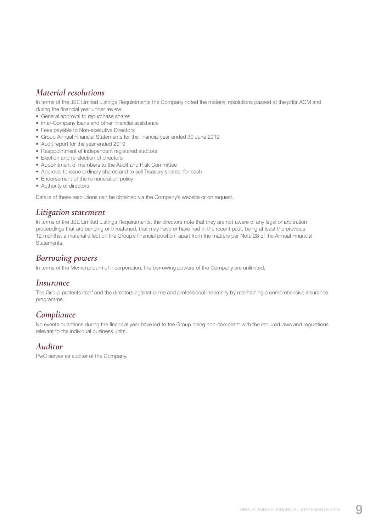# *Material resolutions*

In terms of the JSE Limited Listings Requirements the Company noted the material resolutions passed at the prior AGM and during the financial year under review:

- General approval to repurchase shares
- Inter-Company loans and other financial assistance
- Fees payable to Non-executive Directors
- Group Annual Financial Statements for the financial year ended 30 June 2019
- Audit report for the year ended 2019
- Reappointment of independent registered auditors
- Election and re-election of directors
- Appointment of members to the Audit and Risk Committee
- Approval to issue ordinary shares and to sell Treasury shares, for cash
- Endorsement of the remuneration policy
- Authority of directors

Details of these resolutions can be obtained via the Company's website or on request.

# *Litigation statement*

In terms of the JSE Limited Listings Requirements, the directors note that they are not aware of any legal or arbitration proceedings that are pending or threatened, that may have or have had in the recent past, being at least the previous 12 months, a material effect on the Group's financial position, apart from the matters per Note 28 of the Annual Financial Statements.

# *Borrowing powers*

In terms of the Memorandum of Incorporation, the borrowing powers of the Company are unlimited.

# *Insurance*

The Group protects itself and the directors against crime and professional indemnity by maintaining a comprehensive insurance programme.

# *Compliance*

No events or actions during the financial year have led to the Group being non-compliant with the required laws and regulations relevant to the individual business units.

# *Auditor*

PwC serves as auditor of the Company.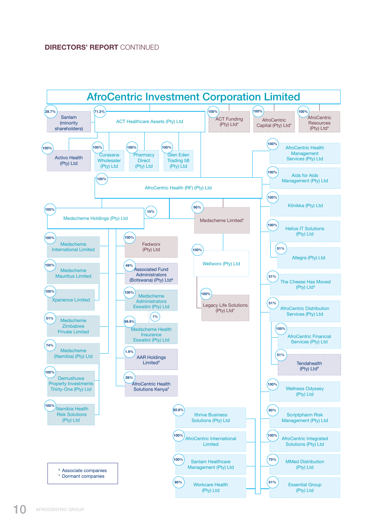# DIRECTORS' REPORT CONTINUED

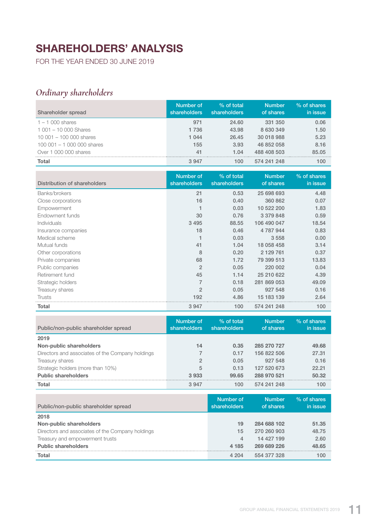# SHAREHOLDERS' ANALYSIS

FOR THE YEAR ENDED 30 JUNE 2019

# *Ordinary shareholders*

| Shareholder spread           | Number of<br>shareholders | $\%$ of total<br>shareholders | <b>Number</b><br>of shares | % of shares<br>in issue |
|------------------------------|---------------------------|-------------------------------|----------------------------|-------------------------|
| $1 - 1000$ shares            | 971                       | 24.60                         | 331 350                    | 0.06                    |
| $1001 - 10000$ Shares        | 1 7 3 6                   | 43.98                         | 8 630 349                  | 1.50                    |
| $10001 - 100000$ shares      | 1 0 4 4                   | 26.45                         | 30 018 988                 | 5.23                    |
| 100 001 $-$ 1 000 000 shares | 155                       | 3.93                          | 46 852 058                 | 8.16                    |
| Over 1 000 000 shares        | 41                        | 1.04                          | 488 408 503                | 85.05                   |
| <b>Total</b>                 | 3947                      | 100                           | 574 241 248                | 100                     |

| Distribution of shareholders | Number of<br>shareholders | % of total<br>shareholders | <b>Number</b><br>of shares | % of shares<br>in issue |
|------------------------------|---------------------------|----------------------------|----------------------------|-------------------------|
| Banks/brokers                | 21                        | 0.53                       | 25 698 693                 | 4.48                    |
| Close corporations           | 16                        | 0.40                       | 360 862                    | 0.07                    |
| Empowerment                  |                           | 0.03                       | 10 522 200                 | 1.83                    |
| Endowment funds              | 30                        | 0.76                       | 3 379 848                  | 0.59                    |
| Individuals                  | 3 4 9 5                   | 88.55                      | 106 490 047                | 18.54                   |
| Insurance companies          | 18                        | 0.46                       | 4 787 944                  | 0.83                    |
| Medical scheme               |                           | 0.03                       | 3 5 5 8                    | 0.00                    |
| Mutual funds                 | 41                        | 1.04                       | 18 058 458                 | 3.14                    |
| Other corporations           | 8                         | 0.20                       | 2 129 761                  | 0.37                    |
| Private companies            | 68                        | 1.72                       | 79 399 513                 | 13.83                   |
| Public companies             | $\overline{2}$            | 0.05                       | 220 002                    | 0.04                    |
| Retirement fund              | 45                        | 1.14                       | 25 210 622                 | 4.39                    |
| Strategic holders            | 7                         | 0.18                       | 281 869 053                | 49.09                   |
| Treasury shares              | $\overline{2}$            | 0.05                       | 927 548                    | 0.16                    |
| Trusts                       | 192                       | 4.86                       | 15 183 139                 | 2.64                    |
| <b>Total</b>                 | 3947                      | 100                        | 574 241 248                | 100                     |

| Public/non-public shareholder spread             | Number of<br>shareholders | % of total<br>shareholders | <b>Number</b><br>of shares | % of shares<br>in issue |
|--------------------------------------------------|---------------------------|----------------------------|----------------------------|-------------------------|
| 2019                                             |                           |                            |                            |                         |
| Non-public shareholders                          | 14                        | 0.35                       | 285 270 727                | 49.68                   |
| Directors and associates of the Company holdings |                           | 0.17                       | 156 822 506                | 27.31                   |
| Treasury shares                                  | $\mathfrak{D}$            | 0.05                       | 927 548                    | 0.16                    |
| Strategic holders (more than 10%)                | 5                         | 0.13                       | 127 520 673                | 22.21                   |
| <b>Public shareholders</b>                       | 3933                      | 99.65                      | 288 970 521                | 50.32                   |
| <b>Total</b>                                     | 3 9 4 7                   | 100                        | 574 241 248                | 100                     |

| Public/non-public shareholder spread             | Number of<br>shareholders | <b>Number</b><br>of shares | $%$ of shares<br>in issue |
|--------------------------------------------------|---------------------------|----------------------------|---------------------------|
| 2018                                             |                           |                            |                           |
| Non-public shareholders                          | 19                        | 284 688 102                | 51.35                     |
| Directors and associates of the Company holdings | 15                        | 270 260 903                | 48.75                     |
| Treasury and empowerment trusts                  | 4                         | 14 427 199                 | 2.60                      |
| <b>Public shareholders</b>                       | 4 1 8 5                   | 269 689 226                | 48.65                     |
| <b>Total</b>                                     | 4 204                     | 554 377 328                | 100                       |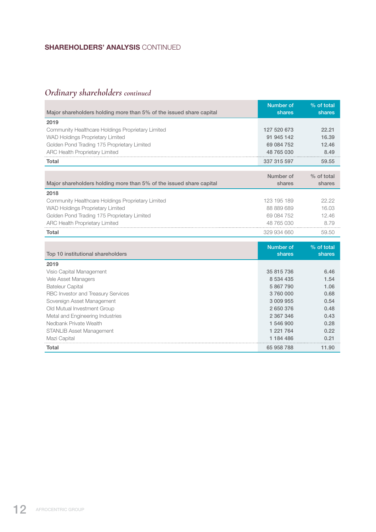# SHAREHOLDERS' ANALYSIS CONTINUED

# *Ordinary shareholders continued*

|                                                                     | <b>Number of</b> | % of total |
|---------------------------------------------------------------------|------------------|------------|
| Major shareholders holding more than 5% of the issued share capital | shares           | shares     |
| 2019                                                                |                  |            |
| Community Healthcare Holdings Proprietary Limited                   | 127 520 673      | 22.21      |
| WAD Holdings Proprietary Limited                                    | 91 945 142       | 16.39      |
| Golden Pond Trading 175 Proprietary Limited                         | 69 084 752       | 12.46      |
| <b>ARC Health Proprietary Limited</b>                               | 48 765 030       | 8.49       |
| Total                                                               | 337 315 597      | 59.55      |
|                                                                     |                  |            |
|                                                                     | Number of        | % of total |
| Major shareholders holding more than 5% of the issued share capital | shares           | shares     |
| 2018                                                                |                  |            |
| Community Healthcare Holdings Proprietary Limited                   | 123 195 189      | 22.22      |
| WAD Holdings Proprietary Limited                                    | 88 889 689       | 16.03      |
| Golden Pond Trading 175 Proprietary Limited                         | 69 084 752       | 12.46      |
| ARC Health Proprietary Limited                                      | 48 765 030       | 8.79       |
| <b>Total</b>                                                        | 329 934 660      | 59.50      |
|                                                                     |                  |            |
|                                                                     | <b>Number of</b> | % of total |
| Top 10 institutional shareholders                                   | shares           | shares     |
| 2019                                                                |                  |            |
| Visio Capital Management                                            | 35 815 736       | 6.46       |
| Vele Asset Managers                                                 | 8 534 435        | 1.54       |
| <b>Bateleur Capital</b>                                             | 5 867 790        | 1.06       |
| RBC Investor and Treasury Services                                  | 3760000          | 0.68       |
| Sovereign Asset Management                                          | 3 009 955        | 0.54       |
| Old Mutual Investment Group                                         | 2 650 376        | 0.48       |
| Metal and Engineering Industries                                    | 2 367 346        | 0.43       |
| Nedbank Private Wealth                                              | 1 546 900        | 0.28       |
| STANLIB Asset Management                                            | 1 221 764        | 0.22       |
| Mazi Capital                                                        | 1 184 486        | 0.21       |
| Total                                                               | 65 958 788       | 11.90      |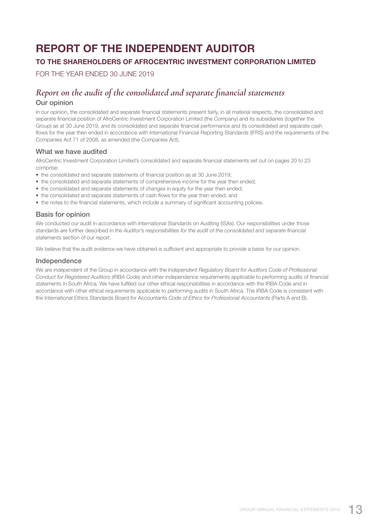# REPORT OF THE INDEPENDENT AUDITOR

# TO THE SHAREHOLDERS OF AFROCENTRIC INVESTMENT CORPORATION LIMITED

FOR THE YEAR ENDED 30 JUNE 2019

# *Report on the audit of the consolidated and separate financial statements*

# Our opinion

In our opinion, the consolidated and separate financial statements present fairly, in all material respects, the consolidated and separate financial position of AfroCentric Investment Corporation Limited (the Company) and its subsidiaries (together the Group) as at 30 June 2019, and its consolidated and separate financial performance and its consolidated and separate cash flows for the year then ended in accordance with International Financial Reporting Standards (IFRS) and the requirements of the Companies Act 71 of 2008, as amended (the Companies Act).

# What we have audited

AfroCentric Investment Corporation Limited's consolidated and separate financial statements set out on pages 20 to 23 comprise:

- the consolidated and separate statements of financial position as at 30 June 2019;
- the consolidated and separate statements of comprehensive income for the year then ended;
- the consolidated and separate statements of changes in equity for the year then ended;
- the consolidated and separate statements of cash flows for the year then ended; and
- the notes to the financial statements, which include a summary of significant accounting policies.

# Basis for opinion

We conducted our audit in accordance with International Standards on Auditing (ISAs). Our responsibilities under those standards are further described in the *Auditor's responsibilities for the audit of the consolidated and separate financial statements* section of our report.

We believe that the audit evidence we have obtained is sufficient and appropriate to provide a basis for our opinion.

### Independence

We are independent of the Group in accordance with the *Independent Regulatory Board for Auditors Code of Professional Conduct for Registered Auditors (IRBA Code)* and other independence requirements applicable to performing audits of financial statements in South Africa. We have fulfilled our other ethical responsibilities in accordance with the IRBA Code and in accordance with other ethical requirements applicable to performing audits in South Africa. The IRBA Code is consistent with the International Ethics Standards Board for Accountants *Code of Ethics for Professional Accountants* (Parts A and B).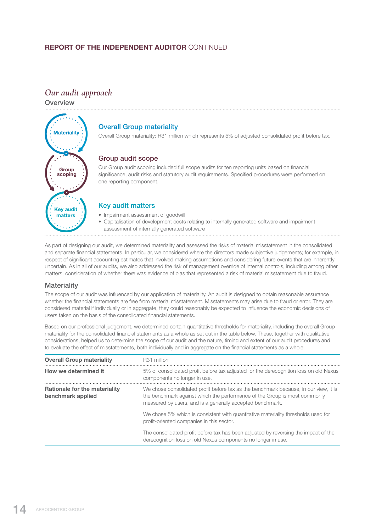# **REPORT OF THE INDEPENDENT AUDITOR CONTINUED**

# *Our audit approach*

**Overview** 



# Overall Group materiality

Overall Group materiality: R31 million which represents 5% of adjusted consolidated profit before tax.

# Group audit scope

Our Group audit scoping included full scope audits for ten reporting units based on financial significance, audit risks and statutory audit requirements. Specified procedures were performed on one reporting component.

# Key audit matters

- Impairment assessment of goodwill
- Capitalisation of development costs relating to internally generated software and impairment assessment of internally generated software

As part of designing our audit, we determined materiality and assessed the risks of material misstatement in the consolidated and separate financial statements. In particular, we considered where the directors made subjective judgements; for example, in respect of significant accounting estimates that involved making assumptions and considering future events that are inherently uncertain. As in all of our audits, we also addressed the risk of management override of internal controls, including among other matters, consideration of whether there was evidence of bias that represented a risk of material misstatement due to fraud.

# **Materiality**

The scope of our audit was influenced by our application of materiality. An audit is designed to obtain reasonable assurance whether the financial statements are free from material misstatement. Misstatements may arise due to fraud or error. They are considered material if individually or in aggregate, they could reasonably be expected to influence the economic decisions of users taken on the basis of the consolidated financial statements.

Based on our professional judgement, we determined certain quantitative thresholds for materiality, including the overall Group materiality for the consolidated financial statements as a whole as set out in the table below. These, together with qualitative considerations, helped us to determine the scope of our audit and the nature, timing and extent of our audit procedures and to evaluate the effect of misstatements, both individually and in aggregate on the financial statements as a whole.

| <b>Overall Group materiality</b>                          | R <sub>31</sub> million                                                                                                                                                                                                        |
|-----------------------------------------------------------|--------------------------------------------------------------------------------------------------------------------------------------------------------------------------------------------------------------------------------|
| How we determined it                                      | 5% of consolidated profit before tax adjusted for the derecognition loss on old Nexus<br>components no longer in use.                                                                                                          |
| <b>Rationale for the materiality</b><br>benchmark applied | We chose consolidated profit before tax as the benchmark because, in our view, it is<br>the benchmark against which the performance of the Group is most commonly<br>measured by users, and is a generally accepted benchmark. |
|                                                           | We chose 5% which is consistent with quantitative materiality thresholds used for<br>profit-oriented companies in this sector.                                                                                                 |
|                                                           | The consolidated profit before tax has been adjusted by reversing the impact of the<br>derecognition loss on old Nexus components no longer in use.                                                                            |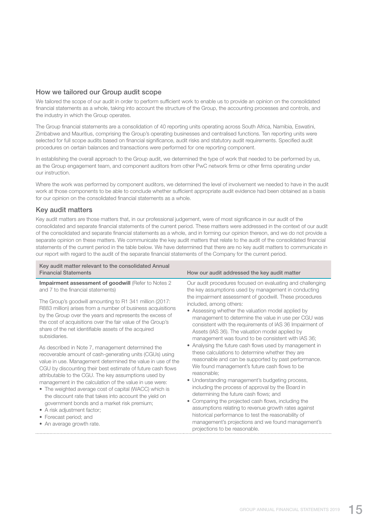# How we tailored our Group audit scope

We tailored the scope of our audit in order to perform sufficient work to enable us to provide an opinion on the consolidated financial statements as a whole, taking into account the structure of the Group, the accounting processes and controls, and the industry in which the Group operates.

The Group financial statements are a consolidation of 40 reporting units operating across South Africa, Namibia, Eswatini, Zimbabwe and Mauritius, comprising the Group's operating businesses and centralised functions. Ten reporting units were selected for full scope audits based on financial significance, audit risks and statutory audit requirements. Specified audit procedures on certain balances and transactions were performed for one reporting component.

In establishing the overall approach to the Group audit, we determined the type of work that needed to be performed by us, as the Group engagement team, and component auditors from other PwC network firms or other firms operating under our instruction.

Where the work was performed by component auditors, we determined the level of involvement we needed to have in the audit work at those components to be able to conclude whether sufficient appropriate audit evidence had been obtained as a basis for our opinion on the consolidated financial statements as a whole.

# Key audit matters

Key audit matters are those matters that, in our professional judgement, were of most significance in our audit of the consolidated and separate financial statements of the current period. These matters were addressed in the context of our audit of the consolidated and separate financial statements as a whole, and in forming our opinion thereon, and we do not provide a separate opinion on these matters. We communicate the key audit matters that relate to the audit of the consolidated financial statements of the current period in the table below. We have determined that there are no key audit matters to communicate in our report with regard to the audit of the separate financial statements of the Company for the current period.

| Key audit matter relevant to the consolidated Annual<br><b>Financial Statements</b>                                                                                                                                                                                                                                                                                                                                                                                                                                                                                                                                                                                                                                                                                                                                                                                                                                                                                                                                                                | How our audit addressed the key audit matter                                                                                                                                                                                                                                                                                                                                                                                                                                                                                                                                                                                                                                                                                                                                                                                                                                                                                                                                                                                                                                                                                                      |
|----------------------------------------------------------------------------------------------------------------------------------------------------------------------------------------------------------------------------------------------------------------------------------------------------------------------------------------------------------------------------------------------------------------------------------------------------------------------------------------------------------------------------------------------------------------------------------------------------------------------------------------------------------------------------------------------------------------------------------------------------------------------------------------------------------------------------------------------------------------------------------------------------------------------------------------------------------------------------------------------------------------------------------------------------|---------------------------------------------------------------------------------------------------------------------------------------------------------------------------------------------------------------------------------------------------------------------------------------------------------------------------------------------------------------------------------------------------------------------------------------------------------------------------------------------------------------------------------------------------------------------------------------------------------------------------------------------------------------------------------------------------------------------------------------------------------------------------------------------------------------------------------------------------------------------------------------------------------------------------------------------------------------------------------------------------------------------------------------------------------------------------------------------------------------------------------------------------|
| Impairment assessment of goodwill (Refer to Notes 2<br>and 7 to the financial statements)<br>The Group's goodwill amounting to R1 341 million (2017:<br>R883 million) arises from a number of business acquisitions<br>by the Group over the years and represents the excess of<br>the cost of acquisitions over the fair value of the Group's<br>share of the net identifiable assets of the acquired<br>subsidiaries.<br>As described in Note 7, management determined the<br>recoverable amount of cash-generating units (CGUs) using<br>value in use. Management determined the value in use of the<br>CGU by discounting their best estimate of future cash flows<br>attributable to the CGU. The key assumptions used by<br>management in the calculation of the value in use were:<br>• The weighted average cost of capital (WACC) which is<br>the discount rate that takes into account the yield on<br>government bonds and a market risk premium;<br>• A risk adjustment factor;<br>• Forecast period; and<br>• An average growth rate. | Our audit procedures focused on evaluating and challenging<br>the key assumptions used by management in conducting<br>the impairment assessment of goodwill. These procedures<br>included, among others:<br>• Assessing whether the valuation model applied by<br>management to determine the value in use per CGU was<br>consistent with the requirements of IAS 36 Impairment of<br>Assets (IAS 36). The valuation model applied by<br>management was found to be consistent with IAS 36;<br>• Analysing the future cash flows used by management in<br>these calculations to determine whether they are<br>reasonable and can be supported by past performance.<br>We found management's future cash flows to be<br>reasonable;<br>• Understanding management's budgeting process,<br>including the process of approval by the Board in<br>determining the future cash flows; and<br>• Comparing the projected cash flows, including the<br>assumptions relating to revenue growth rates against<br>historical performance to test the reasonability of<br>management's projections and we found management's<br>projections to be reasonable. |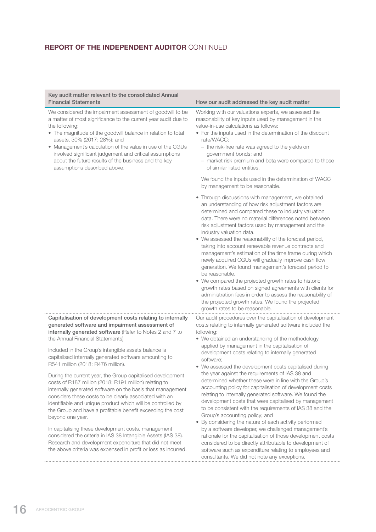# **REPORT OF THE INDEPENDENT AUDITOR CONTINUED**

### Key audit matter relevant to the consolidated Annual Financial Statements **How our audit addressed the key audit matter**

We considered the impairment assessment of goodwill to be a matter of most significance to the current year audit due to the following:

- The magnitude of the goodwill balance in relation to total assets, 30% (2017: 28%); and
- Management's calculation of the value in use of the CGUs involved significant judgement and critical assumptions about the future results of the business and the key assumptions described above.

Working with our valuations experts, we assessed the reasonability of key inputs used by management in the value-in-use calculations as follows:

- For the inputs used in the determination of the discount rate/WACC:
	- the risk-free rate was agreed to the yields on government bonds; and
	- market risk premium and beta were compared to those of similar listed entities.

We found the inputs used in the determination of WACC by management to be reasonable.

- Through discussions with management, we obtained an understanding of how risk adjustment factors are determined and compared these to industry valuation data. There were no material differences noted between risk adjustment factors used by management and the industry valuation data.
- We assessed the reasonability of the forecast period, taking into account renewable revenue contracts and management's estimation of the time frame during which newly acquired CGUs will gradually improve cash flow generation. We found management's forecast period to be reasonable.
- We compared the projected growth rates to historic growth rates based on signed agreements with clients for administration fees in order to assess the reasonability of the projected growth rates. We found the projected growth rates to be reasonable.

Our audit procedures over the capitalisation of development costs relating to internally generated software included the following:

- We obtained an understanding of the methodology applied by management in the capitalisation of development costs relating to internally generated software;
- We assessed the development costs capitalised during the year against the requirements of IAS 38 and determined whether these were in line with the Group's accounting policy for capitalisation of development costs relating to internally generated software. We found the development costs that were capitalised by management to be consistent with the requirements of IAS 38 and the Group's accounting policy; and
- By considering the nature of each activity performed by a software developer, we challenged management's rationale for the capitalisation of those development costs considered to be directly attributable to development of software such as expenditure relating to employees and consultants. We did not note any exceptions.

Capitalisation of development costs relating to internally generated software and impairment assessment of internally generated software (Refer to Notes 2 and 7 to the Annual Financial Statements)

Included in the Group's intangible assets balance is capitalised internally generated software amounting to R541 million (2018: R476 million).

During the current year, the Group capitalised development costs of R187 million (2018: R191 million) relating to internally generated software on the basis that management considers these costs to be clearly associated with an identifiable and unique product which will be controlled by the Group and have a profitable benefit exceeding the cost beyond one year.

In capitalising these development costs, management considered the criteria in IAS 38 Intangible Assets (IAS 38). Research and development expenditure that did not meet the above criteria was expensed in profit or loss as incurred.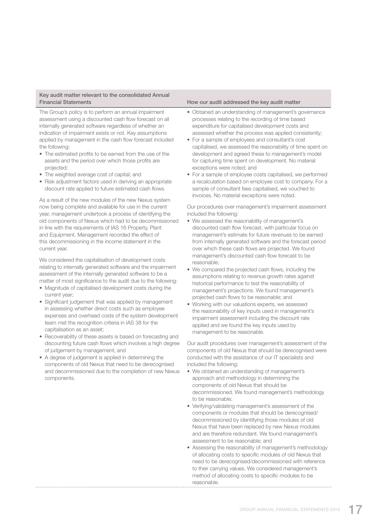### Key audit matter relevant to the consolidated Annual Financial Statements **How our audit addressed the key audit matter**

The Group's policy is to perform an annual impairment assessment using a discounted cash flow forecast on all internally generated software regardless of whether an indication of impairment exists or not. Key assumptions applied by management in the cash flow forecast included the following:

- The estimated profits to be earned from the use of the assets and the period over which those profits are projected;
- The weighted average cost of capital; and
- Risk adjustment factors used in deriving an appropriate discount rate applied to future estimated cash flows.

As a result of the new modules of the new Nexus system now being complete and available for use in the current year, management undertook a process of identifying the old components of Nexus which had to be decommissioned in line with the requirements of IAS 16 Property, Plant and Equipment. Management recorded the effect of this decommissioning in the income statement in the current year.

We considered the capitalisation of development costs relating to internally generated software and the impairment assessment of the internally generated software to be a matter of most significance to the audit due to the following:

- Magnitude of capitalised development costs during the current year;
- Significant judgement that was applied by management in assessing whether direct costs such as employee expenses and overhead costs of the system development team met the recognition criteria in IAS 38 for the capitalisation as an asset;
- Recoverability of these assets is based on forecasting and discounting future cash flows which involves a high degree of judgement by management; and
- A degree of judgement is applied in determining the components of old Nexus that need to be derecognised and decommissioned due to the completion of new Nexus components.

- Obtained an understanding of management's governance processes relating to the recording of time based expenditure for capitalised development costs and assessed whether the process was applied consistently;
- For a sample of employees and consultant's cost capitalised, we assessed the reasonability of time spent on development and agreed these to management's model for capturing time spent on development. No material exceptions were noted; and
- For a sample of employee costs capitalised, we performed a recalculation based on employee cost to company. For a sample of consultant fees capitalised, we vouched to invoices. No material exceptions were noted.

Our procedures over management's impairment assessment included the following:

- We assessed the reasonability of management's discounted cash flow forecast, with particular focus on management's estimate for future revenues to be earned from internally generated software and the forecast period over which these cash flows are projected. We found management's discounted cash flow forecast to be reasonable;
- We compared the projected cash flows, including the assumptions relating to revenue growth rates against historical performance to test the reasonability of management's projections. We found management's projected cash flows to be reasonable; and
- Working with our valuations experts, we assessed the reasonability of key inputs used in management's impairment assessment including the discount rate applied and we found the key inputs used by management to be reasonable.

Our audit procedures over management's assessment of the components of old Nexus that should be derecognised were conducted with the assistance of our IT specialists and included the following:

- We obtained an understanding of management's approach and methodology in determining the components of old Nexus that should be decommissioned. We found management's methodology to be reasonable;
- Verifying/validating management's assessment of the components or modules that should be derecognised/ decommissioned by identifying those modules of old Nexus that have been replaced by new Nexus modules and are therefore redundant. We found management's assessment to be reasonable; and
- Assessing the reasonability of management's methodology of allocating costs to specific modules of old Nexus that need to be derecognised/decommissioned with reference to their carrying values. We considered management's method of allocating costs to specific modules to be reasonable.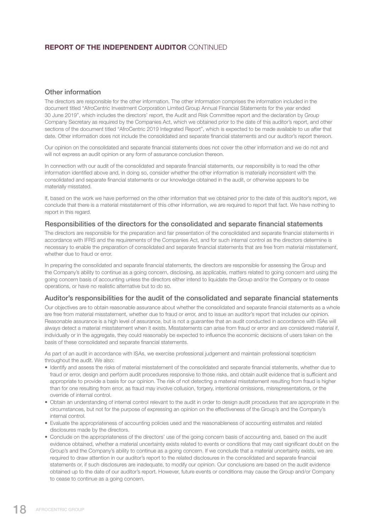# **REPORT OF THE INDEPENDENT AUDITOR CONTINUED**

# Other information

The directors are responsible for the other information. The other information comprises the information included in the document titled "AfroCentric Investment Corporation Limited Group Annual Financial Statements for the year ended 30 June 2019", which includes the directors' report, the Audit and Risk Committee report and the declaration by Group Company Secretary as required by the Companies Act, which we obtained prior to the date of this auditor's report, and other sections of the document titled "AfroCentric 2019 Integrated Report", which is expected to be made available to us after that date. Other information does not include the consolidated and separate financial statements and our auditor's report thereon.

Our opinion on the consolidated and separate financial statements does not cover the other information and we do not and will not express an audit opinion or any form of assurance conclusion thereon.

In connection with our audit of the consolidated and separate financial statements, our responsibility is to read the other information identified above and, in doing so, consider whether the other information is materially inconsistent with the consolidated and separate financial statements or our knowledge obtained in the audit, or otherwise appears to be materially misstated.

If, based on the work we have performed on the other information that we obtained prior to the date of this auditor's report, we conclude that there is a material misstatement of this other information, we are required to report that fact. We have nothing to report in this regard.

### Responsibilities of the directors for the consolidated and separate financial statements

The directors are responsible for the preparation and fair presentation of the consolidated and separate financial statements in accordance with IFRS and the requirements of the Companies Act, and for such internal control as the directors determine is necessary to enable the preparation of consolidated and separate financial statements that are free from material misstatement, whether due to fraud or error.

In preparing the consolidated and separate financial statements, the directors are responsible for assessing the Group and the Company's ability to continue as a going concern, disclosing, as applicable, matters related to going concern and using the going concern basis of accounting unless the directors either intend to liquidate the Group and/or the Company or to cease operations, or have no realistic alternative but to do so.

### Auditor's responsibilities for the audit of the consolidated and separate financial statements

Our objectives are to obtain reasonable assurance about whether the consolidated and separate financial statements as a whole are free from material misstatement, whether due to fraud or error, and to issue an auditor's report that includes our opinion. Reasonable assurance is a high level of assurance, but is not a guarantee that an audit conducted in accordance with ISAs will always detect a material misstatement when it exists. Misstatements can arise from fraud or error and are considered material if, individually or in the aggregate, they could reasonably be expected to influence the economic decisions of users taken on the basis of these consolidated and separate financial statements.

As part of an audit in accordance with ISAs, we exercise professional judgement and maintain professional scepticism throughout the audit. We also:

- Identify and assess the risks of material misstatement of the consolidated and separate financial statements, whether due to fraud or error, design and perform audit procedures responsive to those risks, and obtain audit evidence that is sufficient and appropriate to provide a basis for our opinion. The risk of not detecting a material misstatement resulting from fraud is higher than for one resulting from error, as fraud may involve collusion, forgery, intentional omissions, misrepresentations, or the override of internal control.
- Obtain an understanding of internal control relevant to the audit in order to design audit procedures that are appropriate in the circumstances, but not for the purpose of expressing an opinion on the effectiveness of the Group's and the Company's internal control.
- Evaluate the appropriateness of accounting policies used and the reasonableness of accounting estimates and related disclosures made by the directors.
- Conclude on the appropriateness of the directors' use of the going concern basis of accounting and, based on the audit evidence obtained, whether a material uncertainty exists related to events or conditions that may cast significant doubt on the Group's and the Company's ability to continue as a going concern. If we conclude that a material uncertainty exists, we are required to draw attention in our auditor's report to the related disclosures in the consolidated and separate financial statements or, if such disclosures are inadequate, to modify our opinion. Our conclusions are based on the audit evidence obtained up to the date of our auditor's report. However, future events or conditions may cause the Group and/or Company to cease to continue as a going concern.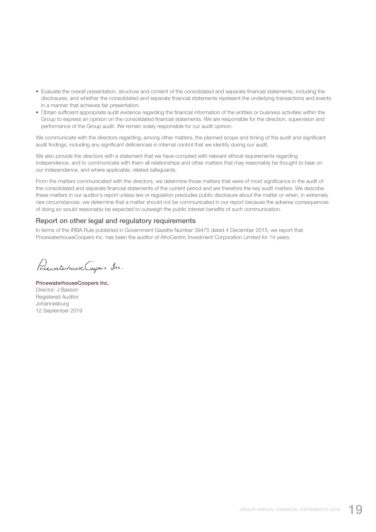- Evaluate the overall presentation, structure and content of the consolidated and separate financial statements, including the disclosures, and whether the consolidated and separate financial statements represent the underlying transactions and events in a manner that achieves fair presentation.
- Obtain sufficient appropriate audit evidence regarding the financial information of the entities or business activities within the Group to express an opinion on the consolidated financial statements. We are responsible for the direction, supervision and performance of the Group audit. We remain solely responsible for our audit opinion.

We communicate with the directors regarding, among other matters, the planned scope and timing of the audit and significant audit findings, including any significant deficiencies in internal control that we identify during our audit.

We also provide the directors with a statement that we have complied with relevant ethical requirements regarding independence, and to communicate with them all relationships and other matters that may reasonably be thought to bear on our independence, and where applicable, related safeguards.

From the matters communicated with the directors, we determine those matters that were of most significance in the audit of the consolidated and separate financial statements of the current period and are therefore the key audit matters. We describe these matters in our auditor's report unless law or regulation precludes public disclosure about the matter or when, in extremely rare circumstances, we determine that a matter should not be communicated in our report because the adverse consequences of doing so would reasonably be expected to outweigh the public interest benefits of such communication.

### Report on other legal and regulatory requirements

In terms of the IRBA Rule published in Government Gazette Number 39475 dated 4 December 2015, we report that PricewaterhouseCoopers Inc. has been the auditor of AfroCentric Investment Corporation Limited for 14 years.

Prenate have Capes Inc.

PricewaterhouseCoopers Inc. Director: J Basson Registered Auditor Johannesburg 12 September 2019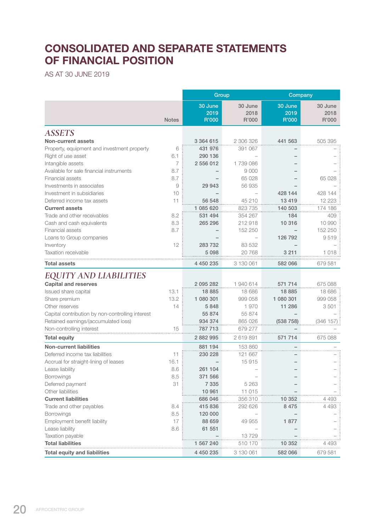# CONSOLIDATED AND SEPARATE STATEMENTS OF FINANCIAL POSITION

AS AT 30 JUNE 2019

|                                                  |              | Group                    |                          | Company                  |                          |
|--------------------------------------------------|--------------|--------------------------|--------------------------|--------------------------|--------------------------|
|                                                  | <b>Notes</b> | 30 June<br>2019<br>R'000 | 30 June<br>2018<br>R'000 | 30 June<br>2019<br>R'000 | 30 June<br>2018<br>R'000 |
| <b>ASSETS</b>                                    |              |                          |                          |                          |                          |
| <b>Non-current assets</b>                        |              | 3 364 615                | 2 306 326                | 441 563                  | 505 395                  |
| Property, equipment and investment property      | 6            | 431 976                  | 391 067                  |                          |                          |
| Right of use asset                               | 6.1          | 290 136                  |                          |                          |                          |
| Intangible assets                                | 7            | 2 556 012                | 1739086                  |                          |                          |
| Available for sale financial instruments         | 8.7          |                          | 9 0 0 0                  |                          |                          |
| Financial assets                                 | 8.7          |                          | 65 028                   |                          | 65 028                   |
| Investments in associates                        | 9            | 29 943                   | 56 935                   |                          |                          |
| Investment in subsidiaries                       | 10           |                          |                          | 428 144                  | 428 144                  |
| Deferred income tax assets                       | 11           | 56 548                   | 45 210                   | 13 4 19                  | 12 223                   |
| <b>Current assets</b>                            |              | 1 085 620                | 823 735                  | 140 503                  | 174 186                  |
| Trade and other receivables                      | 8.2          | 531 494                  | 354 267                  | 184                      | 409                      |
| Cash and cash equivalents                        | 8.3          | 265 296                  | 212918                   | 10 316                   | 10 990                   |
| Financial assets                                 | 8.7          |                          | 152 250                  |                          | 152 250                  |
| Loans to Group companies                         |              |                          |                          | 126 792                  | 9519                     |
| Inventory                                        | 12           | 283 732                  | 83 532                   |                          |                          |
| Taxation receivable                              |              | 5 0 9 8                  | 20768                    | 3 2 1 1                  | 1018                     |
| <b>Total assets</b>                              |              | 4 450 235                | 3 130 061                | 582 066                  | 679 581                  |
| EQUITY AND LIABILITIES                           |              |                          |                          |                          |                          |
| <b>Capital and reserves</b>                      |              | 2 095 282                | 1940614                  | 571 714                  | 675 088                  |
| Issued share capital                             | 13.1         | 18 8 85                  | 18 686                   | 18885                    | 18 686                   |
| Share premium                                    | 13.2         | 1 080 301                | 999 058                  | 1 080 301                | 999 058                  |
| Other reserves                                   | 14           | 5848                     | 1970                     | 11 286                   | 3501                     |
| Capital contribution by non-controlling interest |              | 55 874                   | 55 874                   |                          |                          |
| Retained earnings/(accumulated loss)             |              | 934 374                  | 865 026                  | (538 758)                | (346 157                 |
| Non-controlling interest                         | 15           | 787 713                  | 679 277                  |                          |                          |
| <b>Total equity</b>                              |              | 2 882 995                | 2 619 891                | 571 714                  | 675 088                  |
| <b>Non-current liabilities</b>                   |              | 881 194                  | 153 860                  |                          |                          |
| Deferred income tax liabilities                  | 11           | 230 228                  | 121 667                  |                          |                          |
| Accrual for straight-lining of leases            | 16.1         |                          | 15915                    |                          |                          |
| Lease liability                                  | 8.6          | 261 104                  |                          |                          |                          |
| Borrowings                                       | 8.5          | 371 566                  |                          |                          |                          |
| Deferred payment                                 | 31           | 7 3 3 5                  | 5 2 6 3                  |                          |                          |
| Other liabilities                                |              | 10 961                   | 11 015                   |                          |                          |
| <b>Current liabilities</b>                       |              | 686 046                  | 356 310                  | 10 352                   | 4 4 9 3                  |
| Trade and other payables                         | 8.4          | 415 836                  | 292 626                  | 8 4 7 5                  | 4 4 9 3                  |
| Borrowings                                       | 8.5          | 120 000                  |                          |                          |                          |
| Employment benefit liability                     | 17           | 88 659                   | 49 955                   | 1877                     |                          |
| Lease liability                                  | 8.6          | 61 551                   |                          |                          |                          |
| Taxation payable                                 |              |                          | 13729                    |                          |                          |
| <b>Total liabilities</b>                         |              | 1 567 240                | 510 170                  | 10 352                   | 4 493                    |
| <b>Total equity and liabilities</b>              |              | 4 450 235                | 3 130 061                | 582 066                  | 679 581                  |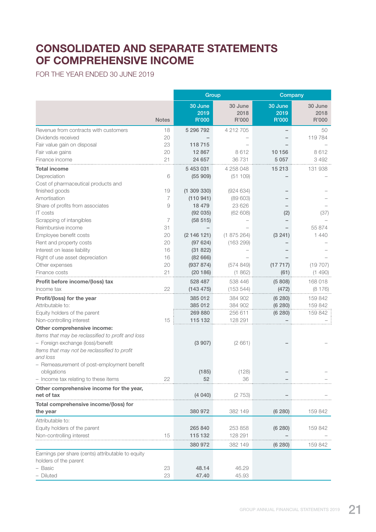# CONSOLIDATED AND SEPARATE STATEMENTS OF COMPREHENSIVE INCOME

FOR THE YEAR ENDED 30 JUNE 2019

|                                                                            |              |                          | Group                    |                          | Company                  |
|----------------------------------------------------------------------------|--------------|--------------------------|--------------------------|--------------------------|--------------------------|
|                                                                            | <b>Notes</b> | 30 June<br>2019<br>R'000 | 30 June<br>2018<br>R'000 | 30 June<br>2019<br>R'000 | 30 June<br>2018<br>R'000 |
| Revenue from contracts with customers                                      | 18           | 5 296 792                | 4 212 705                |                          | 50                       |
| Dividends received                                                         | 20           |                          |                          |                          | 119 784                  |
| Fair value gain on disposal                                                | 23           | 118715                   |                          |                          |                          |
| Fair value gains                                                           | 20           | 12 867                   | 8612                     | 10 156                   | 8612                     |
| Finance income                                                             | 21           | 24 657                   | 36 731                   | 5 0 5 7                  | 3 4 9 2                  |
| <b>Total income</b>                                                        |              | 5 453 031                | 4 258 048                | 15 213                   | 131 938                  |
| Depreciation                                                               | 6            | (55909)                  | (51109)                  |                          |                          |
| Cost of pharmaceutical products and                                        |              |                          |                          |                          |                          |
| finished goods                                                             | 19           | (1309330)                | (924634)                 |                          |                          |
| Amortisation                                                               | 7            | (110941)                 | (89603)                  |                          |                          |
| Share of profits from associates                                           | 9            | 18 479                   | 23 6 26                  |                          |                          |
| <b>IT</b> costs                                                            |              | (92 035)                 | (62608)                  | (2)                      | (37)                     |
| Scrapping of intangibles                                                   | 7            | (58 515)                 |                          |                          |                          |
| Reimbursive income                                                         | 31           |                          |                          |                          | 55 874                   |
| Employee benefit costs                                                     | 20           | (2146121)                | (1875264)                | (3 241)                  | 1440                     |
| Rent and property costs                                                    | 20           | (97624)                  | (163 299)                |                          |                          |
| Interest on lease liability                                                | 16           | (31 822)                 |                          |                          |                          |
| Right of use asset depreciation                                            | 16           | (8266)                   |                          |                          |                          |
| Other expenses                                                             | 20           | (937 874)                | (574849)                 | (17717)                  | (19707)                  |
| Finance costs                                                              | 21           | (20186)                  | (1862)                   | (61)                     | (1490)                   |
| Profit before income/(loss) tax                                            |              | 528 487                  | 538 446                  | (5808)                   | 168 018                  |
| Income tax                                                                 | 22           | (143 475)                | (153544)                 | (472)                    | (8176)                   |
| Profit/(loss) for the year                                                 |              | 385 012                  | 384 902                  | (6 280)                  | 159 842                  |
| Attributable to:                                                           |              | 385 012                  | 384 902                  | (6280)                   | 159 842                  |
| Equity holders of the parent                                               |              | 269 880                  | 256 611                  | (6 280)                  | 159 842                  |
| Non-controlling interest                                                   | 15           | 115 132                  | 128 291                  |                          |                          |
| Other comprehensive income:                                                |              |                          |                          |                          |                          |
| Items that may be reclassified to profit and loss                          |              |                          |                          |                          |                          |
| - Foreign exchange (loss)/benefit                                          |              | (3907)                   | (2661)                   |                          |                          |
| Items that may not be reclassified to profit                               |              |                          |                          |                          |                          |
| and loss                                                                   |              |                          |                          |                          |                          |
| - Remeasurement of post-employment benefit                                 |              |                          |                          |                          |                          |
| obligations                                                                |              | (185)                    | (128)                    |                          |                          |
| - Income tax relating to these items                                       | 22           | 52                       | 36                       |                          |                          |
| Other comprehensive income for the year,                                   |              |                          |                          |                          |                          |
| net of tax                                                                 |              | (4040)                   | (2753)                   |                          |                          |
| Total comprehensive income/(loss) for                                      |              |                          |                          |                          |                          |
| the year                                                                   |              | 380 972                  | 382 149                  | (6 280)                  | 159 842                  |
| Attributable to:                                                           |              |                          |                          |                          |                          |
| Equity holders of the parent                                               |              | 265 840                  | 253 858                  | (6 280)                  | 159 842                  |
| Non-controlling interest                                                   | 15           | 115 132                  | 128 291                  |                          |                          |
|                                                                            |              | 380 972                  |                          |                          |                          |
|                                                                            |              |                          | 382 149                  | (6 280)                  | 159 842                  |
| Earnings per share (cents) attributable to equity<br>holders of the parent |              |                          |                          |                          |                          |
| - Basic                                                                    | 23           | 48.14                    | 46.29                    |                          |                          |
| - Diluted                                                                  | 23           | 47.40                    | 45.93                    |                          |                          |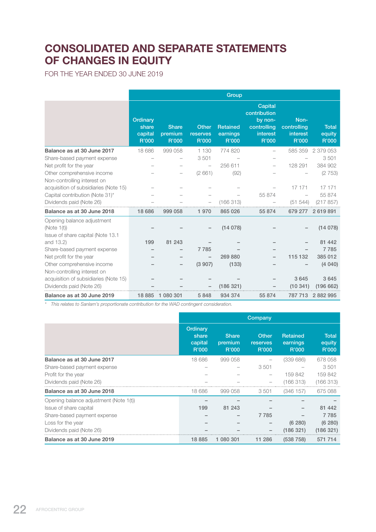# CONSOLIDATED AND SEPARATE STATEMENTS OF CHANGES IN EQUITY

FOR THE YEAR ENDED 30 JUNE 2019

|                                                                                 |                                       |                                  |                                   | Group                                |                                                                        |                                          |                                 |
|---------------------------------------------------------------------------------|---------------------------------------|----------------------------------|-----------------------------------|--------------------------------------|------------------------------------------------------------------------|------------------------------------------|---------------------------------|
|                                                                                 | Ordinary<br>share<br>capital<br>R'000 | <b>Share</b><br>premium<br>R'000 | <b>Other</b><br>reserves<br>R'000 | <b>Retained</b><br>earnings<br>R'000 | Capital<br>contribution<br>by non-<br>controlling<br>interest<br>R'000 | Non-<br>controlling<br>interest<br>R'000 | <b>Total</b><br>equity<br>R'000 |
| Balance as at 30 June 2017                                                      | 18 686                                | 999 058                          | 1 1 3 0                           | 774 820                              |                                                                        | 585 359                                  | 2 379 053                       |
| Share-based payment expense                                                     |                                       |                                  | 3501                              |                                      |                                                                        |                                          | 3501                            |
| Net profit for the year                                                         |                                       |                                  |                                   | 256 611                              |                                                                        | 128 291                                  | 384 902                         |
| Other comprehensive income                                                      |                                       |                                  | (2661)                            | (92)                                 |                                                                        |                                          | (2753)                          |
| Non-controlling interest on<br>acquisition of subsidiaries (Note 15)            |                                       |                                  |                                   |                                      |                                                                        | 17 171                                   | 17 171                          |
| Capital contribution (Note 31)*                                                 |                                       |                                  |                                   |                                      | 55 874                                                                 |                                          | 55 874                          |
| Dividends paid (Note 26)                                                        |                                       |                                  |                                   | (166313)                             |                                                                        | (51 544)                                 | (217857)                        |
| Balance as at 30 June 2018                                                      | 18 686                                | 999 058                          | 1 970                             | 865 026                              | 55 874                                                                 | 679 277                                  | 2619891                         |
| Opening balance adjustment<br>(Note 1(t))<br>Issue of share capital (Note 13.1) |                                       |                                  |                                   | (14078)                              |                                                                        |                                          | (14078)                         |
| and 13.2)                                                                       | 199                                   | 81 243                           |                                   |                                      |                                                                        |                                          | 81 442                          |
| Share-based payment expense                                                     |                                       |                                  | 7785                              |                                      |                                                                        |                                          | 7785                            |
| Net profit for the year                                                         |                                       |                                  |                                   | 269 880                              |                                                                        | 115 132                                  | 385 012                         |
| Other comprehensive income                                                      |                                       |                                  | (3907)                            | (133)                                |                                                                        |                                          | (4040)                          |
| Non-controlling interest on                                                     |                                       |                                  |                                   |                                      |                                                                        |                                          |                                 |
| acquisition of subsidiaries (Note 15)                                           |                                       |                                  |                                   |                                      |                                                                        | 3645                                     | 3 6 4 5                         |
| Dividends paid (Note 26)                                                        |                                       |                                  |                                   | (186 321)                            |                                                                        | (10341)                                  | (196662)                        |
| Balance as at 30 June 2019                                                      | 18 8 85                               | 1 080 301                        | 5848                              | 934 374                              | 55 874                                                                 | 787 713                                  | 2882995                         |

*\* This relates to Sanlam's proportionate contribution for the WAD contingent consideration.*

|                                        | Company                               |                                  |                                          |                                      |                                 |  |
|----------------------------------------|---------------------------------------|----------------------------------|------------------------------------------|--------------------------------------|---------------------------------|--|
|                                        | Ordinary<br>share<br>capital<br>R'000 | <b>Share</b><br>premium<br>R'000 | <b>Other</b><br><b>reserves</b><br>R'000 | <b>Retained</b><br>earnings<br>R'000 | <b>Total</b><br>equity<br>R'000 |  |
| Balance as at 30 June 2017             | 18 686                                | 999 058                          |                                          | (339686)                             | 678 058                         |  |
| Share-based payment expense            |                                       |                                  | 3501                                     |                                      | 3501                            |  |
| Profit for the year                    |                                       |                                  |                                          | 159842                               | 159 842                         |  |
| Dividends paid (Note 26)               |                                       |                                  |                                          | (166313)                             | (166313)                        |  |
| Balance as at 30 June 2018             | 18 686                                | 999 058                          | 3501                                     | (346157)                             | 675 088                         |  |
| Opening balance adjustment (Note 1(t)) |                                       |                                  |                                          |                                      |                                 |  |
| Issue of share capital                 | 199                                   | 81 243                           |                                          |                                      | 81 442                          |  |
| Share-based payment expense            |                                       |                                  | 7785                                     |                                      | 7785                            |  |
| Loss for the year                      |                                       |                                  |                                          | (6 280)                              | (6 280)                         |  |
| Dividends paid (Note 26)               |                                       |                                  |                                          | (186 321)                            | (186 321)                       |  |
| Balance as at 30 June 2019             | 18 8 85                               | 1 080 301                        | 11 286                                   | (538758)                             | 571 714                         |  |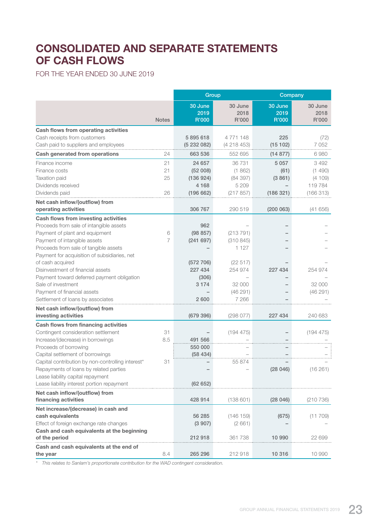# CONSOLIDATED AND SEPARATE STATEMENTS OF CASH FLOWS

FOR THE YEAR ENDED 30 JUNE 2019

|                                                                  |              | Group                    |                          | Company                  |                          |
|------------------------------------------------------------------|--------------|--------------------------|--------------------------|--------------------------|--------------------------|
|                                                                  | <b>Notes</b> | 30 June<br>2019<br>R'000 | 30 June<br>2018<br>R'000 | 30 June<br>2019<br>R'000 | 30 June<br>2018<br>R'000 |
| Cash flows from operating activities                             |              |                          |                          |                          |                          |
| Cash receipts from customers                                     |              | 5895618                  | 4 771 148                | 225                      | (72)                     |
| Cash paid to suppliers and employees                             |              | (5232082)                | (4218453)                | (15102)                  | 7052                     |
| Cash generated from operations                                   | 24           | 663 536                  | 552 695                  | (14877)                  | 6980                     |
|                                                                  |              |                          |                          |                          |                          |
| Finance income                                                   | 21           | 24 657                   | 36 731                   | 5 0 5 7                  | 3 4 9 2                  |
| Finance costs<br><b>Taxation paid</b>                            | 21<br>25     | (52008)<br>(136924)      | (1862)<br>(84 397)       | (61)<br>(3861)           | (1490)<br>(4109)         |
| Dividends received                                               |              | 4 1 6 8                  | 5 209                    |                          |                          |
| Dividends paid                                                   | 26           | (196662)                 | (217857)                 | (186 321)                | 119784<br>(166313)       |
|                                                                  |              |                          |                          |                          |                          |
| Net cash inflow/(outflow) from                                   |              |                          |                          |                          |                          |
| operating activities                                             |              | 306 767                  | 290 519                  | (200063)                 | (41656)                  |
| Cash flows from investing activities                             |              |                          |                          |                          |                          |
| Proceeds from sale of intangible assets                          |              | 962                      |                          |                          |                          |
| Payment of plant and equipment                                   | 6            | (98857)                  | (213 791)                |                          |                          |
| Payment of intangible assets                                     | 7            | (241697)                 | (310845)                 |                          |                          |
| Proceeds from sale of tangible assets                            |              |                          | 1 1 2 7                  |                          |                          |
| Payment for acquisition of subsidiaries, net                     |              |                          |                          |                          |                          |
| of cash acquired<br>Disinvestment of financial assets            |              | (572 706)                | (22 517)                 | 227 434                  |                          |
|                                                                  |              | 227 434                  | 254 974                  |                          | 254 974                  |
| Payment toward deferred payment obligation<br>Sale of investment |              | (306)<br>3 1 7 4         | 32 000                   |                          | 32 000                   |
| Payment of financial assets                                      |              |                          |                          |                          | (46291)                  |
| Settlement of loans by associates                                |              | 2 600                    | (46291)<br>7 2 6 6       |                          |                          |
|                                                                  |              |                          |                          |                          |                          |
| Net cash inflow/(outflow) from                                   |              |                          |                          |                          |                          |
| investing activities                                             |              | (679 396)                | (298077)                 | 227 434                  | 240 683                  |
| Cash flows from financing activities                             |              |                          |                          |                          |                          |
| Contingent consideration settlement                              | 31           |                          | (194 475)                |                          | (194 475)                |
| Increase/(decrease) in borrowings                                | 8.5          | 491 566                  |                          |                          |                          |
| Proceeds of borrowing                                            |              | 550 000                  |                          |                          |                          |
| Capital settlement of borrowings                                 |              | (58434)                  |                          |                          |                          |
| Capital contribution by non-controlling interest*                | 31           |                          | 55 874                   |                          |                          |
| Repayments of loans by related parties                           |              |                          |                          | (28046)                  | (16261)                  |
| Lease liability capital repayment                                |              |                          |                          |                          |                          |
| Lease liability interest portion repayment                       |              | (62652)                  |                          |                          |                          |
| Net cash inflow/(outflow) from                                   |              |                          |                          |                          |                          |
| financing activities                                             |              | 428 914                  | (138601)                 | (28046)                  | (210736)                 |
| Net increase/(decrease) in cash and                              |              |                          |                          |                          |                          |
| cash equivalents                                                 |              | 56 285                   | (146 159)                | (675)                    | (11709)                  |
| Effect of foreign exchange rate changes                          |              | (3907)                   | (2661)                   |                          |                          |
| Cash and cash equivalents at the beginning                       |              |                          |                          |                          |                          |
| of the period                                                    |              | 212918                   | 361 738                  | 10 990                   | 22 699                   |
| Cash and cash equivalents at the end of                          |              |                          |                          |                          |                          |
| the year                                                         | 8.4          | 265 296                  | 212 918                  | 10 316                   | 10 990                   |

*\* This relates to Sanlam's proportionate contribution for the WAD contingent consideration.*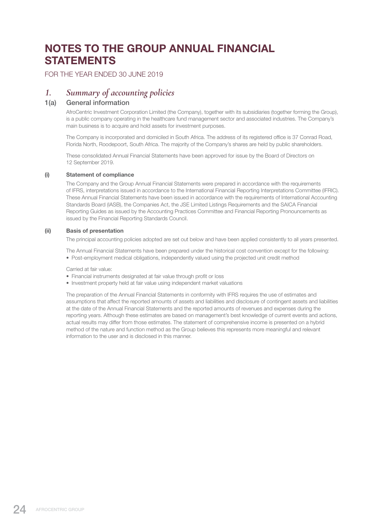# NOTES TO THE GROUP ANNUAL FINANCIAL **STATEMENTS**

FOR THE YEAR ENDED 30 JUNE 2019

# *1. Summary of accounting policies*

# 1(a) General information

 AfroCentric Investment Corporation Limited (the Company), together with its subsidiaries (together forming the Group), is a public company operating in the healthcare fund management sector and associated industries. The Company's main business is to acquire and hold assets for investment purposes.

 The Company is incorporated and domiciled in South Africa. The address of its registered office is 37 Conrad Road, Florida North, Roodepoort, South Africa. The majority of the Company's shares are held by public shareholders.

 These consolidated Annual Financial Statements have been approved for issue by the Board of Directors on 12 September 2019.

### (i) Statement of compliance

 The Company and the Group Annual Financial Statements were prepared in accordance with the requirements of IFRS, interpretations issued in accordance to the International Financial Reporting Interpretations Committee (IFRIC). These Annual Financial Statements have been issued in accordance with the requirements of International Accounting Standards Board (IASB), the Companies Act, the JSE Limited Listings Requirements and the SAICA Financial Reporting Guides as issued by the Accounting Practices Committee and Financial Reporting Pronouncements as issued by the Financial Reporting Standards Council.

### (ii) Basis of presentation

The principal accounting policies adopted are set out below and have been applied consistently to all years presented.

The Annual Financial Statements have been prepared under the historical cost convention except for the following:

• Post-employment medical obligations, independently valued using the projected unit credit method

Carried at fair value:

- Financial instruments designated at fair value through profit or loss
- Investment property held at fair value using independent market valuations

 The preparation of the Annual Financial Statements in conformity with IFRS requires the use of estimates and assumptions that affect the reported amounts of assets and liabilities and disclosure of contingent assets and liabilities at the date of the Annual Financial Statements and the reported amounts of revenues and expenses during the reporting years. Although these estimates are based on management's best knowledge of current events and actions, actual results may differ from those estimates. The statement of comprehensive income is presented on a hybrid method of the nature and function method as the Group believes this represents more meaningful and relevant information to the user and is disclosed in this manner.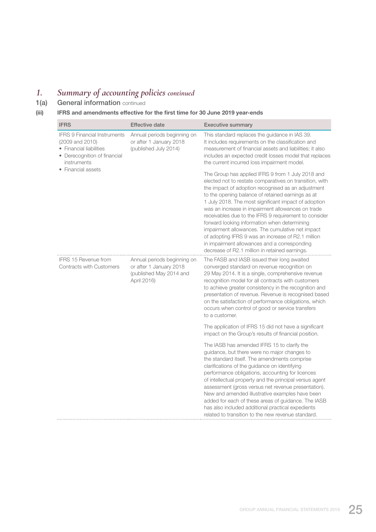# *1. Summary of accounting policies continued*

1(a) General information continued

# (iii) IFRS and amendments effective for the first time for 30 June 2019 year-ends

| <b>IFRS</b>                                                                                                                      | <b>Effective date</b>                                                                            | <b>Executive summary</b>                                                                                                                                                                                                                                                                                                                                                                                                                                                                                                                                                                                                                                  |
|----------------------------------------------------------------------------------------------------------------------------------|--------------------------------------------------------------------------------------------------|-----------------------------------------------------------------------------------------------------------------------------------------------------------------------------------------------------------------------------------------------------------------------------------------------------------------------------------------------------------------------------------------------------------------------------------------------------------------------------------------------------------------------------------------------------------------------------------------------------------------------------------------------------------|
| <b>IFRS 9 Financial Instruments</b><br>(2009 and 2010)<br>• Financial liabilities<br>• Derecognition of financial<br>instruments | Annual periods beginning on<br>or after 1 January 2018<br>(published July 2014)                  | This standard replaces the guidance in IAS 39.<br>It includes requirements on the classification and<br>measurement of financial assets and liabilities; it also<br>includes an expected credit losses model that replaces<br>the current incurred loss impairment model.                                                                                                                                                                                                                                                                                                                                                                                 |
| • Financial assets                                                                                                               |                                                                                                  | The Group has applied IFRS 9 from 1 July 2018 and<br>elected not to restate comparatives on transition, with<br>the impact of adoption recognised as an adjustment<br>to the opening balance of retained earnings as at<br>1 July 2018. The most significant impact of adoption<br>was an increase in impairment allowances on trade<br>receivables due to the IFRS 9 requirement to consider<br>forward looking information when determining<br>impairment allowances. The cumulative net impact<br>of adopting IFRS 9 was an increase of R2.1 million<br>in impairment allowances and a corresponding<br>decrease of R2.1 million in retained earnings. |
| <b>IFRS 15 Revenue from</b><br><b>Contracts with Customers</b>                                                                   | Annual periods beginning on<br>or after 1 January 2018<br>(published May 2014 and<br>April 2016) | The FASB and IASB issued their long awaited<br>converged standard on revenue recognition on<br>29 May 2014. It is a single, comprehensive revenue<br>recognition model for all contracts with customers<br>to achieve greater consistency in the recognition and<br>presentation of revenue. Revenue is recognised based<br>on the satisfaction of performance obligations, which<br>occurs when control of good or service transfers<br>to a customer.                                                                                                                                                                                                   |
|                                                                                                                                  |                                                                                                  | The application of IFRS 15 did not have a significant<br>impact on the Group's results of financial position.                                                                                                                                                                                                                                                                                                                                                                                                                                                                                                                                             |
|                                                                                                                                  |                                                                                                  | The IASB has amended IFRS 15 to clarify the<br>guidance, but there were no major changes to<br>the standard itself. The amendments comprise<br>clarifications of the guidance on identifying<br>performance obligations, accounting for licences<br>of intellectual property and the principal versus agent<br>assessment (gross versus net revenue presentation).<br>New and amended illustrative examples have been<br>added for each of these areas of guidance. The IASB<br>has also included additional practical expedients<br>related to transition to the new revenue standard.                                                                   |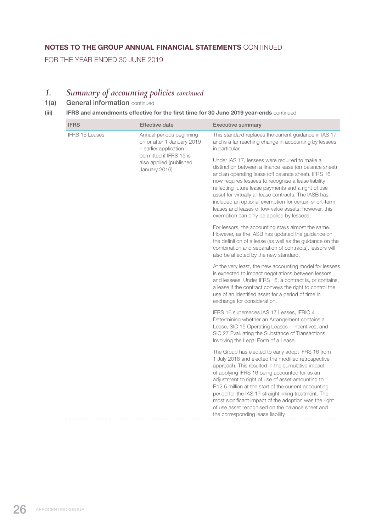# NOTES TO THE GROUP ANNUAL FINANCIAL STATEMENTS CONTINUED

FOR THE YEAR ENDED 30 JUNE 2019

# *1. Summary of accounting policies continued*

1(a) General information continued

# (iii) IFRS and amendments effective for the first time for 30 June 2019 year-ends continued

| <b>IFRS</b>                                                         | <b>Effective date</b>                                                                                                                                                                                                                                                                                                                                                                                                                                                                               | <b>Executive summary</b>                                                                                                                                                                                                                                                                                                                                                                                                                                                                                                            |
|---------------------------------------------------------------------|-----------------------------------------------------------------------------------------------------------------------------------------------------------------------------------------------------------------------------------------------------------------------------------------------------------------------------------------------------------------------------------------------------------------------------------------------------------------------------------------------------|-------------------------------------------------------------------------------------------------------------------------------------------------------------------------------------------------------------------------------------------------------------------------------------------------------------------------------------------------------------------------------------------------------------------------------------------------------------------------------------------------------------------------------------|
| <b>IFRS 16 Leases</b>                                               | Annual periods beginning<br>on or after 1 January 2019<br>- earlier application                                                                                                                                                                                                                                                                                                                                                                                                                     | This standard replaces the current guidance in IAS 17<br>and is a far reaching change in accounting by lessees<br>in particular.                                                                                                                                                                                                                                                                                                                                                                                                    |
| permitted if IFRS 15 is<br>also applied (published<br>January 2016) | Under IAS 17, lessees were required to make a<br>distinction between a finance lease (on balance sheet)<br>and an operating lease (off balance sheet). IFRS 16<br>now requires lessees to recognise a lease liability<br>reflecting future lease payments and a right of use<br>asset for virtually all lease contracts. The IASB has<br>included an optional exemption for certain short-term<br>leases and leases of low-value assets; however, this<br>exemption can only be applied by lessees. |                                                                                                                                                                                                                                                                                                                                                                                                                                                                                                                                     |
|                                                                     | For lessors, the accounting stays almost the same.<br>However, as the IASB has updated the guidance on<br>the definition of a lease (as well as the guidance on the<br>combination and separation of contracts), lessors will<br>also be affected by the new standard.                                                                                                                                                                                                                              |                                                                                                                                                                                                                                                                                                                                                                                                                                                                                                                                     |
|                                                                     | At the very least, the new accounting model for lessees<br>is expected to impact negotiations between lessors<br>and lessees. Under IFRS 16, a contract is, or contains,<br>a lease if the contract conveys the right to control the<br>use of an identified asset for a period of time in<br>exchange for consideration.                                                                                                                                                                           |                                                                                                                                                                                                                                                                                                                                                                                                                                                                                                                                     |
|                                                                     | IFRS 16 supersedes IAS 17 Leases, IFRIC 4<br>Determining whether an Arrangement contains a<br>Lease, SIC 15 Operating Leases - Incentives, and<br>SIC 27 Evaluating the Substance of Transactions<br>Involving the Legal Form of a Lease.                                                                                                                                                                                                                                                           |                                                                                                                                                                                                                                                                                                                                                                                                                                                                                                                                     |
|                                                                     |                                                                                                                                                                                                                                                                                                                                                                                                                                                                                                     | The Group has elected to early adopt IFRS 16 from<br>1 July 2018 and elected the modified retrospective<br>approach. This resulted in the cumulative impact<br>of applying IFRS 16 being accounted for as an<br>adjustment to right of use of asset amounting to<br>R12.5 million at the start of the current accounting<br>period for the IAS 17 straight-lining treatment. The<br>most significant impact of the adoption was the right<br>of use asset recognised on the balance sheet and<br>the corresponding lease liability. |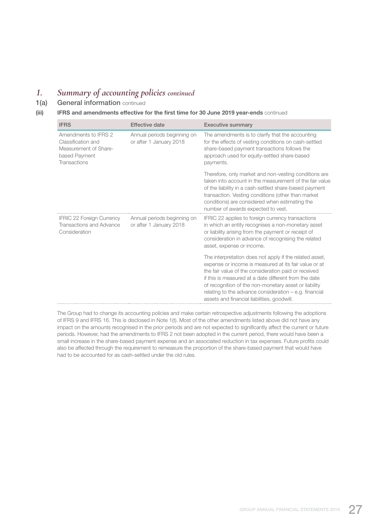# *1. Summary of accounting policies continued*

1(a) General information continued

### (iii) IFRS and amendments effective for the first time for 30 June 2019 year-ends continued

| <b>IFRS</b>                                                                                                 | <b>Effective date</b>                                  | <b>Executive summary</b>                                                                                                                                                                                                                                                                                                                                                                                                                                                                                                                                                       |
|-------------------------------------------------------------------------------------------------------------|--------------------------------------------------------|--------------------------------------------------------------------------------------------------------------------------------------------------------------------------------------------------------------------------------------------------------------------------------------------------------------------------------------------------------------------------------------------------------------------------------------------------------------------------------------------------------------------------------------------------------------------------------|
| Amendments to IFRS 2<br>Classification and<br>Measurement of Share-<br>based Payment<br><b>Transactions</b> | Annual periods beginning on<br>or after 1 January 2018 | The amendments is to clarify that the accounting<br>for the effects of vesting conditions on cash-settled<br>share-based payment transactions follows the<br>approach used for equity-settled share-based<br>payments.                                                                                                                                                                                                                                                                                                                                                         |
| <b>IFRIC 22 Foreign Currency</b><br>Transactions and Advance<br>Consideration                               | Annual periods beginning on<br>or after 1 January 2018 | Therefore, only market and non-vesting conditions are<br>taken into account in the measurement of the fair value<br>of the liability in a cash-settled share-based payment<br>transaction. Vesting conditions (other than market<br>conditions) are considered when estimating the<br>number of awards expected to vest.<br>IFRIC 22 applies to foreign currency transactions<br>in which an entity recognises a non-monetary asset<br>or liability arising from the payment or receipt of<br>consideration in advance of recognising the related<br>asset, expense or income. |
|                                                                                                             |                                                        | The interpretation does not apply if the related asset,<br>expense or income is measured at its fair value or at<br>the fair value of the consideration paid or received<br>if this is measured at a date different from the date<br>of recognition of the non-monetary asset or liability<br>relating to the advance consideration - e.g. financial<br>assets and financial liabilities, goodwill.                                                                                                                                                                            |

 The Group had to change its accounting policies and make certain retrospective adjustments following the adoptions of IFRS 9 and IFRS 16. This is disclosed in Note 1(t). Most of the other amendments listed above did not have any impact on the amounts recognised in the prior periods and are not expected to significantly affect the current or future periods. However, had the amendments to IFRS 2 not been adopted in the current period, there would have been a small increase in the share-based payment expense and an associated reduction in tax expenses. Future profits could also be affected through the requirement to remeasure the proportion of the share-based payment that would have had to be accounted for as cash-settled under the old rules.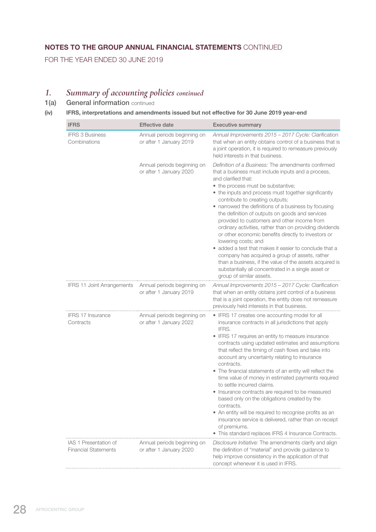# NOTES TO THE GROUP ANNUAL FINANCIAL STATEMENTS CONTINUED

FOR THE YEAR ENDED 30 JUNE 2019

# *1. Summary of accounting policies continued*

1(a) General information continued

# (iv) IFRS, interpretations and amendments issued but not effective for 30 June 2019 year-end

| <b>IFRS</b>                                          | <b>Effective date</b>                                  | <b>Executive summary</b>                                                                                                                                                                                                                                                                                                                                                                                                                                                                                                                                                                                                                                                                                                                                                                                                      |
|------------------------------------------------------|--------------------------------------------------------|-------------------------------------------------------------------------------------------------------------------------------------------------------------------------------------------------------------------------------------------------------------------------------------------------------------------------------------------------------------------------------------------------------------------------------------------------------------------------------------------------------------------------------------------------------------------------------------------------------------------------------------------------------------------------------------------------------------------------------------------------------------------------------------------------------------------------------|
| <b>IFRS 3 Business</b><br>Combinations               | Annual periods beginning on<br>or after 1 January 2019 | Annual Improvements 2015 - 2017 Cycle: Clarification<br>that when an entity obtains control of a business that is<br>a joint operation, it is required to remeasure previously<br>held interests in that business.                                                                                                                                                                                                                                                                                                                                                                                                                                                                                                                                                                                                            |
|                                                      | Annual periods beginning on<br>or after 1 January 2020 | Definition of a Business: The amendments confirmed<br>that a business must include inputs and a process,<br>and clarified that:<br>• the process must be substantive;<br>• the inputs and process must together significantly<br>contribute to creating outputs;<br>• narrowed the definitions of a business by focusing<br>the definition of outputs on goods and services<br>provided to customers and other income from<br>ordinary activities, rather than on providing dividends<br>or other economic benefits directly to investors or<br>lowering costs; and<br>• added a test that makes it easier to conclude that a<br>company has acquired a group of assets, rather<br>than a business, if the value of the assets acquired is<br>substantially all concentrated in a single asset or<br>group of similar assets. |
| <b>IFRS 11 Joint Arrangements</b>                    | Annual periods beginning on<br>or after 1 January 2019 | Annual Improvements 2015 - 2017 Cycle: Clarification<br>that when an entity obtains joint control of a business<br>that is a joint operation, the entity does not remeasure<br>previously held interests in that business.                                                                                                                                                                                                                                                                                                                                                                                                                                                                                                                                                                                                    |
| IFRS 17 Insurance<br>Contracts                       | Annual periods beginning on<br>or after 1 January 2022 | • IFRS 17 creates one accounting model for all<br>insurance contracts in all jurisdictions that apply<br>IFRS.<br>• IFRS 17 requires an entity to measure insurance<br>contracts using updated estimates and assumptions<br>that reflect the timing of cash flows and take into<br>account any uncertainty relating to insurance<br>contracts.<br>• The financial statements of an entity will reflect the<br>time value of money in estimated payments required<br>to settle incurred claims.<br>• Insurance contracts are required to be measured<br>based only on the obligations created by the<br>contracts.<br>• An entity will be required to recognise profits as an<br>insurance service is delivered, rather than on receipt<br>of premiums.<br>• This standard replaces IFRS 4 Insurance Contracts.                |
| IAS 1 Presentation of<br><b>Financial Statements</b> | Annual periods beginning on<br>or after 1 January 2020 | Disclosure Initiative: The amendments clarify and align<br>the definition of "material" and provide guidance to<br>help improve consistency in the application of that<br>concept whenever it is used in IFRS.                                                                                                                                                                                                                                                                                                                                                                                                                                                                                                                                                                                                                |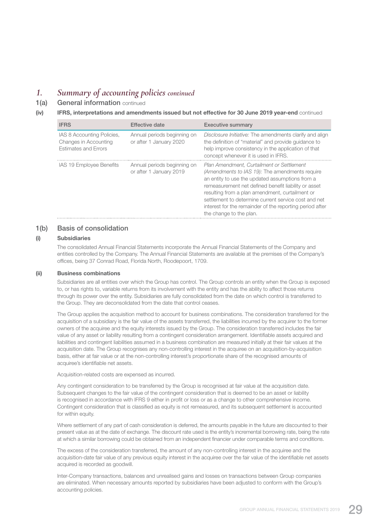# *1. Summary of accounting policies continued*

1(a) General information continued

### (iv) IFRS, interpretations and amendments issued but not effective for 30 June 2019 year-end continued

| <b>IFRS</b>                                                                 | <b>Effective date</b>                                  | <b>Executive summary</b>                                                                                                                                                                                                                                                                                                                                                                                 |
|-----------------------------------------------------------------------------|--------------------------------------------------------|----------------------------------------------------------------------------------------------------------------------------------------------------------------------------------------------------------------------------------------------------------------------------------------------------------------------------------------------------------------------------------------------------------|
| IAS 8 Accounting Policies,<br>Changes in Accounting<br>Estimates and Errors | Annual periods beginning on<br>or after 1 January 2020 | Disclosure Initiative: The amendments clarify and align<br>the definition of "material" and provide guidance to<br>help improve consistency in the application of that<br>concept whenever it is used in IFRS.                                                                                                                                                                                           |
| IAS 19 Employee Benefits                                                    | Annual periods beginning on<br>or after 1 January 2019 | Plan Amendment, Curtailment or Settlement<br>(Amendments to IAS 19): The amendments require<br>an entity to use the updated assumptions from a<br>remeasurement net defined benefit liability or asset<br>resulting from a plan amendment, curtailment or<br>settlement to determine current service cost and net<br>interest for the remainder of the reporting period after<br>the change to the plan. |

# 1(b) Basis of consolidation

### (i) Subsidiaries

 The consolidated Annual Financial Statements incorporate the Annual Financial Statements of the Company and entities controlled by the Company. The Annual Financial Statements are available at the premises of the Company's offices, being 37 Conrad Road, Florida North, Roodepoort, 1709.

### (ii) Business combinations

 Subsidiaries are all entities over which the Group has control. The Group controls an entity when the Group is exposed to, or has rights to, variable returns from its involvement with the entity and has the ability to affect those returns through its power over the entity. Subsidiaries are fully consolidated from the date on which control is transferred to the Group. They are deconsolidated from the date that control ceases.

 The Group applies the acquisition method to account for business combinations. The consideration transferred for the acquisition of a subsidiary is the fair value of the assets transferred, the liabilities incurred by the acquirer to the former owners of the acquiree and the equity interests issued by the Group. The consideration transferred includes the fair value of any asset or liability resulting from a contingent consideration arrangement. Identifiable assets acquired and liabilities and contingent liabilities assumed in a business combination are measured initially at their fair values at the acquisition date. The Group recognises any non-controlling interest in the acquiree on an acquisition-by-acquisition basis, either at fair value or at the non-controlling interest's proportionate share of the recognised amounts of acquiree's identifiable net assets.

Acquisition-related costs are expensed as incurred.

 Any contingent consideration to be transferred by the Group is recognised at fair value at the acquisition date. Subsequent changes to the fair value of the contingent consideration that is deemed to be an asset or liability is recognised in accordance with IFRS 9 either in profit or loss or as a change to other comprehensive income. Contingent consideration that is classified as equity is not remeasured, and its subsequent settlement is accounted for within equity.

 Where settlement of any part of cash consideration is deferred, the amounts payable in the future are discounted to their present value as at the date of exchange. The discount rate used is the entity's incremental borrowing rate, being the rate at which a similar borrowing could be obtained from an independent financier under comparable terms and conditions.

 The excess of the consideration transferred, the amount of any non-controlling interest in the acquiree and the acquisition-date fair value of any previous equity interest in the acquiree over the fair value of the identifiable net assets acquired is recorded as goodwill.

 Inter-Company transactions, balances and unrealised gains and losses on transactions between Group companies are eliminated. When necessary amounts reported by subsidiaries have been adjusted to conform with the Group's accounting policies.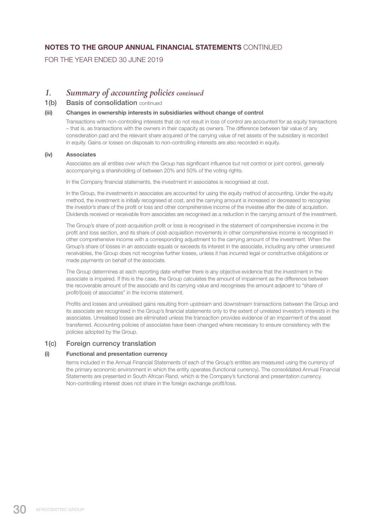# NOTES TO THE GROUP ANNUAL FINANCIAL STATEMENTS CONTINUED

FOR THE YEAR ENDED 30 JUNE 2019

# *1. Summary of accounting policies continued*

# 1(b) Basis of consolidation continued

### (iii) Changes in ownership interests in subsidiaries without change of control

 Transactions with non-controlling interests that do not result in loss of control are accounted for as equity transactions – that is, as transactions with the owners in their capacity as owners. The difference between fair value of any consideration paid and the relevant share acquired of the carrying value of net assets of the subsidiary is recorded in equity. Gains or losses on disposals to non-controlling interests are also recorded in equity.

### (iv) Associates

 Associates are all entities over which the Group has significant influence but not control or joint control, generally accompanying a shareholding of between 20% and 50% of the voting rights.

In the Company financial statements, the investment in associates is recognised at cost.

In the Group, the investments in associates are accounted for using the equity method of accounting. Under the equity method, the investment is initially recognised at cost, and the carrying amount is increased or decreased to recognise the investor's share of the profit or loss and other comprehensive income of the investee after the date of acquisition. Dividends received or receivable from associates are recognised as a reduction in the carrying amount of the investment.

 The Group's share of post-acquisition profit or loss is recognised in the statement of comprehensive income in the profit and loss section, and its share of post-acquisition movements in other comprehensive income is recognised in other comprehensive income with a corresponding adjustment to the carrying amount of the investment. When the Group's share of losses in an associate equals or exceeds its interest in the associate, including any other unsecured receivables, the Group does not recognise further losses, unless it has incurred legal or constructive obligations or made payments on behalf of the associate.

 The Group determines at each reporting date whether there is any objective evidence that the investment in the associate is impaired. If this is the case, the Group calculates the amount of impairment as the difference between the recoverable amount of the associate and its carrying value and recognises the amount adjacent to "share of profit/(loss) of associates" in the income statement.

 Profits and losses and unrealised gains resulting from upstream and downstream transactions between the Group and its associate are recognised in the Group's financial statements only to the extent of unrelated investor's interests in the associates. Unrealised losses are eliminated unless the transaction provides evidence of an impairment of the asset transferred. Accounting policies of associates have been changed where necessary to ensure consistency with the policies adopted by the Group.

# 1(c) Foreign currency translation

# (i) Functional and presentation currency

 Items included in the Annual Financial Statements of each of the Group's entities are measured using the currency of the primary economic environment in which the entity operates (functional currency). The consolidated Annual Financial Statements are presented in South African Rand, which is the Company's functional and presentation currency. Non-controlling interest does not share in the foreign exchange profit/loss.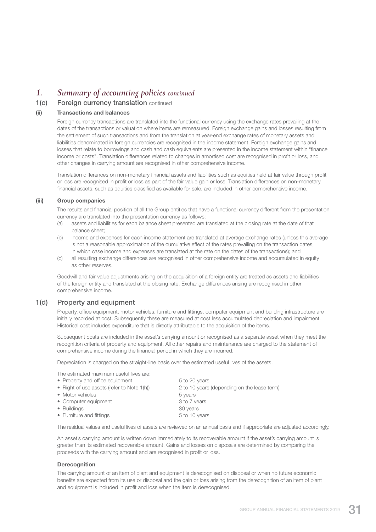# *1. Summary of accounting policies continued*

# 1(c) Foreign currency translation continued

### (ii) Transactions and balances

 Foreign currency transactions are translated into the functional currency using the exchange rates prevailing at the dates of the transactions or valuation where items are remeasured. Foreign exchange gains and losses resulting from the settlement of such transactions and from the translation at year-end exchange rates of monetary assets and liabilities denominated in foreign currencies are recognised in the income statement. Foreign exchange gains and losses that relate to borrowings and cash and cash equivalents are presented in the income statement within "finance income or costs". Translation differences related to changes in amortised cost are recognised in profit or loss, and other changes in carrying amount are recognised in other comprehensive income.

 Translation differences on non-monetary financial assets and liabilities such as equities held at fair value through profit or loss are recognised in profit or loss as part of the fair value gain or loss. Translation differences on non-monetary financial assets, such as equities classified as available for sale, are included in other comprehensive income.

### (iii) Group companies

 The results and financial position of all the Group entities that have a functional currency different from the presentation currency are translated into the presentation currency as follows:

- (a) assets and liabilities for each balance sheet presented are translated at the closing rate at the date of that balance sheet;
- (b) income and expenses for each income statement are translated at average exchange rates (unless this average is not a reasonable approximation of the cumulative effect of the rates prevailing on the transaction dates, in which case income and expenses are translated at the rate on the dates of the transactions); and
- (c) all resulting exchange differences are recognised in other comprehensive income and accumulated in equity as other reserves.

 Goodwill and fair value adjustments arising on the acquisition of a foreign entity are treated as assets and liabilities of the foreign entity and translated at the closing rate. Exchange differences arising are recognised in other comprehensive income.

### 1(d) Property and equipment

 Property, office equipment, motor vehicles, furniture and fittings, computer equipment and building infrastructure are initially recorded at cost. Subsequently these are measured at cost less accumulated depreciation and impairment. Historical cost includes expenditure that is directly attributable to the acquisition of the items.

Subsequent costs are included in the asset's carrying amount or recognised as a separate asset when they meet the recognition criteria of property and equipment. All other repairs and maintenance are charged to the statement of comprehensive income during the financial period in which they are incurred.

Depreciation is charged on the straight-line basis over the estimated useful lives of the assets.

The estimated maximum useful lives are:

| • Property and office equipment            | 5 to 20 years                               |
|--------------------------------------------|---------------------------------------------|
| • Right of use assets (refer to Note 1(h)) | 2 to 10 years (depending on the lease term) |
| • Motor vehicles                           | 5 years                                     |
| • Computer equipment                       | 3 to 7 years                                |
| • Buildings                                | 30 years                                    |
| • Furniture and fittings                   | 5 to 10 years                               |
|                                            |                                             |

The residual values and useful lives of assets are reviewed on an annual basis and if appropriate are adjusted accordingly.

 An asset's carrying amount is written down immediately to its recoverable amount if the asset's carrying amount is greater than its estimated recoverable amount. Gains and losses on disposals are determined by comparing the proceeds with the carrying amount and are recognised in profit or loss.

### **Derecognition**

 The carrying amount of an item of plant and equipment is derecognised on disposal or when no future economic benefits are expected from its use or disposal and the gain or loss arising from the derecognition of an item of plant and equipment is included in profit and loss when the item is derecognised.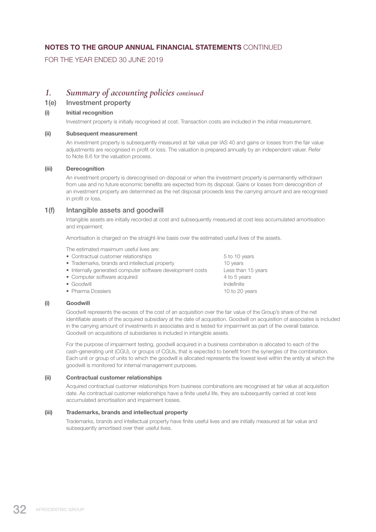# NOTES TO THE GROUP ANNUAL FINANCIAL STATEMENTS CONTINUED

FOR THE YEAR ENDED 30 JUNE 2019

# *1. Summary of accounting policies continued*

# 1(e) Investment property

### (i) Initial recognition

Investment property is initially recognised at cost. Transaction costs are included in the initial measurement.

### (ii) Subsequent measurement

 An investment property is subsequently measured at fair value per IAS 40 and gains or losses from the fair value adjustments are recognised in profit or loss. The valuation is prepared annually by an independent valuer. Refer to Note 8.6 for the valuation process.

### (iii) Derecognition

 An investment property is derecognised on disposal or when the investment property is permanently withdrawn from use and no future economic benefits are expected from its disposal. Gains or losses from derecognition of an investment property are determined as the net disposal proceeds less the carrying amount and are recognised in profit or loss.

# 1(f) Intangible assets and goodwill

 Intangible assets are initially recorded at cost and subsequently measured at cost less accumulated amortisation and impairment.

Amortisation is charged on the straight-line basis over the estimated useful lives of the assets.

The estimated maximum useful lives are:

- Contractual customer relationships 6 to 10 years
- Trademarks, brands and intellectual property 10 years • Internally generated computer software development costs Less than 15 years • Computer software acquired  $4$  to 5 years • Goodwill **Indefinite** • Pharma Dossiers 10 to 20 years

### (i) Goodwill

 Goodwill represents the excess of the cost of an acquisition over the fair value of the Group's share of the net identifiable assets of the acquired subsidiary at the date of acquisition. Goodwill on acquisition of associates is included in the carrying amount of investments in associates and is tested for impairment as part of the overall balance. Goodwill on acquisitions of subsidiaries is included in intangible assets.

 For the purpose of impairment testing, goodwill acquired in a business combination is allocated to each of the cash-generating unit (CGU), or groups of CGUs, that is expected to benefit from the synergies of the combination. Each unit or group of units to which the goodwill is allocated represents the lowest level within the entity at which the goodwill is monitored for internal management purposes.

### (ii) Contractual customer relationships

 Acquired contractual customer relationships from business combinations are recognised at fair value at acquisition date. As contractual customer relationships have a finite useful life, they are subsequently carried at cost less accumulated amortisation and impairment losses.

### (iii) Trademarks, brands and intellectual property

 Trademarks, brands and intellectual property have finite useful lives and are initially measured at fair value and subsequently amortised over their useful lives.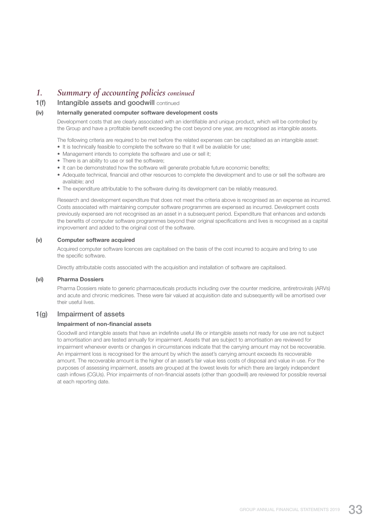# *1. Summary of accounting policies continued*

# 1(f) Intangible assets and goodwill continued

### (iv) Internally generated computer software development costs

 Development costs that are clearly associated with an identifiable and unique product, which will be controlled by the Group and have a profitable benefit exceeding the cost beyond one year, are recognised as intangible assets.

The following criteria are required to be met before the related expenses can be capitalised as an intangible asset:

- It is technically feasible to complete the software so that it will be available for use;
- Management intends to complete the software and use or sell it;
- There is an ability to use or sell the software;
- It can be demonstrated how the software will generate probable future economic benefits;
- Adequate technical, financial and other resources to complete the development and to use or sell the software are available; and
- The expenditure attributable to the software during its development can be reliably measured.

 Research and development expenditure that does not meet the criteria above is recognised as an expense as incurred. Costs associated with maintaining computer software programmes are expensed as incurred. Development costs previously expensed are not recognised as an asset in a subsequent period. Expenditure that enhances and extends the benefits of computer software programmes beyond their original specifications and lives is recognised as a capital improvement and added to the original cost of the software.

### (v) Computer software acquired

 Acquired computer software licences are capitalised on the basis of the cost incurred to acquire and bring to use the specific software.

Directly attributable costs associated with the acquisition and installation of software are capitalised.

### (vi) Pharma Dossiers

 Pharma Dossiers relate to generic pharmaceuticals products including over the counter medicine, antiretrovirals (ARVs) and acute and chronic medicines. These were fair valued at acquisition date and subsequently will be amortised over their useful lives.

# 1(g) Impairment of assets

### Impairment of non-financial assets

 Goodwill and intangible assets that have an indefinite useful life or intangible assets not ready for use are not subject to amortisation and are tested annually for impairment. Assets that are subject to amortisation are reviewed for impairment whenever events or changes in circumstances indicate that the carrying amount may not be recoverable. An impairment loss is recognised for the amount by which the asset's carrying amount exceeds its recoverable amount. The recoverable amount is the higher of an asset's fair value less costs of disposal and value in use. For the purposes of assessing impairment, assets are grouped at the lowest levels for which there are largely independent cash inflows (CGUs). Prior impairments of non-financial assets (other than goodwill) are reviewed for possible reversal at each reporting date.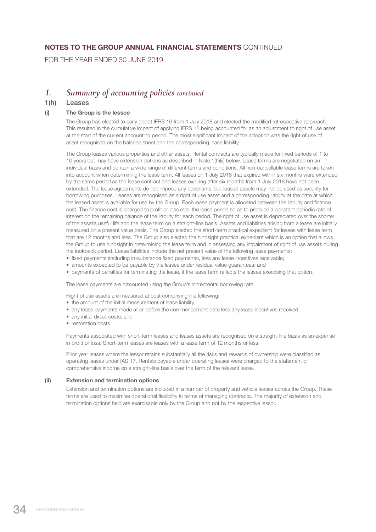# NOTES TO THE GROUP ANNUAL FINANCIAL STATEMENTS CONTINUED

FOR THE YEAR ENDED 30 JUNE 2019

# *1. Summary of accounting policies continued*

### 1(h) Leases

### (i) The Group is the lessee

 The Group has elected to early adopt IFRS 16 from 1 July 2018 and elected the modified retrospective approach. This resulted in the cumulative impact of applying IFRS 16 being accounted for as an adjustment to right of use asset at the start of the current accounting period. The most significant impact of the adoption was the right of use of asset recognised on the balance sheet and the corresponding lease liability.

 The Group leases various properties and other assets. Rental contracts are typically made for fixed periods of 1 to 10 years but may have extension options as described in Note 1(h)(ii) below. Lease terms are negotiated on an individual basis and contain a wide range of different terms and conditions. All non-cancellable lease terms are taken into account when determining the lease term. All leases on 1 July 2018 that expired within six months were extended by the same period as the lease contract and leases expiring after six months from 1 July 2018 have not been extended. The lease agreements do not impose any covenants, but leased assets may not be used as security for borrowing purposes. Leases are recognised as a right of use asset and a corresponding liability at the date at which the leased asset is available for use by the Group. Each lease payment is allocated between the liability and finance cost. The finance cost is charged to profit or loss over the lease period so as to produce a constant periodic rate of interest on the remaining balance of the liability for each period. The right of use asset is depreciated over the shorter of the asset's useful life and the lease term on a straight-line basis. Assets and liabilities arising from a lease are initially measured on a present value basis. The Group elected the short-term practical expedient for leases with lease term that are 12 months and less. The Group also elected the hindsight practical expedient which is an option that allows the Group to use hindsight in determining the lease term and in assessing any impairment of right of use assets during the lookback period. Lease liabilities include the net present value of the following lease payments:

- fixed payments (including in-substance fixed payments), less any lease incentives receivable;
- amounts expected to be payable by the lessee under residual value guarantees; and
- payments of penalties for terminating the lease, if the lease term reflects the lessee exercising that option.

The lease payments are discounted using the Group's incremental borrowing rate.

Right of use assets are measured at cost comprising the following:

- the amount of the initial measurement of lease liability;
- any lease payments made at or before the commencement date less any lease incentives received;
- any initial direct costs; and
- restoration costs.

 Payments associated with short-term leases and leases assets are recognised on a straight-line basis as an expense in profit or loss. Short-term leases are leases with a lease term of 12 months or less.

 Prior year leases where the lessor retains substantially all the risks and rewards of ownership were classified as operating leases under IAS 17. Rentals payable under operating leases were charged to the statement of comprehensive income on a straight-line basis over the term of the relevant lease.

### (ii) Extension and termination options

 Extension and termination options are included in a number of property and vehicle leases across the Group. These terms are used to maximise operational flexibility in terms of managing contracts. The majority of extension and termination options held are exercisable only by the Group and not by the respective lessor.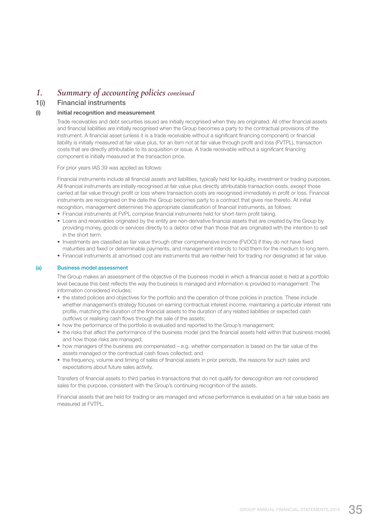## *1. Summary of accounting policies continued*

### 1(i) Financial instruments

#### (i) Initial recognition and measurement

 Trade receivables and debt securities issued are initially recognised when they are originated. All other financial assets and financial liabilities are initially recognised when the Group becomes a party to the contractual provisions of the instrument. A financial asset (unless it is a trade receivable without a significant financing component) or financial liability is initially measured at fair value plus, for an item not at fair value through profit and loss (FVTPL), transaction costs that are directly attributable to its acquisition or issue. A trade receivable without a significant financing component is initially measured at the transaction price.

For prior years IAS 39 was applied as follows:

 Financial instruments include all financial assets and liabilities, typically held for liquidity, investment or trading purposes. All financial instruments are initially recognised at fair value plus directly attributable transaction costs, except those carried at fair value through profit or loss where transaction costs are recognised immediately in profit or loss. Financial instruments are recognised on the date the Group becomes party to a contract that gives rise thereto. At initial recognition, management determines the appropriate classification of financial instruments, as follows:

- Financial instruments at FVPL comprise financial instruments held for short-term profit taking.
- Loans and receivables originated by the entity are non-derivative financial assets that are created by the Group by providing money, goods or services directly to a debtor other than those that are originated with the intention to sell in the short term.
- Investments are classified as fair value through other comprehensive income (FVOCI) if they do not have fixed maturities and fixed or determinable payments, and management intends to hold them for the medium to long term.
- Financial instruments at amortised cost are instruments that are neither held for trading nor designated at fair value.

#### (a) Business model assessment

 The Group makes an assessment of the objective of the business model in which a financial asset is held at a portfolio level because this best reflects the way the business is managed and information is provided to management. The information considered includes:

- the stated policies and objectives for the portfolio and the operation of those policies in practice. These include whether management's strategy focuses on earning contractual interest income, maintaining a particular interest rate profile, matching the duration of the financial assets to the duration of any related liabilities or expected cash outflows or realising cash flows through the sale of the assets;
- how the performance of the portfolio is evaluated and reported to the Group's management;
- the risks that affect the performance of the business model (and the financial assets held within that business model) and how those risks are managed;
- how managers of the business are compensated e.g. whether compensation is based on the fair value of the assets managed or the contractual cash flows collected; and
- the frequency, volume and timing of sales of financial assets in prior periods, the reasons for such sales and expectations about future sales activity.

 Transfers of financial assets to third parties in transactions that do not qualify for derecognition are not considered sales for this purpose, consistent with the Group's continuing recognition of the assets.

 Financial assets that are held for trading or are managed and whose performance is evaluated on a fair value basis are measured at FVTPL.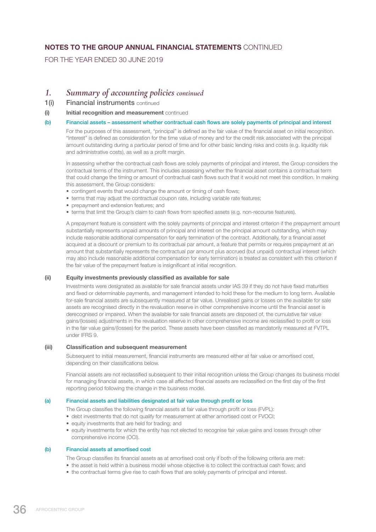FOR THE YEAR ENDED 30 JUNE 2019

## *1. Summary of accounting policies continued*

- 1(i) Financial instruments continued
- (i) Initial recognition and measurement continued

#### (b) Financial assets – assessment whether contractual cash flows are solely payments of principal and interest

 For the purposes of this assessment, "principal" is defined as the fair value of the financial asset on initial recognition. "Interest" is defined as consideration for the time value of money and for the credit risk associated with the principal amount outstanding during a particular period of time and for other basic lending risks and costs (e.g. liquidity risk and administrative costs), as well as a profit margin.

 In assessing whether the contractual cash flows are solely payments of principal and interest, the Group considers the contractual terms of the instrument. This includes assessing whether the financial asset contains a contractual term that could change the timing or amount of contractual cash flows such that it would not meet this condition. In making this assessment, the Group considers:

- contingent events that would change the amount or timing of cash flows;
- terms that may adjust the contractual coupon rate, including variable rate features;
- prepayment and extension features; and
- terms that limit the Group's claim to cash flows from specified assets (e.g. non-recourse features).

 A prepayment feature is consistent with the solely payments of principal and interest criterion if the prepayment amount substantially represents unpaid amounts of principal and interest on the principal amount outstanding, which may include reasonable additional compensation for early termination of the contract. Additionally, for a financial asset acquired at a discount or premium to its contractual par amount, a feature that permits or requires prepayment at an amount that substantially represents the contractual par amount plus accrued (but unpaid) contractual interest (which may also include reasonable additional compensation for early termination) is treated as consistent with this criterion if the fair value of the prepayment feature is insignificant at initial recognition.

#### (ii) Equity investments previously classified as available for sale

 Investments were designated as available for sale financial assets under IAS 39 if they do not have fixed maturities and fixed or determinable payments, and management intended to hold these for the medium to long term. Available for-sale financial assets are subsequently measured at fair value. Unrealised gains or losses on the available for sale assets are recognised directly in the revaluation reserve in other comprehensive income until the financial asset is derecognised or impaired. When the available for sale financial assets are disposed of, the cumulative fair value gains/(losses) adjustments in the revaluation reserve in other comprehensive income are reclassified to profit or loss in the fair value gains/(losses) for the period. These assets have been classified as mandatorily measured at FVTPL under IFRS 9.

#### (iii) Classification and subsequent measurement

 Subsequent to initial measurement, financial instruments are measured either at fair value or amortised cost, depending on their classifications below.

 Financial assets are not reclassified subsequent to their initial recognition unless the Group changes its business model for managing financial assets, in which case all affected financial assets are reclassified on the first day of the first reporting period following the change in the business model.

#### (a) Financial assets and liabilities designated at fair value through profit or loss

The Group classifies the following financial assets at fair value through profit or loss (FVPL):

- debt investments that do not qualify for measurement at either amortised cost or FVOCI;
- equity investments that are held for trading; and
- equity investments for which the entity has not elected to recognise fair value gains and losses through other comprehensive income (OCI).

#### (b) Financial assets at amortised cost

The Group classifies its financial assets as at amortised cost only if both of the following criteria are met:

- the asset is held within a business model whose objective is to collect the contractual cash flows; and
- the contractual terms give rise to cash flows that are solely payments of principal and interest.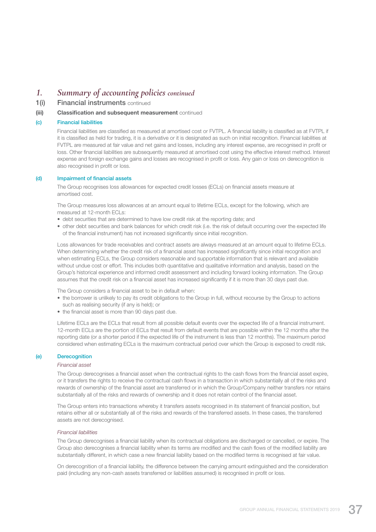## *1. Summary of accounting policies continued*

1(i) Financial instruments continued

#### (iii) Classification and subsequent measurement continued

#### (c) Financial liabilities

 Financial liabilities are classified as measured at amortised cost or FVTPL. A financial liability is classified as at FVTPL if it is classified as held for trading, it is a derivative or it is designated as such on initial recognition. Financial liabilities at FVTPL are measured at fair value and net gains and losses, including any interest expense, are recognised in profit or loss. Other financial liabilities are subsequently measured at amortised cost using the effective interest method. Interest expense and foreign exchange gains and losses are recognised in profit or loss. Any gain or loss on derecognition is also recognised in profit or loss.

#### (d) Impairment of financial assets

 The Group recognises loss allowances for expected credit losses (ECLs) on financial assets measure at amortised cost.

 The Group measures loss allowances at an amount equal to lifetime ECLs, except for the following, which are measured at 12-month FCLs:

- debt securities that are determined to have low credit risk at the reporting date; and
- other debt securities and bank balances for which credit risk (i.e. the risk of default occurring over the expected life of the financial instrument) has not increased significantly since initial recognition.

 Loss allowances for trade receivables and contract assets are always measured at an amount equal to lifetime ECLs. When determining whether the credit risk of a financial asset has increased significantly since initial recognition and when estimating ECLs, the Group considers reasonable and supportable information that is relevant and available without undue cost or effort. This includes both quantitative and qualitative information and analysis, based on the Group's historical experience and informed credit assessment and including forward looking information. The Group assumes that the credit risk on a financial asset has increased significantly if it is more than 30 days past due.

The Group considers a financial asset to be in default when:

- the borrower is unlikely to pay its credit obligations to the Group in full, without recourse by the Group to actions such as realising security (if any is held); or
- the financial asset is more than 90 days past due.

 Lifetime ECLs are the ECLs that result from all possible default events over the expected life of a financial instrument. 12-month ECLs are the portion of ECLs that result from default events that are possible within the 12 months after the reporting date (or a shorter period if the expected life of the instrument is less than 12 months). The maximum period considered when estimating ECLs is the maximum contractual period over which the Group is exposed to credit risk.

#### (e) Derecognition

#### *Financial asset*

 The Group derecognises a financial asset when the contractual rights to the cash flows from the financial asset expire, or it transfers the rights to receive the contractual cash flows in a transaction in which substantially all of the risks and rewards of ownership of the financial asset are transferred or in which the Group/Company neither transfers nor retains substantially all of the risks and rewards of ownership and it does not retain control of the financial asset.

 The Group enters into transactions whereby it transfers assets recognised in its statement of financial position, but retains either all or substantially all of the risks and rewards of the transferred assets. In these cases, the transferred assets are not derecognised.

#### *Financial liabilities*

 The Group derecognises a financial liability when its contractual obligations are discharged or cancelled, or expire. The Group also derecognises a financial liability when its terms are modified and the cash flows of the modified liability are substantially different, in which case a new financial liability based on the modified terms is recognised at fair value.

 On derecognition of a financial liability, the difference between the carrying amount extinguished and the consideration paid (including any non-cash assets transferred or liabilities assumed) is recognised in profit or loss.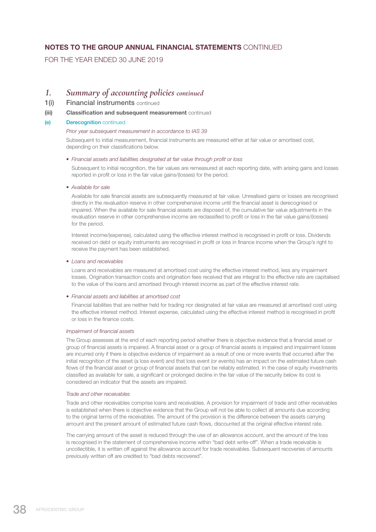FOR THE YEAR ENDED 30 JUNE 2019

## *1. Summary of accounting policies continued*

1(i) Financial instruments continued

#### (iii) Classification and subsequent measurement continued

(e) Derecognition continued

#### *Prior year subsequent measurement in accordance to IAS 39*

Subsequent to initial measurement, financial instruments are measured either at fair value or amortised cost, depending on their classifications below.

#### *• Financial assets and liabilities designated at fair value through profit or loss*

Subsequent to initial recognition, the fair values are remeasured at each reporting date, with arising gains and losses reported in profit or loss in the fair value gains/(losses) for the period.

#### *• Available for sale*

Available for sale financial assets are subsequently measured at fair value. Unrealised gains or losses are recognised directly in the revaluation reserve in other comprehensive income until the financial asset is derecognised or impaired. When the available for sale financial assets are disposed of, the cumulative fair value adjustments in the revaluation reserve in other comprehensive income are reclassified to profit or loss in the fair value gains/(losses) for the period.

Interest income/(expense), calculated using the effective interest method is recognised in profit or loss. Dividends received on debt or equity instruments are recognised in profit or loss in finance income when the Group's right to receive the payment has been established.

#### *• Loans and receivables*

Loans and receivables are measured at amortised cost using the effective interest method, less any impairment losses. Origination transaction costs and origination fees received that are integral to the effective rate are capitalised to the value of the loans and amortised through interest income as part of the effective interest rate.

#### *• Financial assets and liabilities at amortised cost*

Financial liabilities that are neither held for trading nor designated at fair value are measured at amortised cost using the effective interest method. Interest expense, calculated using the effective interest method is recognised in profit or loss in the finance costs.

#### *Impairment of financial assets*

 The Group assesses at the end of each reporting period whether there is objective evidence that a financial asset or group of financial assets is impaired. A financial asset or a group of financial assets is impaired and impairment losses are incurred only if there is objective evidence of impairment as a result of one or more events that occurred after the initial recognition of the asset (a loss event) and that loss event (or events) has an impact on the estimated future cash flows of the financial asset or group of financial assets that can be reliably estimated. In the case of equity investments classified as available for sale, a significant or prolonged decline in the fair value of the security below its cost is considered an indicator that the assets are impaired.

#### *Trade and other receivables*

 Trade and other receivables comprise loans and receivables. A provision for impairment of trade and other receivables is established when there is objective evidence that the Group will not be able to collect all amounts due according to the original terms of the receivables. The amount of the provision is the difference between the assets carrying amount and the present amount of estimated future cash flows, discounted at the original effective interest rate.

 The carrying amount of the asset is reduced through the use of an allowance account, and the amount of the loss is recognised in the statement of comprehensive income within "bad debt write-off". When a trade receivable is uncollectible, it is written off against the allowance account for trade receivables. Subsequent recoveries of amounts previously written off are credited to "bad debts recovered".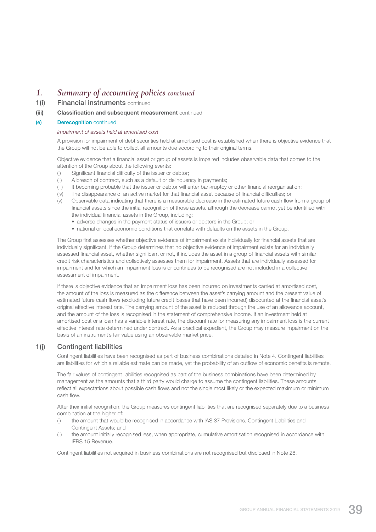## *1. Summary of accounting policies continued*

1(i) Financial instruments continued

#### (iii) Classification and subsequent measurement continued

#### (e) Derecognition continued

#### *Impairment of assets held at amortised cost*

 A provision for impairment of debt securities held at amortised cost is established when there is objective evidence that the Group will not be able to collect all amounts due according to their original terms.

 Objective evidence that a financial asset or group of assets is impaired includes observable data that comes to the attention of the Group about the following events:

- (i) Significant financial difficulty of the issuer or debtor;
- (ii) A breach of contract, such as a default or delinquency in payments;
- (iii) It becoming probable that the issuer or debtor will enter bankruptcy or other financial reorganisation;
- (iv) The disappearance of an active market for that financial asset because of financial difficulties; or
- (v) Observable data indicating that there is a measurable decrease in the estimated future cash flow from a group of financial assets since the initial recognition of those assets, although the decrease cannot yet be identified with the individual financial assets in the Group, including:
	- adverse changes in the payment status of issuers or debtors in the Group; or
	- national or local economic conditions that correlate with defaults on the assets in the Group.

 The Group first assesses whether objective evidence of impairment exists individually for financial assets that are individually significant. If the Group determines that no objective evidence of impairment exists for an individually assessed financial asset, whether significant or not, it includes the asset in a group of financial assets with similar credit risk characteristics and collectively assesses them for impairment. Assets that are individually assessed for impairment and for which an impairment loss is or continues to be recognised are not included in a collective assessment of impairment.

 If there is objective evidence that an impairment loss has been incurred on investments carried at amortised cost, the amount of the loss is measured as the difference between the asset's carrying amount and the present value of estimated future cash flows (excluding future credit losses that have been incurred) discounted at the financial asset's original effective interest rate. The carrying amount of the asset is reduced through the use of an allowance account, and the amount of the loss is recognised in the statement of comprehensive income. If an investment held at amortised cost or a loan has a variable interest rate, the discount rate for measuring any impairment loss is the current effective interest rate determined under contract. As a practical expedient, the Group may measure impairment on the basis of an instrument's fair value using an observable market price.

#### 1(j) Contingent liabilities

 Contingent liabilities have been recognised as part of business combinations detailed in Note 4. Contingent liabilities are liabilities for which a reliable estimate can be made, yet the probability of an outflow of economic benefits is remote.

 The fair values of contingent liabilities recognised as part of the business combinations have been determined by management as the amounts that a third party would charge to assume the contingent liabilities. These amounts reflect all expectations about possible cash flows and not the single most likely or the expected maximum or minimum cash flow.

 After their initial recognition, the Group measures contingent liabilities that are recognised separately due to a business combination at the higher of:

- (i) the amount that would be recognised in accordance with IAS 37 Provisions, Contingent Liabilities and Contingent Assets; and
- (ii) the amount initially recognised less, when appropriate, cumulative amortisation recognised in accordance with IFRS 15 Revenue.

Contingent liabilities not acquired in business combinations are not recognised but disclosed in Note 28.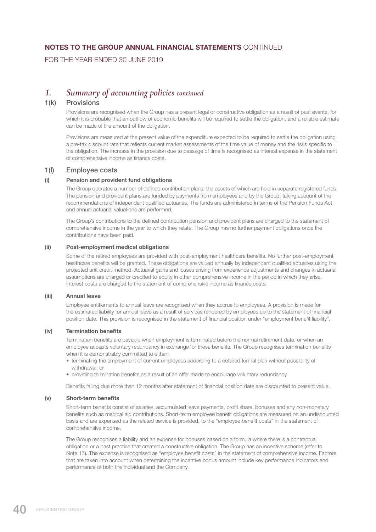FOR THE YEAR ENDED 30 JUNE 2019

## *1. Summary of accounting policies continued*

### 1(k) Provisions

Provisions are recognised when the Group has a present legal or constructive obligation as a result of past events, for which it is probable that an outflow of economic benefits will be required to settle the obligation, and a reliable estimate can be made of the amount of the obligation.

 Provisions are measured at the present value of the expenditure expected to be required to settle the obligation using a pre-tax discount rate that reflects current market assessments of the time value of money and the risks specific to the obligation. The increase in the provision due to passage of time is recognised as interest expense in the statement of comprehensive income as finance costs.

### 1(l) Employee costs

#### (i) Pension and provident fund obligations

 The Group operates a number of defined contribution plans, the assets of which are held in separate registered funds. The pension and provident plans are funded by payments from employees and by the Group, taking account of the recommendations of independent qualified actuaries. The funds are administered in terms of the Pension Funds Act and annual actuarial valuations are performed.

 The Group's contributions to the defined contribution pension and provident plans are charged to the statement of comprehensive income in the year to which they relate. The Group has no further payment obligations once the contributions have been paid.

#### (ii) Post-employment medical obligations

 Some of the retired employees are provided with post-employment healthcare benefits. No further post-employment healthcare benefits will be granted. These obligations are valued annually by independent qualified actuaries using the projected unit credit method. Actuarial gains and losses arising from experience adjustments and changes in actuarial assumptions are charged or credited to equity in other comprehensive income in the period in which they arise. Interest costs are charged to the statement of comprehensive income as finance costs.

#### (iii) Annual leave

 Employee entitlements to annual leave are recognised when they accrue to employees. A provision is made for the estimated liability for annual leave as a result of services rendered by employees up to the statement of financial position date. This provision is recognised in the statement of financial position under "employment benefit liability".

#### (iv) Termination benefits

 Termination benefits are payable when employment is terminated before the normal retirement date, or when an employee accepts voluntary redundancy in exchange for these benefits. The Group recognises termination benefits when it is demonstrably committed to either:

- terminating the employment of current employees according to a detailed formal plan without possibility of withdrawal; or
- providing termination benefits as a result of an offer made to encourage voluntary redundancy.

Benefits falling due more than 12 months after statement of financial position date are discounted to present value.

#### (v) Short-term benefits

 Short-term benefits consist of salaries, accumulated leave payments, profit share, bonuses and any non-monetary benefits such as medical aid contributions. Short-term employee benefit obligations are measured on an undiscounted basis and are expensed as the related service is provided, to the "employee benefit costs" in the statement of comprehensive income.

 The Group recognises a liability and an expense for bonuses based on a formula where there is a contractual obligation or a past practice that created a constructive obligation. The Group has an incentive scheme (refer to Note 17). The expense is recognised as "employee benefit costs" in the statement of comprehensive income. Factors that are taken into account when determining the incentive bonus amount include key performance indicators and performance of both the individual and the Company.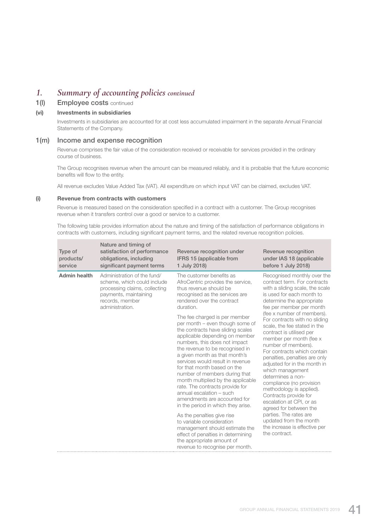## *1. Summary of accounting policies continued*

### 1(I) Employee costs continued

#### (vi) Investments in subsidiaries

 Investments in subsidiaries are accounted for at cost less accumulated impairment in the separate Annual Financial Statements of the Company.

#### 1(m) Income and expense recognition

 Revenue comprises the fair value of the consideration received or receivable for services provided in the ordinary course of business.

 The Group recognises revenue when the amount can be measured reliably, and it is probable that the future economic benefits will flow to the entity.

All revenue excludes Value Added Tax (VAT). All expenditure on which input VAT can be claimed, excludes VAT.

#### (i) Revenue from contracts with customers

 Revenue is measured based on the consideration specified in a contract with a customer. The Group recognises revenue when it transfers control over a good or service to a customer.

 The following table provides information about the nature and timing of the satisfaction of performance obligations in contracts with customers, including significant payment terms, and the related revenue recognition policies.

| Type of<br>products/<br>service | Nature and timing of<br>satisfaction of performance<br>obligations, including<br>significant payment terms                                                 | Revenue recognition under<br>IFRS 15 (applicable from<br>1 July 2018)                                                                                                                                                                                                                                                                                                                                                                                                                      | Revenue recognition<br>under IAS 18 (applicable<br>before 1 July 2018)                                                                                                                                                                                                                                                                                                                     |
|---------------------------------|------------------------------------------------------------------------------------------------------------------------------------------------------------|--------------------------------------------------------------------------------------------------------------------------------------------------------------------------------------------------------------------------------------------------------------------------------------------------------------------------------------------------------------------------------------------------------------------------------------------------------------------------------------------|--------------------------------------------------------------------------------------------------------------------------------------------------------------------------------------------------------------------------------------------------------------------------------------------------------------------------------------------------------------------------------------------|
| <b>Admin health</b>             | Administration of the fund/<br>scheme, which could include<br>processing claims, collecting<br>payments, maintaining<br>records, member<br>administration. | The customer benefits as<br>AfroCentric provides the service,<br>thus revenue should be<br>recognised as the services are<br>rendered over the contract<br>duration.<br>The fee charged is per member                                                                                                                                                                                                                                                                                      | Recognised monthly over the<br>contract term. For contracts<br>with a sliding scale, the scale<br>is used for each month to<br>determine the appropriate<br>fee per member per month<br>(fee x number of members).<br>For contracts with no sliding                                                                                                                                        |
|                                 |                                                                                                                                                            | per month – even though some of<br>the contracts have sliding scales<br>applicable depending on member<br>numbers, this does not impact<br>the revenue to be recognised in<br>a given month as that month's<br>services would result in revenue<br>for that month based on the<br>number of members during that<br>month multiplied by the applicable<br>rate. The contracts provide for<br>annual escalation - such<br>amendments are accounted for<br>in the period in which they arise. | scale, the fee stated in the<br>contract is utilised per<br>member per month (fee x<br>number of members).<br>For contracts which contain<br>penalties, penalties are only<br>adjusted for in the month in<br>which management<br>determines a non-<br>compliance (no provision<br>methodology is applied).<br>Contracts provide for<br>escalation at CPI, or as<br>agreed for between the |
|                                 |                                                                                                                                                            | As the penalties give rise<br>to variable consideration<br>management should estimate the<br>effect of penalties in determining<br>the appropriate amount of<br>revenue to recognise per month.                                                                                                                                                                                                                                                                                            | parties. The rates are<br>updated from the month<br>the increase is effective per<br>the contract.                                                                                                                                                                                                                                                                                         |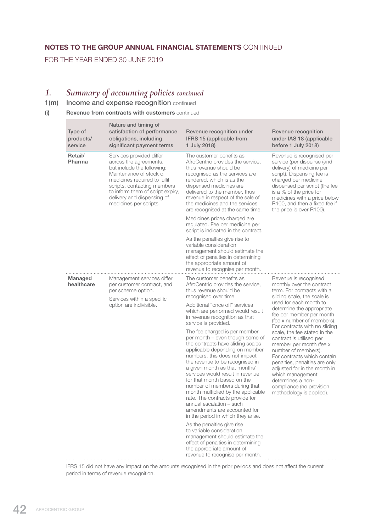FOR THE YEAR ENDED 30 JUNE 2019

٠

# *1. Summary of accounting policies continued*

## 1(m) Income and expense recognition continued

### (i) Revenue from contracts with customers continued

| Type of<br>products/<br>service | Nature and timing of<br>satisfaction of performance<br>obligations, including<br>significant payment terms                                                                                                                                                             | Revenue recognition under<br>IFRS 15 (applicable from<br>1 July 2018)                                                                                                                                                                                                                                                                                                                                                                                                                                                       | Revenue recognition<br>under IAS 18 (applicable<br>before 1 July 2018)                                                                                                                                                                                                                                      |
|---------------------------------|------------------------------------------------------------------------------------------------------------------------------------------------------------------------------------------------------------------------------------------------------------------------|-----------------------------------------------------------------------------------------------------------------------------------------------------------------------------------------------------------------------------------------------------------------------------------------------------------------------------------------------------------------------------------------------------------------------------------------------------------------------------------------------------------------------------|-------------------------------------------------------------------------------------------------------------------------------------------------------------------------------------------------------------------------------------------------------------------------------------------------------------|
| Retail/<br>Pharma               | Services provided differ<br>across the agreements,<br>but include the following:<br>Maintenance of stock of<br>medicines required to fulfil<br>scripts, contacting members<br>to inform them of script expiry,<br>delivery and dispensing of<br>medicines per scripts. | The customer benefits as<br>AfroCentric provides the service,<br>thus revenue should be<br>recognised as the services are<br>rendered, which is as the<br>dispensed medicines are<br>delivered to the member, thus<br>revenue in respect of the sale of<br>the medicines and the services<br>are recognised at the same time.                                                                                                                                                                                               | Revenue is recognised per<br>service (per dispense (and<br>delivery) of medicine per<br>script). Dispensing fee is<br>charged per medicine<br>dispensed per script (the fee<br>is a % of the price for<br>medicines with a price below<br>R100, and then a fixed fee if<br>the price is over R100).         |
|                                 |                                                                                                                                                                                                                                                                        | Medicines prices charged are<br>regulated. Fee per medicine per<br>script is indicated in the contract.                                                                                                                                                                                                                                                                                                                                                                                                                     |                                                                                                                                                                                                                                                                                                             |
|                                 |                                                                                                                                                                                                                                                                        | As the penalties give rise to<br>variable consideration<br>management should estimate the<br>effect of penalties in determining<br>the appropriate amount of<br>revenue to recognise per month.                                                                                                                                                                                                                                                                                                                             |                                                                                                                                                                                                                                                                                                             |
| <b>Managed</b><br>healthcare    | Management services differ<br>per customer contract, and<br>per scheme option.<br>Services within a specific<br>option are indivisible.                                                                                                                                | The customer benefits as<br>AfroCentric provides the service,<br>thus revenue should be<br>recognised over time.                                                                                                                                                                                                                                                                                                                                                                                                            | Revenue is recognised<br>monthly over the contract<br>term. For contracts with a<br>sliding scale, the scale is                                                                                                                                                                                             |
|                                 |                                                                                                                                                                                                                                                                        | Additional "once off" services<br>which are performed would result<br>in revenue recognition as that<br>service is provided.                                                                                                                                                                                                                                                                                                                                                                                                | used for each month to<br>determine the appropriate<br>fee per member per month<br>(fee x number of members).<br>For contracts with no sliding                                                                                                                                                              |
|                                 |                                                                                                                                                                                                                                                                        | The fee charged is per member<br>per month – even though some of<br>the contracts have sliding scales<br>applicable depending on member<br>numbers, this does not impact<br>the revenue to be recognised in<br>a given month as that months'<br>services would result in revenue<br>for that month based on the<br>number of members during that<br>month multiplied by the applicable<br>rate. The contracts provide for<br>annual escalation - such<br>amendments are accounted for<br>in the period in which they arise. | scale, the fee stated in the<br>contract is utilised per<br>member per month (fee x<br>number of members).<br>For contracts which contain<br>penalties, penalties are only<br>adjusted for in the month in<br>which management<br>determines a non-<br>compliance (no provision<br>methodology is applied). |
|                                 |                                                                                                                                                                                                                                                                        | As the penalties give rise<br>to variable consideration<br>management should estimate the<br>effect of penalties in determining<br>the appropriate amount of<br>revenue to recognise per month.                                                                                                                                                                                                                                                                                                                             |                                                                                                                                                                                                                                                                                                             |

IFRS 15 did not have any impact on the amounts recognised in the prior periods and does not affect the current period in terms of revenue recognition.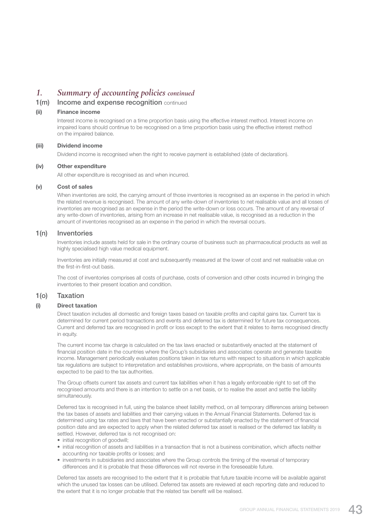## *1. Summary of accounting policies continued*

### 1(m) Income and expense recognition continued

#### (ii) Finance income

 Interest income is recognised on a time proportion basis using the effective interest method. Interest income on impaired loans should continue to be recognised on a time proportion basis using the effective interest method on the impaired balance.

#### (iii) Dividend income

Dividend income is recognised when the right to receive payment is established (date of declaration).

#### (iv) Other expenditure

All other expenditure is recognised as and when incurred.

#### (v) Cost of sales

 When inventories are sold, the carrying amount of those inventories is recognised as an expense in the period in which the related revenue is recognised. The amount of any write-down of inventories to net realisable value and all losses of inventories are recognised as an expense in the period the write-down or loss occurs. The amount of any reversal of any write-down of inventories, arising from an increase in net realisable value, is recognised as a reduction in the amount of inventories recognised as an expense in the period in which the reversal occurs.

#### 1(n) Inventories

 Inventories include assets held for sale in the ordinary course of business such as pharmaceutical products as well as highly specialised high value medical equipment.

 Inventories are initially measured at cost and subsequently measured at the lower of cost and net realisable value on the first-in-first-out basis.

 The cost of inventories comprises all costs of purchase, costs of conversion and other costs incurred in bringing the inventories to their present location and condition.

#### 1(o) Taxation

#### (i) Direct taxation

 Direct taxation includes all domestic and foreign taxes based on taxable profits and capital gains tax. Current tax is determined for current period transactions and events and deferred tax is determined for future tax consequences. Current and deferred tax are recognised in profit or loss except to the extent that it relates to items recognised directly in equity.

 The current income tax charge is calculated on the tax laws enacted or substantively enacted at the statement of financial position date in the countries where the Group's subsidiaries and associates operate and generate taxable income. Management periodically evaluates positions taken in tax returns with respect to situations in which applicable tax regulations are subject to interpretation and establishes provisions, where appropriate, on the basis of amounts expected to be paid to the tax authorities.

 The Group offsets current tax assets and current tax liabilities when it has a legally enforceable right to set off the recognised amounts and there is an intention to settle on a net basis, or to realise the asset and settle the liability simultaneously.

 Deferred tax is recognised in full, using the balance sheet liability method, on all temporary differences arising between the tax bases of assets and liabilities and their carrying values in the Annual Financial Statements. Deferred tax is determined using tax rates and laws that have been enacted or substantially enacted by the statement of financial position date and are expected to apply when the related deferred tax asset is realised or the deferred tax liability is settled. However, deferred tax is not recognised on:

- initial recognition of goodwill:
- initial recognition of assets and liabilities in a transaction that is not a business combination, which affects neither accounting nor taxable profits or losses; and
- investments in subsidiaries and associates where the Group controls the timing of the reversal of temporary differences and it is probable that these differences will not reverse in the foreseeable future.

 Deferred tax assets are recognised to the extent that it is probable that future taxable income will be available against which the unused tax losses can be utilised. Deferred tax assets are reviewed at each reporting date and reduced to the extent that it is no longer probable that the related tax benefit will be realised.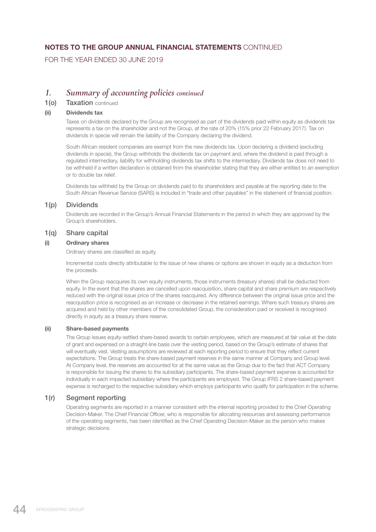FOR THE YEAR ENDED 30 JUNE 2019

## *1. Summary of accounting policies continued*

### 1(o) Taxation continued

#### (ii) Dividends tax

 Taxes on dividends declared by the Group are recognised as part of the dividends paid within equity as dividends tax represents a tax on the shareholder and not the Group, at the rate of 20% (15% prior 22 February 2017). Tax on dividends in specie will remain the liability of the Company declaring the dividend.

 South African resident companies are exempt from the new dividends tax. Upon declaring a dividend (excluding dividends in specie), the Group withholds the dividends tax on payment and, where the dividend is paid through a regulated intermediary, liability for withholding dividends tax shifts to the intermediary. Dividends tax does not need to be withheld if a written declaration is obtained from the shareholder stating that they are either entitled to an exemption or to double tax relief.

 Dividends tax withheld by the Group on dividends paid to its shareholders and payable at the reporting date to the South African Revenue Service (SARS) is included in "trade and other payables" in the statement of financial position.

### 1(p) Dividends

 Dividends are recorded in the Group's Annual Financial Statements in the period in which they are approved by the Group's shareholders.

### 1(q) Share capital

### (i) Ordinary shares

Ordinary shares are classified as equity.

 Incremental costs directly attributable to the issue of new shares or options are shown in equity as a deduction from the proceeds.

 When the Group reacquires its own equity instruments, those instruments (treasury shares) shall be deducted from equity. In the event that the shares are cancelled upon reacquisition, share capital and share premium are respectively reduced with the original issue price of the shares reacquired. Any difference between the original issue price and the reacquisition price is recognised as an increase or decrease in the retained earnings. Where such treasury shares are acquired and held by other members of the consolidated Group, the consideration paid or received is recognised directly in equity as a treasury share reserve.

#### (ii) Share-based payments

 The Group issues equity-settled share-based awards to certain employees, which are measured at fair value at the date of grant and expensed on a straight-line basis over the vesting period, based on the Group's estimate of shares that will eventually vest. Vesting assumptions are reviewed at each reporting period to ensure that they reflect current expectations. The Group treats the share-based payment reserves in the same manner at Company and Group level. At Company level, the reserves are accounted for at the same value as the Group due to the fact that ACT Company is responsible for issuing the shares to the subsidiary participants. The share-based payment expense is accounted for individually in each impacted subsidiary where the participants are employed. The Group IFRS 2 share-based payment expense is recharged to the respective subsidiary which employs participants who qualify for participation in the scheme.

### 1(r) Segment reporting

 Operating segments are reported in a manner consistent with the internal reporting provided to the Chief Operating Decision-Maker. The Chief Financial Officer, who is responsible for allocating resources and assessing performance of the operating segments, has been identified as the Chief Operating Decision-Maker as the person who makes strategic decisions.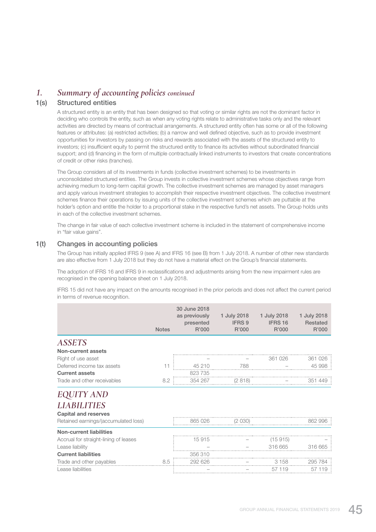## *1. Summary of accounting policies continued*

### 1(s) Structured entities

 A structured entity is an entity that has been designed so that voting or similar rights are not the dominant factor in deciding who controls the entity, such as when any voting rights relate to administrative tasks only and the relevant activities are directed by means of contractual arrangements. A structured entity often has some or all of the following features or attributes: (a) restricted activities; (b) a narrow and well defined objective, such as to provide investment opportunities for investors by passing on risks and rewards associated with the assets of the structured entity to investors; (c) insufficient equity to permit the structured entity to finance its activities without subordinated financial support; and (d) financing in the form of multiple contractually linked instruments to investors that create concentrations of credit or other risks (tranches).

 The Group considers all of its investments in funds (collective investment schemes) to be investments in unconsolidated structured entities. The Group invests in collective investment schemes whose objectives range from achieving medium to long-term capital growth. The collective investment schemes are managed by asset managers and apply various investment strategies to accomplish their respective investment objectives. The collective investment schemes finance their operations by issuing units of the collective investment schemes which are puttable at the holder's option and entitle the holder to a proportional stake in the respective fund's net assets. The Group holds units in each of the collective investment schemes.

 The change in fair value of each collective investment scheme is included in the statement of comprehensive income in "fair value gains".

### 1(t) Changes in accounting policies

 The Group has initially applied IFRS 9 (see A) and IFRS 16 (see B) from 1 July 2018. A number of other new standards are also effective from 1 July 2018 but they do not have a material effect on the Group's financial statements.

 The adoption of IFRS 16 and IFRS 9 in reclassifications and adjustments arising from the new impairment rules are recognised in the opening balance sheet on 1 July 2018.

 IFRS 15 did not have any impact on the amounts recognised in the prior periods and does not affect the current period in terms of revenue recognition.

|                                                   | <b>Notes</b> | 30 June 2018<br>as previously<br>presented<br>R'000 | 1 July 2018<br><b>IFRS 9</b><br>R'000 | 1 July 2018<br>IFRS 16<br>R'000 | 1 July 2018<br><b>Restated</b><br>R'000 |
|---------------------------------------------------|--------------|-----------------------------------------------------|---------------------------------------|---------------------------------|-----------------------------------------|
| <b>ASSETS</b>                                     |              |                                                     |                                       |                                 |                                         |
| Non-current assets                                |              |                                                     |                                       |                                 |                                         |
| Right of use asset                                |              |                                                     |                                       | 361 026                         | 361 026                                 |
| Deferred income tax assets                        | 11           | 45 210                                              | 788                                   |                                 | 45 998                                  |
| <b>Current assets</b>                             |              | 823735                                              |                                       |                                 |                                         |
| Trade and other receivables                       | 8.2          | 354 267                                             | (2 818)                               |                                 | 351 449                                 |
| ITY AND                                           |              |                                                     |                                       |                                 |                                         |
| <b>LIABILITIES</b><br><b>Capital and reserves</b> |              |                                                     |                                       |                                 |                                         |
| Retained earnings/(accumulated loss)              |              | 865 026                                             | (2030)                                |                                 | 862 996                                 |
| <b>Non-current liabilities</b>                    |              |                                                     |                                       |                                 |                                         |
| Accrual for straight-lining of leases             |              | 15915                                               |                                       | (15915)                         |                                         |
| Lease liability                                   |              |                                                     |                                       | 316 665                         | 316 665                                 |
| <b>Current liabilities</b>                        |              | 356310                                              |                                       |                                 |                                         |
| Trade and other payables                          | 8.5          | 292 626                                             |                                       | 3 1 5 8                         | 295 784                                 |
| Lease liabilities                                 |              |                                                     |                                       | 57 119                          | 57 119                                  |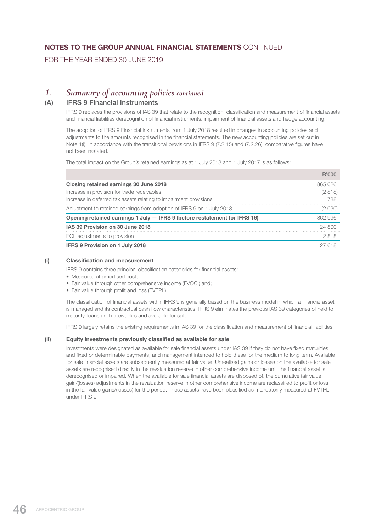FOR THE YEAR ENDED 30 JUNE 2019

## *1. Summary of accounting policies continued*

### (A) IFRS 9 Financial Instruments

 IFRS 9 replaces the provisions of IAS 39 that relate to the recognition, classification and measurement of financial assets and financial liabilities derecognition of financial instruments, impairment of financial assets and hedge accounting.

 The adoption of IFRS 9 Financial Instruments from 1 July 2018 resulted in changes in accounting policies and adjustments to the amounts recognised in the financial statements. The new accounting policies are set out in Note 1(i). In accordance with the transitional provisions in IFRS 9 (7.2.15) and (7.2.26), comparative figures have not been restated.

The total impact on the Group's retained earnings as at 1 July 2018 and 1 July 2017 is as follows:

|                                                                            | R'000   |
|----------------------------------------------------------------------------|---------|
| Closing retained earnings 30 June 2018                                     | 865026  |
| Increase in provision for trade receivables                                | (2818)  |
| Increase in deferred tax assets relating to impairment provisions          | 788     |
| Adjustment to retained earnings from adoption of IFRS 9 on 1 July 2018     | (2030)  |
| Opening retained earnings 1 July - IFRS 9 (before restatement for IFRS 16) | 862 996 |
| IAS 39 Provision on 30 June 2018                                           | 24,800  |
| ECL adjustments to provision                                               | 2818    |
| <b>IFRS 9 Provision on 1 July 2018</b>                                     | 27 618  |

#### (i) Classification and measurement

IFRS 9 contains three principal classification categories for financial assets:

- Measured at amortised cost;
- Fair value through other comprehensive income (FVOCI) and;
- Fair value through profit and loss (FVTPL).

 The classification of financial assets within IFRS 9 is generally based on the business model in which a financial asset is managed and its contractual cash flow characteristics. IFRS 9 eliminates the previous IAS 39 categories of held to maturity, loans and receivables and available for sale.

IFRS 9 largely retains the existing requirements in IAS 39 for the classification and measurement of financial liabilities.

#### (ii) Equity investments previously classified as available for sale

 Investments were designated as available for sale financial assets under IAS 39 if they do not have fixed maturities and fixed or determinable payments, and management intended to hold these for the medium to long term. Available for sale financial assets are subsequently measured at fair value. Unrealised gains or losses on the available for sale assets are recognised directly in the revaluation reserve in other comprehensive income until the financial asset is derecognised or impaired. When the available for sale financial assets are disposed of, the cumulative fair value gain/(losses) adjustments in the revaluation reserve in other comprehensive income are reclassified to profit or loss in the fair value gains/(losses) for the period. These assets have been classified as mandatorily measured at FVTPL under IFRS 9.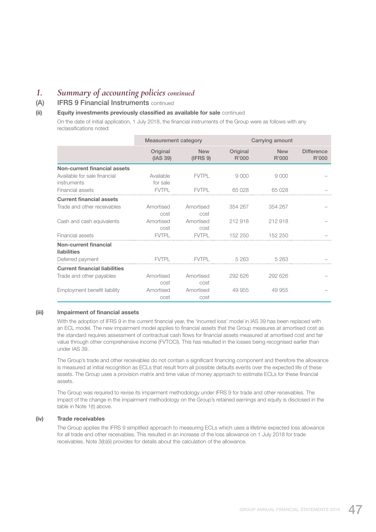## *1. Summary of accounting policies continued*

## (A) IFRS 9 Financial Instruments continued

#### (ii) Equity investments previously classified as available for sale continued

 On the date of initial application, 1 July 2018, the financial instruments of the Group were as follows with any reclassifications noted:

|                                             | <b>Measurement category</b> |                        | Carrying amount   |                     |                            |
|---------------------------------------------|-----------------------------|------------------------|-------------------|---------------------|----------------------------|
|                                             | Original<br>(IAS 39)        | <b>New</b><br>(IFRS 9) | Original<br>R'000 | <b>New</b><br>R'000 | <b>Difference</b><br>R'000 |
| <b>Non-current financial assets</b>         |                             |                        |                   |                     |                            |
| Available for sale financial<br>instruments | Available<br>for sale       | <b>FVTPL</b>           | 9000              | 9000                |                            |
| Financial assets                            | <b>FVTPL</b>                | <b>FVTPL</b>           | 65028             | 65 028              |                            |
| <b>Current financial assets</b>             |                             |                        |                   |                     |                            |
| Trade and other receivables                 | Amortised<br>cost           | Amortised<br>cost      | 354 267           | 354 267             |                            |
| Cash and cash equivalents                   | Amortised<br>cost           | Amortised<br>cost      | 212 918           | 212 918             |                            |
| Financial assets                            | <b>FVTPL</b>                | <b>FVTPL</b>           | 152 250           | 152 250             |                            |
| Non-current financial<br>liabilities        |                             |                        |                   |                     |                            |
| Deferred payment                            | <b>FVTPL</b>                | <b>FVTPL</b>           | 5 263             | 5 2 6 3             |                            |
| <b>Current financial liabilities</b>        |                             |                        |                   |                     |                            |
| Trade and other payables                    | Amortised<br>cost           | Amortised<br>cost      | 292 626           | 292 626             |                            |
| Employment benefit liability                | Amortised<br>cost           | Amortised<br>cost      | 49 955            | 49 955              |                            |

#### (iii) Impairment of financial assets

 With the adoption of IFRS 9 in the current financial year, the 'incurred loss' model in IAS 39 has been replaced with an ECL model. The new impairment model applies to financial assets that the Group measures at amortised cost as the standard requires assessment of contractual cash flows for financial assets measured at amortised cost and fair value through other comprehensive income (FVTOCI). This has resulted in the losses being recognised earlier than under IAS 39.

 The Group's trade and other receivables do not contain a significant financing component and therefore the allowance is measured at initial recognition as ECLs that result from all possible defaults events over the expected life of these assets. The Group uses a provision matrix and time value of money approach to estimate ECLs for these financial assets.

 The Group was required to revise its impairment methodology under IFRS 9 for trade and other receivables. The impact of the change in the impairment methodology on the Group's retained earnings and equity is disclosed in the table in Note 1(t) above.

#### (iv) Trade receivables

 The Group applies the IFRS 9 simplified approach to measuring ECLs which uses a lifetime expected loss allowance for all trade and other receivables. This resulted in an increase of the loss allowance on 1 July 2018 for trade receivables. Note 3(b)(ii) provides for details about the calculation of the allowance.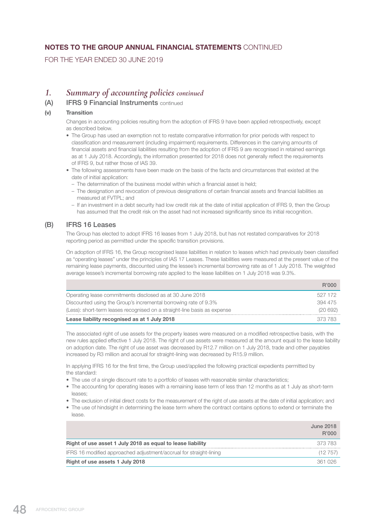FOR THE YEAR ENDED 30 JUNE 2019

## *1. Summary of accounting policies continued*

### (A) IFRS 9 Financial Instruments continued

### (v) Transition

 Changes in accounting policies resulting from the adoption of IFRS 9 have been applied retrospectively, except as described below.

- The Group has used an exemption not to restate comparative information for prior periods with respect to classification and measurement (including impairment) requirements. Differences in the carrying amounts of financial assets and financial liabilities resulting from the adoption of IFRS 9 are recognised in retained earnings as at 1 July 2018. Accordingly, the information presented for 2018 does not generally reflect the requirements of IFRS 9, but rather those of IAS 39.
- The following assessments have been made on the basis of the facts and circumstances that existed at the date of initial application:
	- The determination of the business model within which a financial asset is held;
	- The designation and revocation of previous designations of certain financial assets and financial liabilities as measured at FVTPL; and
	- If an investment in a debt security had low credit risk at the date of initial application of IFRS 9, then the Group has assumed that the credit risk on the asset had not increased significantly since its initial recognition.

### (B) IFRS 16 Leases

 The Group has elected to adopt IFRS 16 leases from 1 July 2018, but has not restated comparatives for 2018 reporting period as permitted under the specific transition provisions.

 On adoption of IFRS 16, the Group recognised lease liabilities in relation to leases which had previously been classified as "operating leases" under the principles of IAS 17 Leases. These liabilities were measured at the present value of the remaining lease payments, discounted using the lessee's incremental borrowing rate as of 1 July 2018. The weighted average lessee's incremental borrowing rate applied to the lease liabilities on 1 July 2018 was 9.3%.

|                                                                          | B'000   |
|--------------------------------------------------------------------------|---------|
| Operating lease commitments disclosed as at 30 June 2018                 | 527 172 |
| Discounted using the Group's incremental borrowing rate of 9.3%          | 394 475 |
| (Less): short-term leases recognised on a straight-line basis as expense | (20692) |
| Lease liability recognised as at 1 July 2018                             | 373 783 |

 The associated right of use assets for the property leases were measured on a modified retrospective basis, with the new rules applied effective 1 July 2018. The right of use assets were measured at the amount equal to the lease liability on adoption date. The right of use asset was decreased by R12.7 million on 1 July 2018, trade and other payables increased by R3 million and accrual for straight-lining was decreased by R15.9 million.

In applying IFRS 16 for the first time, the Group used/applied the following practical expedients permitted by the standard:

- The use of a single discount rate to a portfolio of leases with reasonable similar characteristics;
- The accounting for operating leases with a remaining lease term of less than 12 months as at 1 July as short-term leases;
- The exclusion of initial direct costs for the measurement of the right of use assets at the date of initial application; and
- The use of hindsight in determining the lease term where the contract contains options to extend or terminate the lease.

|                                                                    | June 2018<br>R'000 |
|--------------------------------------------------------------------|--------------------|
| Right of use asset 1 July 2018 as equal to lease liability         | 373 783            |
| IFRS 16 modified approached adjustment/accrual for straight-lining | (12 757            |
| Right of use assets 1 July 2018                                    | 361.026            |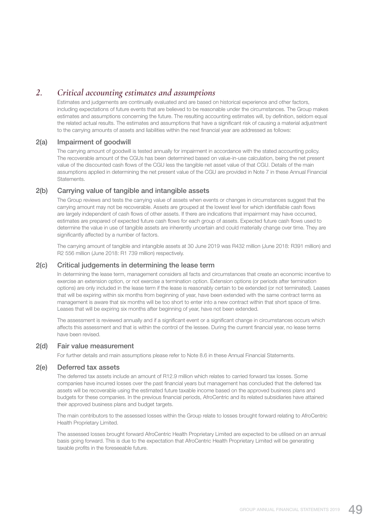## *2. Critical accounting estimates and assumptions*

 Estimates and judgements are continually evaluated and are based on historical experience and other factors, including expectations of future events that are believed to be reasonable under the circumstances. The Group makes estimates and assumptions concerning the future. The resulting accounting estimates will, by definition, seldom equal the related actual results. The estimates and assumptions that have a significant risk of causing a material adjustment to the carrying amounts of assets and liabilities within the next financial year are addressed as follows:

### 2(a) Impairment of goodwill

 The carrying amount of goodwill is tested annually for impairment in accordance with the stated accounting policy. The recoverable amount of the CGUs has been determined based on value-in-use calculation, being the net present value of the discounted cash flows of the CGU less the tangible net asset value of that CGU. Details of the main assumptions applied in determining the net present value of the CGU are provided in Note 7 in these Annual Financial **Statements** 

### 2(b) Carrying value of tangible and intangible assets

The Group reviews and tests the carrying value of assets when events or changes in circumstances suggest that the carrying amount may not be recoverable. Assets are grouped at the lowest level for which identifiable cash flows are largely independent of cash flows of other assets. If there are indications that impairment may have occurred, estimates are prepared of expected future cash flows for each group of assets. Expected future cash flows used to determine the value in use of tangible assets are inherently uncertain and could materially change over time. They are significantly affected by a number of factors.

 The carrying amount of tangible and intangible assets at 30 June 2019 was R432 million (June 2018: R391 million) and R2 556 million (June 2018: R1 739 million) respectively.

#### 2(c) Critical judgements in determining the lease term

 In determining the lease term, management considers all facts and circumstances that create an economic incentive to exercise an extension option, or not exercise a termination option. Extension options (or periods after termination options) are only included in the lease term if the lease is reasonably certain to be extended (or not terminated). Leases that will be expiring within six months from beginning of year, have been extended with the same contract terms as management is aware that six months will be too short to enter into a new contract within that short space of time. Leases that will be expiring six months after beginning of year, have not been extended.

 The assessment is reviewed annually and if a significant event or a significant change in circumstances occurs which affects this assessment and that is within the control of the lessee. During the current financial year, no lease terms have been revised.

#### 2(d) Fair value measurement

For further details and main assumptions please refer to Note 8.6 in these Annual Financial Statements.

#### 2(e) Deferred tax assets

 The deferred tax assets include an amount of R12.9 million which relates to carried forward tax losses. Some companies have incurred losses over the past financial years but management has concluded that the deferred tax assets will be recoverable using the estimated future taxable income based on the approved business plans and budgets for these companies. In the previous financial periods, AfroCentric and its related subsidiaries have attained their approved business plans and budget targets.

 The main contributors to the assessed losses within the Group relate to losses brought forward relating to AfroCentric Health Proprietary Limited.

 The assessed losses brought forward AfroCentric Health Proprietary Limited are expected to be utilised on an annual basis going forward. This is due to the expectation that AfroCentric Health Proprietary Limited will be generating taxable profits in the foreseeable future.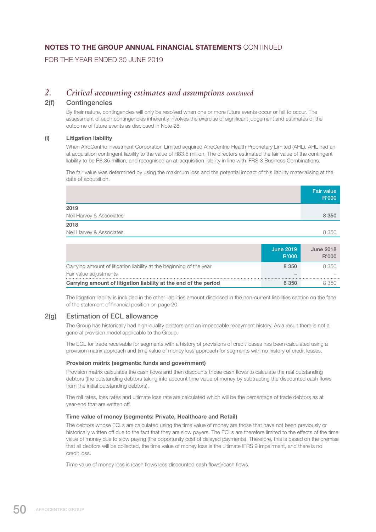FOR THE YEAR ENDED 30 JUNE 2019

## *2. Critical accounting estimates and assumptions continued*

### 2(f) Contingencies

 By their nature, contingencies will only be resolved when one or more future events occur or fail to occur. The assessment of such contingencies inherently involves the exercise of significant judgement and estimates of the outcome of future events as disclosed in Note 28.

#### (i) Litigation liability

 When AfroCentric Investment Corporation Limited acquired AfroCentric Health Proprietary Limited (AHL), AHL had an at acquisition contingent liability to the value of R83.5 million. The directors estimated the fair value of the contingent liability to be R8.35 million, and recognised an at-acquisition liability in line with IFRS 3 Business Combinations.

 The fair value was determined by using the maximum loss and the potential impact of this liability materialising at the date of acquisition.

|                          | <b>Fair value</b><br>R'000 |
|--------------------------|----------------------------|
| 2019                     |                            |
| Neil Harvey & Associates | 8 3 5 0                    |
| 2018                     |                            |
| Neil Harvey & Associates | 8 3 5 0                    |
|                          |                            |

|                                                                      | June 2019<br><b>R'000</b> | <b>June 2018</b><br>R'000 |
|----------------------------------------------------------------------|---------------------------|---------------------------|
| Carrying amount of litigation liability at the beginning of the year | 8 3 5 0                   | 8.350                     |
| Fair value adjustments                                               |                           |                           |
| Carrying amount of litigation liability at the end of the period     | 8 350                     | 8.350                     |

 The litigation liability is included in the other liabilities amount disclosed in the non-current liabilities section on the face of the statement of financial position on page 20.

### 2(g) Estimation of ECL allowance

 The Group has historically had high-quality debtors and an impeccable repayment history. As a result there is not a general provision model applicable to the Group.

 The ECL for trade receivable for segments with a history of provisions of credit losses has been calculated using a provision matrix approach and time value of money loss approach for segments with no history of credit losses.

#### Provision matrix (segments: funds and government)

 Provision matrix calculates the cash flows and then discounts those cash flows to calculate the real outstanding debtors (the outstanding debtors taking into account time value of money by subtracting the discounted cash flows from the initial outstanding debtors).

 The roll rates, loss rates and ultimate loss rate are calculated which will be the percentage of trade debtors as at year-end that are written off.

#### Time value of money (segments: Private, Healthcare and Retail)

 The debtors whose ECLs are calculated using the time value of money are those that have not been previously or historically written off due to the fact that they are slow payers. The ECLs are therefore limited to the effects of the time value of money due to slow paying (the opportunity cost of delayed payments). Therefore, this is based on the premise that all debtors will be collected, the time value of money loss is the ultimate IFRS 9 impairment, and there is no credit loss.

Time value of money loss is (cash flows less discounted cash flows)/cash flows.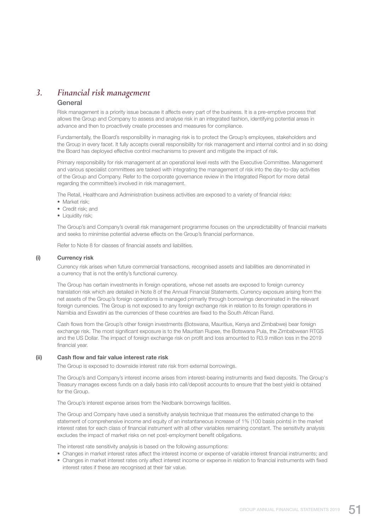## *3. Financial risk management*

#### General

 Risk management is a priority issue because it affects every part of the business. It is a pre-emptive process that allows the Group and Company to assess and analyse risk in an integrated fashion, identifying potential areas in advance and then to proactively create processes and measures for compliance.

 Fundamentally, the Board's responsibility in managing risk is to protect the Group's employees, stakeholders and the Group in every facet. It fully accepts overall responsibility for risk management and internal control and in so doing the Board has deployed effective control mechanisms to prevent and mitigate the impact of risk.

 Primary responsibility for risk management at an operational level rests with the Executive Committee. Management and various specialist committees are tasked with integrating the management of risk into the day-to-day activities of the Group and Company. Refer to the corporate governance review in the Integrated Report for more detail regarding the committee's involved in risk management.

The Retail, Healthcare and Administration business activities are exposed to a variety of financial risks:

- Market risk:
- Credit risk; and
- Liquidity risk;

 The Group's and Company's overall risk management programme focuses on the unpredictability of financial markets and seeks to minimise potential adverse effects on the Group's financial performance.

Refer to Note 8 for classes of financial assets and liabilities.

#### (i) Currency risk

 Currency risk arises when future commercial transactions, recognised assets and liabilities are denominated in a currency that is not the entity's functional currency.

 The Group has certain investments in foreign operations, whose net assets are exposed to foreign currency translation risk which are detailed in Note 8 of the Annual Financial Statements. Currency exposure arising from the net assets of the Group's foreign operations is managed primarily through borrowings denominated in the relevant foreign currencies. The Group is not exposed to any foreign exchange risk in relation to its foreign operations in Namibia and Eswatini as the currencies of these countries are fixed to the South African Rand.

 Cash flows from the Group's other foreign investments (Botswana, Mauritius, Kenya and Zimbabwe) bear foreign exchange risk. The most significant exposure is to the Mauritian Rupee, the Botswana Pula, the Zimbabwean RTGS and the US Dollar. The impact of foreign exchange risk on profit and loss amounted to R3.9 million loss in the 2019 financial year.

#### (ii) Cash flow and fair value interest rate risk

The Group is exposed to downside interest rate risk from external borrowings.

 The Group's and Company's interest income arises from interest-bearing instruments and fixed deposits. The Group's Treasury manages excess funds on a daily basis into call/deposit accounts to ensure that the best yield is obtained for the Group.

The Group's interest expense arises from the Nedbank borrowings facilities.

 The Group and Company have used a sensitivity analysis technique that measures the estimated change to the statement of comprehensive income and equity of an instantaneous increase of 1% (100 basis points) in the market interest rates for each class of financial instrument with all other variables remaining constant. The sensitivity analysis excludes the impact of market risks on net post-employment benefit obligations.

The interest rate sensitivity analysis is based on the following assumptions:

- Changes in market interest rates affect the interest income or expense of variable interest financial instruments; and
- Changes in market interest rates only affect interest income or expense in relation to financial instruments with fixed interest rates if these are recognised at their fair value.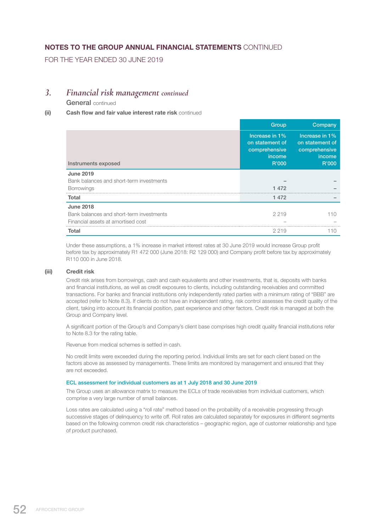FOR THE YEAR ENDED 30 JUNE 2019

### *3. Financial risk management continued*

General continued

### (ii) Cash flow and fair value interest rate risk continued

|                                          | Group                                                                 | Company                                                                      |
|------------------------------------------|-----------------------------------------------------------------------|------------------------------------------------------------------------------|
| Instruments exposed                      | Increase in 1%<br>on statement of<br>comprehensive<br>income<br>R'000 | Increase in 1%<br>on statement of<br>comprehensive<br><i>income</i><br>R'000 |
| <b>June 2019</b>                         |                                                                       |                                                                              |
| Bank balances and short-term investments |                                                                       |                                                                              |
| <b>Borrowings</b>                        | 1472                                                                  |                                                                              |
| Total                                    | 1 472                                                                 |                                                                              |
| <b>June 2018</b>                         |                                                                       |                                                                              |
| Bank balances and short-term investments | 2 2 1 9                                                               | 110                                                                          |
| Financial assets at amortised cost       |                                                                       |                                                                              |
| <b>Total</b>                             | 2 2 1 9                                                               | 11()                                                                         |

 Under these assumptions, a 1% increase in market interest rates at 30 June 2019 would increase Group profit before tax by approximately R1 472 000 (June 2018: R2 129 000) and Company profit before tax by approximately R110 000 in June 2018.

#### (iii) Credit risk

 Credit risk arises from borrowings, cash and cash equivalents and other investments, that is, deposits with banks and financial institutions, as well as credit exposures to clients, including outstanding receivables and committed transactions. For banks and financial institutions only independently rated parties with a minimum rating of "BBB" are accepted (refer to Note 8.3). If clients do not have an independent rating, risk control assesses the credit quality of the client, taking into account its financial position, past experience and other factors. Credit risk is managed at both the Group and Company level.

 A significant portion of the Group's and Company's client base comprises high credit quality financial institutions refer to Note 8.3 for the rating table.

Revenue from medical schemes is settled in cash.

 No credit limits were exceeded during the reporting period. Individual limits are set for each client based on the factors above as assessed by managements. These limits are monitored by management and ensured that they are not exceeded.

#### ECL assessment for individual customers as at 1 July 2018 and 30 June 2019

 The Group uses an allowance matrix to measure the ECLs of trade receivables from individual customers, which comprise a very large number of small balances.

 Loss rates are calculated using a "roll rate" method based on the probability of a receivable progressing through successive stages of delinquency to write off. Roll rates are calculated separately for exposures in different segments based on the following common credit risk characteristics – geographic region, age of customer relationship and type of product purchased.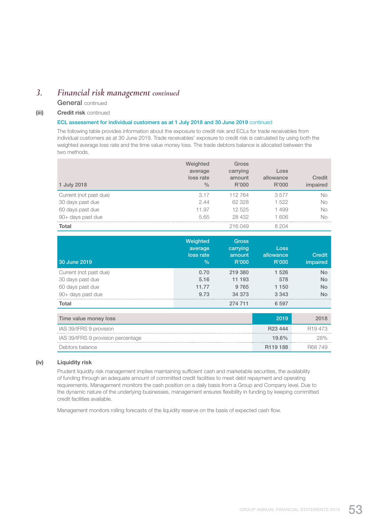## *3. Financial risk management continued*

General continued

### (iii) **Credit risk continued**

#### ECL assessment for individual customers as at 1 July 2018 and 30 June 2019 continued

 The following table provides information about the exposure to credit risk and ECLs for trade receivables from individual customers as at 30 June 2019. Trade receivables' exposure to credit risk is calculated by using both the weighted average loss rate and the time value money loss. The trade debtors balance is allocated between the two methods.

| 1 July 2018            | Weighted<br>average<br>loss rate<br>$\frac{0}{0}$ | Gross<br>carrying<br>amount<br>R'000 | Loss<br>allowance<br>R'000 | Credit<br>impaired |
|------------------------|---------------------------------------------------|--------------------------------------|----------------------------|--------------------|
| Current (not past due) | 3.17                                              | 112764                               | 3577                       | No                 |
| 30 days past due       | 2.44                                              | 62 328                               | 1 522                      | <b>No</b>          |
| 60 days past due       | 11.97                                             | 12 525                               | 1499                       | No                 |
| 90+ days past due      | 5.65                                              | 28 432                               | 1 606                      | No                 |
| <b>Total</b>           |                                                   | 216 049                              | 8 204                      |                    |

| 30 June 2019                       | Weighted<br>average<br>loss rate<br>$\%$ | <b>Gross</b><br>carrying<br>amount<br>R'000 | <b>Loss</b><br>allowance<br>R'000 | <b>Credit</b><br>impaired              |
|------------------------------------|------------------------------------------|---------------------------------------------|-----------------------------------|----------------------------------------|
| Current (not past due)             | 0.70                                     | 219 380                                     | 1 526                             | No                                     |
| 30 days past due                   | 5.16                                     | 11 193                                      | 578                               | <b>No</b>                              |
| 60 days past due                   | 11.77                                    | 9 7 6 5                                     | 1 150                             | <b>No</b>                              |
| 90+ days past due                  | 9.73                                     | 34 373                                      | 3 3 4 3                           | No.                                    |
| <b>Total</b>                       |                                          | 274 711                                     | 6 597                             |                                        |
| Time value money loss              |                                          |                                             | 2019                              | 2018                                   |
| IAS 39/IFRS 9 provision            |                                          |                                             | R <sub>23</sub> 444               | R <sub>19</sub> 473                    |
| IAS 39/IFRS 9 provision percentage |                                          |                                             | 19.6%                             | 28%                                    |
| Deletene leelen ee                 |                                          |                                             | <b>D440400</b>                    | $\Box \cap \cap \Box \neq \wedge \cap$ |

Debtors balance R119 188 R68 749

#### (iv) Liquidity risk

 Prudent liquidity risk management implies maintaining sufficient cash and marketable securities, the availability of funding through an adequate amount of committed credit facilities to meet debt repayment and operating requirements. Management monitors the cash position on a daily basis from a Group and Company level. Due to the dynamic nature of the underlying businesses, management ensures flexibility in funding by keeping committed credit facilities available.

Management monitors rolling forecasts of the liquidity reserve on the basis of expected cash flow.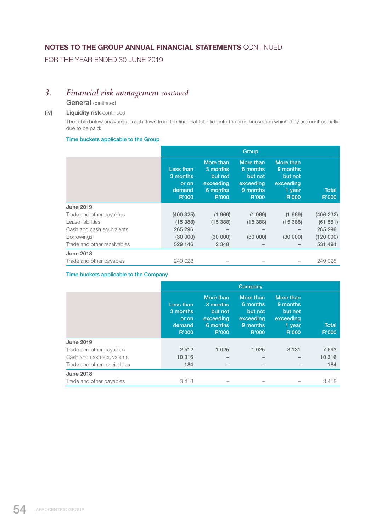FOR THE YEAR ENDED 30 JUNE 2019

## *3. Financial risk management continued*

### General continued

### (iv) Liquidity risk continued

 The table below analyses all cash flows from the financial liabilities into the time buckets in which they are contractually due to be paid:

#### Time buckets applicable to the Group

|                             | Group                                             |                                                                    |                                                                    |                                                                  |                       |  |  |  |  |
|-----------------------------|---------------------------------------------------|--------------------------------------------------------------------|--------------------------------------------------------------------|------------------------------------------------------------------|-----------------------|--|--|--|--|
|                             | Less than<br>3 months<br>or on<br>demand<br>R'000 | More than<br>3 months<br>but not<br>exceeding<br>6 months<br>R'000 | More than<br>6 months<br>but not<br>exceeding<br>9 months<br>R'000 | More than<br>9 months<br>but not<br>exceeding<br>1 year<br>R'000 | <b>Total</b><br>R'000 |  |  |  |  |
| <b>June 2019</b>            |                                                   |                                                                    |                                                                    |                                                                  |                       |  |  |  |  |
| Trade and other payables    | (400325)                                          | (1969)                                                             | (1969)                                                             | (1969)                                                           | (406 232)             |  |  |  |  |
| Lease liabilities           | (15388)                                           | (15388)                                                            | (15388)                                                            | (15388)                                                          | (61 551)              |  |  |  |  |
| Cash and cash equivalents   | 265 296                                           |                                                                    |                                                                    |                                                                  | 265 296               |  |  |  |  |
| <b>Borrowings</b>           | (30 000)                                          | (30 000)                                                           | (30 000)                                                           | (30 000)                                                         | (120000)              |  |  |  |  |
| Trade and other receivables | 529 146                                           | 2 3 4 8                                                            |                                                                    |                                                                  | 531 494               |  |  |  |  |
| <b>June 2018</b>            |                                                   |                                                                    |                                                                    |                                                                  |                       |  |  |  |  |
| Trade and other payables    | 249 028                                           |                                                                    |                                                                    |                                                                  | 249 028               |  |  |  |  |

### Time buckets applicable to the Company

|                             | Company                                           |                                                                    |                                                                    |                                                                  |                       |  |  |  |
|-----------------------------|---------------------------------------------------|--------------------------------------------------------------------|--------------------------------------------------------------------|------------------------------------------------------------------|-----------------------|--|--|--|
|                             | Less than<br>3 months<br>or on<br>demand<br>R'000 | More than<br>3 months<br>but not<br>exceeding<br>6 months<br>R'000 | More than<br>6 months<br>but not<br>exceeding<br>9 months<br>R'000 | More than<br>9 months<br>but not<br>exceeding<br>1 year<br>R'000 | <b>Total</b><br>R'000 |  |  |  |
| <b>June 2019</b>            |                                                   |                                                                    |                                                                    |                                                                  |                       |  |  |  |
| Trade and other payables    | 2 5 1 2                                           | 1 0 2 5                                                            | 1 0 2 5                                                            | 3 1 3 1                                                          | 7693                  |  |  |  |
| Cash and cash equivalents   | 10 316                                            |                                                                    |                                                                    |                                                                  | 10 316                |  |  |  |
| Trade and other receivables | 184                                               |                                                                    |                                                                    |                                                                  | 184                   |  |  |  |
| <b>June 2018</b>            |                                                   |                                                                    |                                                                    |                                                                  |                       |  |  |  |
| Trade and other payables    | 3418                                              |                                                                    |                                                                    |                                                                  | 3418                  |  |  |  |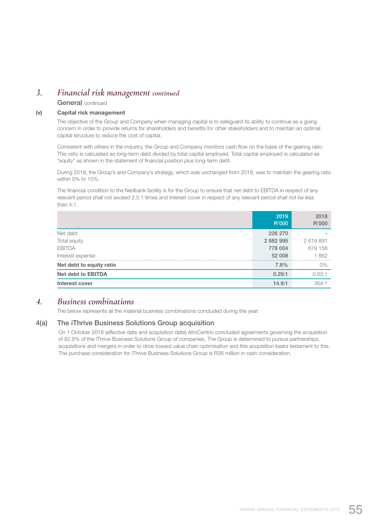## *3. Financial risk management continued*

General continued

### (v) Capital risk management

 The objective of the Group and Company when managing capital is to safeguard its ability to continue as a going concern in order to provide returns for shareholders and benefits for other stakeholders and to maintain an optimal capital structure to reduce the cost of capital.

 Consistent with others in the industry, the Group and Company monitors cash flow on the basis of the gearing ratio. This ratio is calculated as long-term debt divided by total capital employed. Total capital employed is calculated as "equity" as shown in the statement of financial position plus long-term debt.

 During 2019, the Group's and Company's strategy, which was unchanged from 2018, was to maintain the gearing ratio within 0% to 15%.

 The financial condition to the Nedbank facility is for the Group to ensure that net debt to EBITDA in respect of any relevant period shall not exceed 2.5:1 times and Interest cover in respect of any relevant period shall not be less than 4:1.

|                           | 2019<br>R'000 | 2018<br>R'000 |
|---------------------------|---------------|---------------|
| Net debt                  | 226 270       |               |
| Total equity              | 2 882 995     | 2619891       |
| <b>EBITDA</b>             | 778 004       | 679 158       |
| Interest expense          | 52 008        | 1862          |
| Net debt to equity ratio  | 7.8%          | 0%            |
| <b>Net debt to EBITDA</b> | 0.29:1        | 0.63:1        |
| Interest cover            | 14.9:1        | 364:1         |
|                           |               |               |

### *4. Business combinations*

The below represents all the material business combinations concluded during the year:

### 4(a) The iThrive Business Solutions Group acquisition

 On 1 October 2018 (effective date and acquisition date) AfroCentric concluded agreements governing the acquisition of 82.8% of the iThrive Business Solutions Group of companies. The Group is determined to pursue partnerships, acquisitions and mergers in order to drive toward value chain optimisation and this acquisition bears testament to this. The purchase consideration for iThrive Business Solutions Group is R38 million in cash consideration.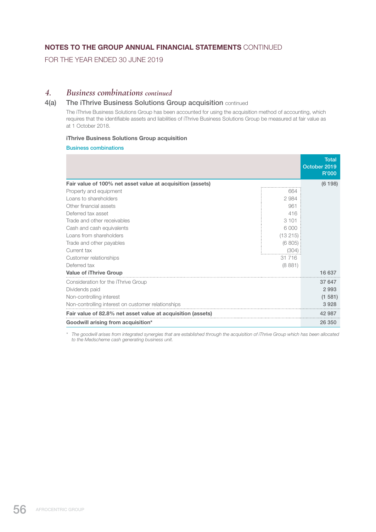FOR THE YEAR ENDED 30 JUNE 2019

### *4. Business combinations continued*

### 4(a) The iThrive Business Solutions Group acquisition continued

 The iThrive Business Solutions Group has been accounted for using the acquisition method of accounting, which requires that the identifiable assets and liabilities of iThrive Business Solutions Group be measured at fair value as at 1 October 2018.

#### iThrive Business Solutions Group acquisition

Business combinations

|                                                             |         | <b>Total</b><br>October 2019<br>R'000 |
|-------------------------------------------------------------|---------|---------------------------------------|
| Fair value of 100% net asset value at acquisition (assets)  |         | (6198)                                |
| Property and equipment                                      | 664     |                                       |
| Loans to shareholders                                       | 2984    |                                       |
| Other financial assets                                      | 961     |                                       |
| Deferred tax asset                                          | 416     |                                       |
| Trade and other receivables                                 | 3 1 0 1 |                                       |
| Cash and cash equivalents                                   | 6.000   |                                       |
| Loans from shareholders                                     | (13215) |                                       |
| Trade and other payables                                    | (6805)  |                                       |
| Current tax                                                 | (304)   |                                       |
| Customer relationships                                      | 31 716  |                                       |
| Deferred tax                                                | (8881)  |                                       |
| <b>Value of iThrive Group</b>                               |         | 16 637                                |
| Consideration for the iThrive Group                         |         | 37 647                                |
| Dividends paid                                              |         | 2 9 9 3                               |
| Non-controlling interest                                    |         | (1581)                                |
| Non-controlling interest on customer relationships          |         | 3928                                  |
| Fair value of 82.8% net asset value at acquisition (assets) |         | 42 987                                |
| Goodwill arising from acquisition*                          |         | 26 350                                |

*\* The goodwill arises from integrated synergies that are established through the acquisition of iThrive Group which has been allocated to the Medscheme cash generating business unit.*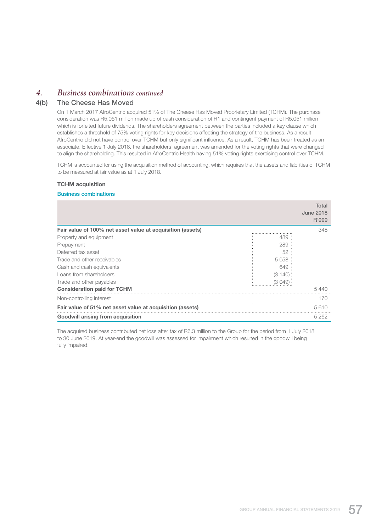## *4. Business combinations continued*

### 4(b) The Cheese Has Moved

 On 1 March 2017 AfroCentric acquired 51% of The Cheese Has Moved Proprietary Limited (TCHM). The purchase consideration was R5.051 million made up of cash consideration of R1 and contingent payment of R5.051 million which is forfeited future dividends. The shareholders agreement between the parties included a key clause which establishes a threshold of 75% voting rights for key decisions affecting the strategy of the business. As a result, AfroCentric did not have control over TCHM but only significant influence. As a result, TCHM has been treated as an associate. Effective 1 July 2018, the shareholders' agreement was amended for the voting rights that were changed to align the shareholding. This resulted in AfroCentric Health having 51% voting rights exercising control over TCHM.

 TCHM is accounted for using the acquisition method of accounting, which requires that the assets and liabilities of TCHM to be measured at fair value as at 1 July 2018.

#### TCHM acquisition

#### Business combinations

|                                                            |        | Total<br><b>June 2018</b><br>R'000 |
|------------------------------------------------------------|--------|------------------------------------|
| Fair value of 100% net asset value at acquisition (assets) |        | 348                                |
| Property and equipment                                     | 489    |                                    |
| Prepayment                                                 | 289    |                                    |
| Deferred tax asset                                         | 52     |                                    |
| Trade and other receivables                                | 5058   |                                    |
| Cash and cash equivalents                                  | 649    |                                    |
| Loans from shareholders                                    | (3140) |                                    |
| Trade and other payables                                   | (3049) |                                    |
| <b>Consideration paid for TCHM</b>                         |        | 5440                               |
| Non-controlling interest                                   |        | 170                                |
| Fair value of 51% net asset value at acquisition (assets)  |        | 5610                               |
| <b>Goodwill arising from acquisition</b>                   |        | 5 2 6 2                            |

 The acquired business contributed net loss after tax of R6.3 million to the Group for the period from 1 July 2018 to 30 June 2019. At year-end the goodwill was assessed for impairment which resulted in the goodwill being fully impaired.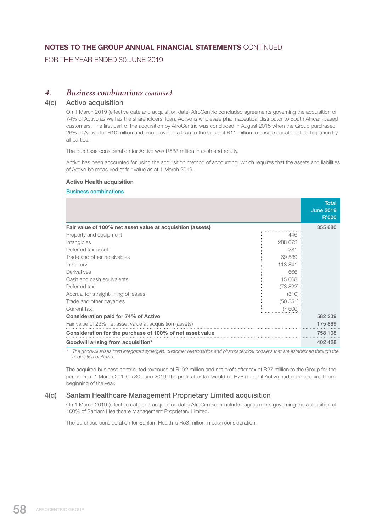FOR THE YEAR ENDED 30 JUNE 2019

### *4. Business combinations continued*

### 4(c) Activo acquisition

 On 1 March 2019 (effective date and acquisition date) AfroCentric concluded agreements governing the acquisition of 74% of Activo as well as the shareholders' loan. Activo is wholesale pharmaceutical distributor to South African-based customers. The first part of the acquisition by AfroCentric was concluded in August 2015 when the Group purchased 26% of Activo for R10 million and also provided a loan to the value of R11 million to ensure equal debt participation by all parties.

The purchase consideration for Activo was R588 million in cash and equity.

 Activo has been accounted for using the acquisition method of accounting, which requires that the assets and liabilities of Activo be measured at fair value as at 1 March 2019.

#### Activo Health acquisition

#### Business combinations

|                                                            |          | <b>Total</b><br><b>June 2019</b><br>R'000 |  |  |
|------------------------------------------------------------|----------|-------------------------------------------|--|--|
| Fair value of 100% net asset value at acquisition (assets) |          | 355 680                                   |  |  |
| Property and equipment                                     | 446      |                                           |  |  |
| Intangibles                                                | 288 072  |                                           |  |  |
| Deferred tax asset                                         | 281      |                                           |  |  |
| Trade and other receivables                                | 69 589   |                                           |  |  |
| Inventory                                                  | 113841   |                                           |  |  |
| Derivatives                                                | 666      |                                           |  |  |
| Cash and cash equivalents                                  | 15 068   |                                           |  |  |
| Deferred tax                                               | (73822)  |                                           |  |  |
| Accrual for straight-lining of leases                      | (310)    |                                           |  |  |
| Trade and other payables                                   | (50 551) |                                           |  |  |
| Current tax                                                | (7,600)  |                                           |  |  |
| Consideration paid for 74% of Activo                       |          | 582 239                                   |  |  |
| Fair value of 26% net asset value at acquisition (assets)  |          |                                           |  |  |
| Consideration for the purchase of 100% of net asset value  |          |                                           |  |  |
| Goodwill arising from acquisition*                         |          | 402 428                                   |  |  |

*\* The goodwill arises from integrated synergies, customer relationships and pharmaceutical dossiers that are established through the acquisition of Activo.*

 The acquired business contributed revenues of R192 million and net profit after tax of R27 million to the Group for the period from 1 March 2019 to 30 June 2019.The profit after tax would be R78 million if Activo had been acquired from beginning of the year.

### 4(d) Sanlam Healthcare Management Proprietary Limited acquisition

 On 1 March 2019 (effective date and acquisition date) AfroCentric concluded agreements governing the acquisition of 100% of Sanlam Healthcare Management Proprietary Limited.

The purchase consideration for Sanlam Health is R53 million in cash consideration.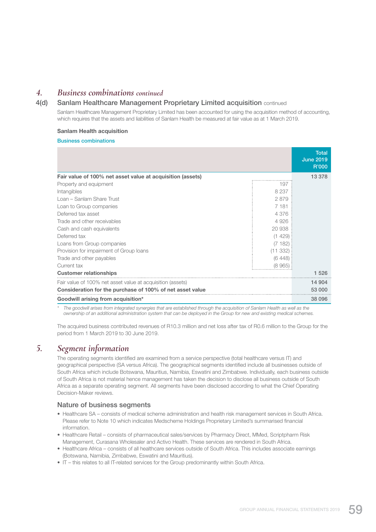## *4. Business combinations continued*

### 4(d) Sanlam Healthcare Management Proprietary Limited acquisition continued

 Sanlam Healthcare Management Proprietary Limited has been accounted for using the acquisition method of accounting, which requires that the assets and liabilities of Sanlam Health be measured at fair value as at 1 March 2019.

#### Sanlam Health acquisition

#### Business combinations

|                                                            |          | <b>Total</b><br><b>June 2019</b><br>R'000 |  |  |
|------------------------------------------------------------|----------|-------------------------------------------|--|--|
| Fair value of 100% net asset value at acquisition (assets) |          | 13 378                                    |  |  |
| Property and equipment                                     | 197      |                                           |  |  |
| Intangibles                                                | 8 2 3 7  |                                           |  |  |
| Loan - Sanlam Share Trust                                  | 2879     |                                           |  |  |
| Loan to Group companies                                    | 7 1 8 1  |                                           |  |  |
| Deferred tax asset                                         | 4 3 7 6  |                                           |  |  |
| Trade and other receivables                                | 4926     |                                           |  |  |
| Cash and cash equivalents                                  | 20 938   |                                           |  |  |
| Deferred tax                                               | (1429)   |                                           |  |  |
| Loans from Group companies                                 | (7182)   |                                           |  |  |
| Provision for impairment of Group Ioans                    | (11 332) |                                           |  |  |
| Trade and other payables                                   | (6448)   |                                           |  |  |
| Current tax                                                | (8965)   |                                           |  |  |
| <b>Customer relationships</b>                              |          | 1 5 2 6                                   |  |  |
| Fair value of 100% net asset value at acquisition (assets) |          | 14 904                                    |  |  |
| Consideration for the purchase of 100% of net asset value  |          |                                           |  |  |
| Goodwill arising from acquisition*                         |          | 38 096                                    |  |  |

*\* The goodwill arises from integrated synergies that are established through the acquisition of Sanlam Health as well as the ownership of an additional administration system that can be deployed in the Group for new and existing medical schemes.*

 The acquired business contributed revenues of R10.3 million and net loss after tax of R0.6 million to the Group for the period from 1 March 2019 to 30 June 2019.

## *5. Segment information*

 The operating segments identified are examined from a service perspective (total healthcare versus IT) and geographical perspective (SA versus Africa). The geographical segments identified include all businesses outside of South Africa which include Botswana, Mauritius, Namibia, Eswatini and Zimbabwe. Individually, each business outside of South Africa is not material hence management has taken the decision to disclose all business outside of South Africa as a separate operating segment. All segments have been disclosed according to what the Chief Operating Decision-Maker reviews.

#### Nature of business segments

- Healthcare SA consists of medical scheme administration and health risk management services in South Africa. Please refer to Note 10 which indicates Medscheme Holdings Proprietary Limited's summarised financial information.
- Healthcare Retail consists of pharmaceutical sales/services by Pharmacy Direct, MMed, Scriptpharm Risk Management, Curasana Wholesaler and Activo Health. These services are rendered in South Africa.
- Healthcare Africa consists of all healthcare services outside of South Africa. This includes associate earnings (Botswana, Namibia, Zimbabwe, Eswatini and Mauritius).
- IT this relates to all IT-related services for the Group predominantly within South Africa.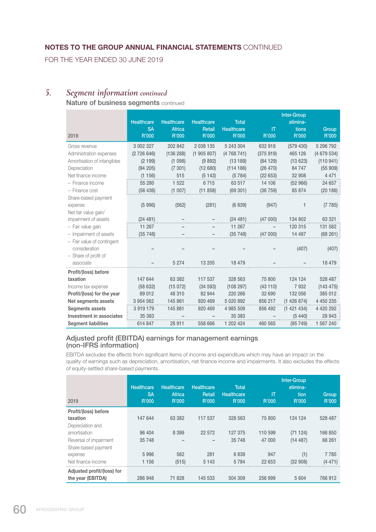FOR THE YEAR ENDED 30 JUNE 2019

## *5. Segment information continued*

## Nature of business segments continued

|                             | <b>Healthcare</b> | <b>Healthcare</b> | <b>Healthcare</b> | <b>Total</b>      |          | <b>Inter-Group</b><br>elimina- |              |
|-----------------------------|-------------------|-------------------|-------------------|-------------------|----------|--------------------------------|--------------|
|                             | <b>SA</b>         | <b>Africa</b>     | Retail            | <b>Healthcare</b> | IT       | tions                          | Group        |
| 2019                        | R'000             | R'000             | R'000             | R'000             | R'000    | R'000                          | R'000        |
| Gross revenue               | 3 002 327         | 202 842           | 2 038 135         | 5 243 304         | 632 918  | (579 430)                      | 5 296 792    |
| Administration expenses     | (2726646)         | (136 288)         | (1905807)         | (4768741)         | (375919) | 465 126                        | (4679534)    |
| Amortisation of intangibles | (2199)            | (1098)            | (9892)            | (13189)           | (84129)  | (13623)                        | (110941)     |
| Depreciation                | (94 205)          | (7301)            | (12680)           | (114186)          | (26 470) | 84 747                         | (55909)      |
| Net finance income          | (1156)            | 515               | (5143)            | (5784)            | (22653)  | 32 908                         | 4 4 7 1      |
| - Finance income            | 55 280            | 1 5 2 2           | 6715              | 63 517            | 14 106   | (52966)                        | 24 657       |
| - Finance cost              | (56 436)          | (1007)            | (11 858)          | (69301)           | (36759)  | 85 874                         | (20186)      |
| Share-based payment         |                   |                   |                   |                   |          |                                |              |
| expense                     | (5996)            | (562)             | (281)             | (6839)            | (947)    | 1                              | (7785)       |
| Net fair value gain/        |                   |                   |                   |                   |          |                                |              |
| impairment of assets        | (24481)           |                   |                   | (24481)           | (47000)  | 134 802                        | 63 321       |
| - Fair value gain           | 11 267            |                   |                   | 11 267            |          | 120 315                        | 131 582      |
| - Impairment of assets      | (35748)           |                   |                   | (35748)           | (47000)  | 14 487                         | (68261)      |
| - Fair value of contingent  |                   |                   |                   |                   |          |                                |              |
| consideration               |                   |                   |                   |                   |          | (407)                          | (407)        |
| - Share of profit of        |                   |                   |                   |                   |          |                                |              |
| associate                   |                   | 5 2 7 4           | 13 205            | 18 479            |          |                                | 18 479       |
| Profit/(loss) before        |                   |                   |                   |                   |          |                                |              |
| taxation                    | 147 644           | 63 382            | 117 537           | 328 563           | 75 800   | 124 124                        | 528 487      |
| Income tax expense          | (58632)           | (15072)           | (34 593)          | (108 297)         | (43110)  | 7932                           | (143 475)    |
| Profit/(loss) for the year  | 89 012            | 48 310            | 82 944            | 220 266           | 32 690   | 132 056                        | 385 012      |
| Net segments assets         | 3 954 562         | 145 861           | 920 469           | 5 0 20 8 9 2      | 856 217  | (1426874)                      | 4 450 235    |
| <b>Segments assets</b>      | 3 919 179         | 145 861           | 920 469           | 4 985 509         | 856 492  | (1421434)                      | 4 4 20 2 9 2 |
| Investment in associates    | 35 383            |                   |                   | 35 383            |          | (5440)                         | 29 943       |
| <b>Segment liabilities</b>  | 614 847           | 28 911            | 558 666           | 1 202 424         | 460 565  | (95749)                        | 1 567 240    |

### Adjusted profit (EBITDA) earnings for management earnings (non-IFRS information)

 EBITDA excludes the effects from significant items of income and expenditure which may have an impact on the quality of earnings such as depreciation, amortisation, net finance income and impairments. It also excludes the effects of equity-settled share-based payments.

| 2019                       | <b>Healthcare</b><br><b>SA</b><br>R'000 | Healthcare<br>Africa<br>R'000 | Healthcare<br>Retail<br>R'000 | <b>Total</b><br>Healthcare<br>R'000 | IT<br>R'000 | Inter-Group<br>elimina-<br>tion<br>R'000 | Group<br>R'000 |
|----------------------------|-----------------------------------------|-------------------------------|-------------------------------|-------------------------------------|-------------|------------------------------------------|----------------|
| Profit/(loss) before       |                                         |                               |                               |                                     |             |                                          |                |
| taxation                   | 147 644                                 | 63 382                        | 117 537                       | 328 563                             | 75 800      | 124 124                                  | 528 487        |
| Depreciation and           |                                         |                               |                               |                                     |             |                                          |                |
| amortisation               | 96 404                                  | 8 3 9 9                       | 22 572                        | 127 375                             | 110 599     | (71124)                                  | 166 850        |
| Reversal of impairment     | 35 748                                  |                               |                               | 35 748                              | 47 000      | (14487)                                  | 68 261         |
| Share-based payment        |                                         |                               |                               |                                     |             |                                          |                |
| expense                    | 5996                                    | 562                           | 281                           | 6839                                | 947         | (1)                                      | 7785           |
| Net finance income         | 1 1 5 6                                 | (515)                         | 5 1 4 3                       | 5784                                | 22 653      | (32908)                                  | (4471)         |
| Adjusted profit/(loss) for |                                         |                               |                               |                                     |             |                                          |                |
| the year (EBITDA)          | 286 948                                 | 71 828                        | 145 533                       | 504 309                             | 256 999     | 5 604                                    | 766 912        |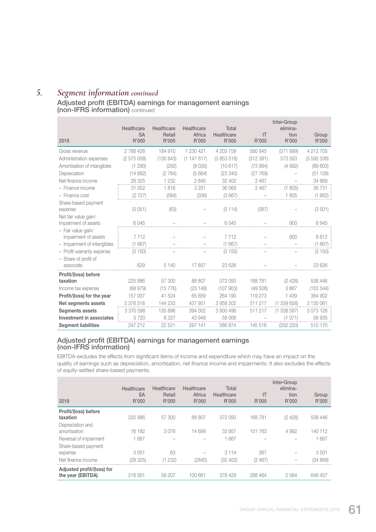# *5. Segment information continued*

## Adjusted profit (EBITDA) earnings for management earnings (non-IFRS information) continued

|                                   | Healthcare         | Healthcare      | Healthcare      | Total               |             | Inter-Group<br>elimina- |                |
|-----------------------------------|--------------------|-----------------|-----------------|---------------------|-------------|-------------------------|----------------|
| 2018                              | <b>SA</b><br>R'000 | Retail<br>R'000 | Africa<br>R'000 | Healthcare<br>R'000 | IT<br>R'000 | tion<br>R'000           | Group<br>R'000 |
| Gross revenue                     | 2788428            | 184 910         | 1 230 421       | 4 203 759           | 580 845     | (571899)                | 4 212 705      |
| Administration expenses           | (2575058)          | (130843)        | (1147617)       | (3853518)           | (312 381)   | 573 563                 | (3592336)      |
| Amortisation of intangibles       | (1 290)            | (292)           | (9035)          | (10617)             | (73994)     | (4992)                  | (89603)        |
| Depreciation                      | (14892)            | (2784)          | (5664)          | (23 340)            | (27769)     |                         | (51 109)       |
| Net finance income                | 28 3 25            | 1 2 3 2         | 2845            | 32 402              | 2 4 6 7     |                         | 34 869         |
| - Finance income                  | 31 052             | 1816            | 3 2 0 1         | 36 069              | 2 4 6 7     | (1805)                  | 36731          |
| $-$ Finance cost                  | (2727)             | (584)           | (356)           | (3667)              |             | 1805                    | (1862)         |
| Share-based payment               |                    |                 |                 |                     |             |                         |                |
| expense                           | (3051)             | (63)            |                 | (3114)              | (387)       |                         | (3 501)        |
| Net fair value gain/              |                    |                 |                 |                     |             |                         |                |
| impairment of assets              | 6045               |                 |                 | 6045                |             | 900                     | 6945           |
| - Fair value gain/                |                    |                 |                 |                     |             |                         |                |
| impairment of assets              | 7712               |                 |                 | 7712                |             | 900                     | 8612           |
| - Impairment of intangibles       | (1667)             |                 |                 | (1667)              |             |                         | (1667)         |
| - Profit warranty expense         | (3150)             |                 |                 | (3150)              |             |                         | (3150)         |
| - Share of profit of<br>associate | 629                | 5 1 4 0         | 17857           | 23 6 26             |             |                         | 23 626         |
| Profit/(loss) before              |                    |                 |                 |                     |             |                         |                |
| taxation                          | 225 986            | 57 300          | 88 807          | 372 093             | 168781      | (2428)                  | 538 446        |
| Income tax expense                | (68 979)           | (15 776)        | (23148)         | (107903)            | (49508)     | 3867                    | (153544)       |
| Profit/(loss) for the year        | 157 007            | 41 524          | 65 659          | 264 190             | 119 273     | 1 4 3 9                 | 384 902        |
| <b>Net segments assets</b>        | 3 376 318          | 144 233         | 437 951         | 3 958 502           | 511 217     | (1339658)               | 3 130 061      |
| <b>Segments assets</b>            | 3 370 598          | 135 896         | 394 002         | 3 900 496           | 511 217     | (1338587)               | 3073126        |
| <b>Investment in associates</b>   | 5720               | 8 3 3 7         | 43 949          | 58 006              |             | (1071)                  | 56935          |
| <b>Segment liabilities</b>        | 247 212            | 22 5 21         | 297 141         | 566 874             | 145 516     | (202 220)               | 510 170        |

### Adjusted profit (EBITDA) earnings for management earnings (non-IFRS information)

 EBITDA excludes the effects from significant items of income and expenditure which may have an impact on the quality of earnings such as depreciation, amortisation, net finance income and impairments. It also excludes the effects of equity-settled share-based payments.

| 2018                                            | Healthcare<br><b>SA</b><br>R'000 | Healthcare<br>Retail<br>R'000 | Healthcare<br>Africa<br>R'000 | Total<br>Healthcare<br>R'000 | IT<br>R'000 | Inter-Group<br>elimina-<br>tion<br>R'000 | Group<br>R'000 |
|-------------------------------------------------|----------------------------------|-------------------------------|-------------------------------|------------------------------|-------------|------------------------------------------|----------------|
| Profit/(loss) before                            |                                  |                               |                               | 372 093                      | 168781      |                                          |                |
| taxation<br>Depreciation and                    | 225 986                          | 57 300                        | 88 807                        |                              |             | (2428)                                   | 538 446        |
| amortisation                                    | 16 182                           | 3076                          | 14 699                        | 33 957                       | 101 763     | 4 9 9 2                                  | 140 712        |
| Reversal of impairment                          | 1667                             |                               |                               | 1667                         | -           |                                          | 1667           |
| Share-based payment                             |                                  |                               |                               |                              |             |                                          |                |
| expense                                         | 3051                             | 63                            |                               | 3 1 1 4                      | 387         |                                          | 3501           |
| Net finance income                              | (28 325)                         | (1232)                        | (2845)                        | (32 402)                     | (2467)      |                                          | (34 869)       |
| Adjusted profit/(loss) for<br>the year (EBITDA) | 218 561                          | 59 207                        | 100 661                       | 378 429                      | 268 464     | 2 5 6 4                                  | 649 457        |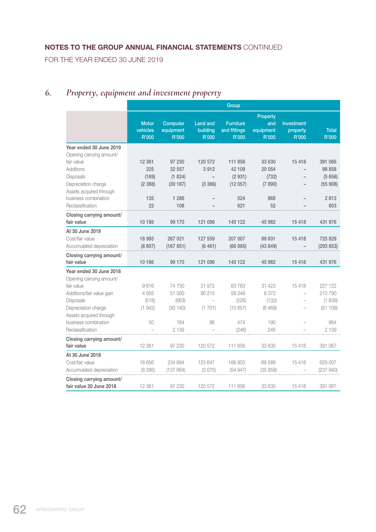FOR THE YEAR ENDED 30 JUNE 2019

# *6. Property, equipment and investment property*

|                                                     | Group                             |                                |                                      |                                           |                                       |                                 |                       |
|-----------------------------------------------------|-----------------------------------|--------------------------------|--------------------------------------|-------------------------------------------|---------------------------------------|---------------------------------|-----------------------|
|                                                     | <b>Motor</b><br>vehicles<br>R'000 | Computer<br>equipment<br>R'000 | <b>Land and</b><br>building<br>R'000 | <b>Furniture</b><br>and fittings<br>R'000 | Property<br>and<br>equipment<br>R'000 | Investment<br>property<br>R'000 | <b>Total</b><br>R'000 |
| Year ended 30 June 2019                             |                                   |                                |                                      |                                           |                                       |                                 |                       |
| Opening carrying amount/                            |                                   |                                |                                      |                                           |                                       |                                 |                       |
| fair value                                          | 12 3 61                           | 97 230                         | 120 572                              | 111 856                                   | 33 630                                | 15418                           | 391 066               |
| <b>Additions</b>                                    | 225                               | 32 557                         | 3912                                 | 42 109                                    | 20 054                                |                                 | 98 858                |
| Disposals                                           | (169)                             | (1824)                         | $\overline{\phantom{0}}$             | (2931)                                    | (732)                                 | $\overline{\phantom{0}}$        | (5656)                |
| Depreciation charge                                 | (2388)                            | (30187)                        | (3386)                               | (12057)                                   | (7890)                                |                                 | (55908)               |
| Assets acquired through                             |                                   |                                |                                      |                                           |                                       |                                 |                       |
| business combination                                | 135                               | 1 286                          |                                      | 524                                       | 868                                   |                                 | 2813                  |
| Reclassification                                    | 22                                | 108                            |                                      | 621                                       | 52                                    |                                 | 803                   |
| Closing carrying amount/<br>fair value              | 10186                             | 99 170                         | 121 098                              | 140 122                                   | 45 982                                | 15418                           | 431 976               |
| At 30 June 2019                                     |                                   |                                |                                      |                                           |                                       |                                 |                       |
| Cost/fair value                                     | 18 993                            | 267 021                        | 127 559                              | 207 007                                   | 89 831                                | 15418                           | 725 829               |
| Accumulated depreciation                            | (8807)                            | (167 851)                      | (6461)                               | (66 885)                                  | (43849)                               |                                 | (293 853)             |
| Closing carrying amount/                            |                                   |                                |                                      |                                           |                                       |                                 |                       |
| fair value                                          | 10 186                            | 99 170                         | 121 098                              | 140 122                                   | 45 982                                | 15418                           | 431 976               |
| Year ended 30 June 2018                             |                                   |                                |                                      |                                           |                                       |                                 |                       |
| Opening carrying amount/                            |                                   |                                |                                      |                                           |                                       |                                 |                       |
| fair value                                          | 9816                              | 74 730                         | 31 972                               | 63763                                     | 31 423                                | 15418                           | 227 122               |
| Additions/fair value gain                           | 4 9 5 5                           | 51 000                         | 90 215                               | 59 248                                    | 8 3 7 2                               | L,                              | 213790                |
| <b>Disposals</b>                                    | (518)                             | (663)                          |                                      | (526)                                     | (132)                                 |                                 | (1839)                |
| Depreciation charge<br>Assets acquired through      | (1942)                            | (30140)                        | (1701)                               | (10.857)                                  | (6469)                                |                                 | (51109)               |
| business combination                                | 50                                | 164                            | 86                                   | 474                                       | 190                                   |                                 | 964                   |
| Reclassification                                    |                                   | 2 1 3 9                        |                                      | (246)                                     | 246                                   |                                 | 2 1 3 9               |
| Closing carrying amount/                            |                                   |                                |                                      |                                           |                                       |                                 |                       |
| fair value                                          | 12 3 61                           | 97 230                         | 120 572                              | 111 856                                   | 33 630                                | 15418                           | 391 067               |
| At 30 June 2018                                     |                                   |                                |                                      |                                           |                                       |                                 |                       |
| Cost/fair value                                     | 18 656                            | 234 894                        | 123 647                              | 166 803                                   | 69 589                                | 15418                           | 629 007               |
| Accumulated depreciation                            | (6295)                            | (137664)                       | (3075)                               | (54947)                                   | (35959)                               |                                 | (237 940)             |
| Closing carrying amount/<br>fair value 30 June 2018 | 12 3 61                           | 97 230                         | 120 572                              | 111 856                                   | 33 630                                | 15418                           | 391 067               |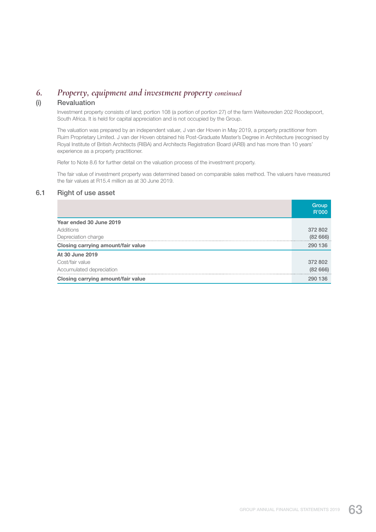## *6. Property, equipment and investment property continued*

### (i) Revaluation

 Investment property consists of land; portion 108 (a portion of portion 27) of the farm Weltevreden 202 Roodepoort, South Africa. It is held for capital appreciation and is not occupied by the Group.

 The valuation was prepared by an independent valuer, J van der Hoven in May 2019, a property practitioner from Ruim Proprietary Limited. J van der Hoven obtained his Post-Graduate Master's Degree in Architecture (recognised by Royal Institute of British Architects (RIBA) and Architects Registration Board (ARB) and has more than 10 years' experience as a property practitioner.

Refer to Note 8.6 for further detail on the valuation process of the investment property.

 The fair value of investment property was determined based on comparable sales method. The valuers have measured the fair values at R15.4 million as at 30 June 2019.

### 6.1 Right of use asset

|                                    | Group<br>R'000 |
|------------------------------------|----------------|
| Year ended 30 June 2019            |                |
| Additions                          | 372 802        |
| Depreciation charge                | (8266)         |
| Closing carrying amount/fair value | 290 136        |
| At 30 June 2019                    |                |
| Cost/fair value                    | 372 802        |
| Accumulated depreciation           | (8266)         |
| Closing carrying amount/fair value | 290 136        |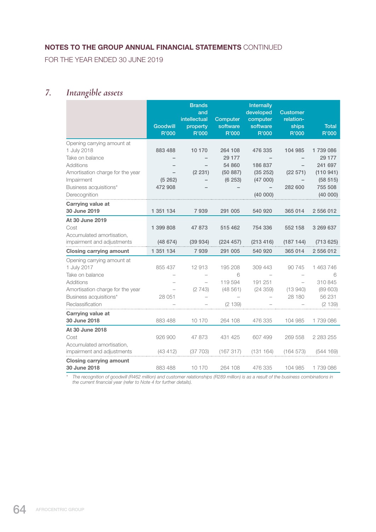FOR THE YEAR ENDED 30 JUNE 2019

# *7. Intangible assets*

|                                  | <b>Goodwill</b> | <b>Brands</b><br>and<br>intellectual<br>property | Computer<br>software | <b>Internally</b><br>developed<br>computer<br>software | <b>Customer</b><br>relation-<br>ships | <b>Total</b> |
|----------------------------------|-----------------|--------------------------------------------------|----------------------|--------------------------------------------------------|---------------------------------------|--------------|
|                                  | <b>R'000</b>    | R'000                                            | R'000                | R'000                                                  | R'000                                 | R'000        |
| Opening carrying amount at       |                 |                                                  |                      |                                                        |                                       |              |
| 1 July 2018                      | 883 488         | 10 170                                           | 264 108              | 476 335                                                | 104 985                               | 1739086      |
| Take on balance                  |                 |                                                  | 29 177               |                                                        |                                       | 29 177       |
| <b>Additions</b>                 |                 |                                                  | 54 860               | 186 837                                                |                                       | 241 697      |
| Amortisation charge for the year |                 | (2 231)                                          | (50 887)             | (35 252)                                               | (22 571)                              | (110941)     |
| Impairment                       | (5262)          |                                                  | (6253)               | (47000)                                                |                                       | (58515)      |
| Business acquisitions*           | 472 908         |                                                  |                      |                                                        | 282 600                               | 755 508      |
| Derecognition                    |                 |                                                  |                      | (40000)                                                |                                       | (40000)      |
| Carrying value at                |                 |                                                  |                      |                                                        |                                       |              |
| 30 June 2019                     | 1 351 134       | 7939                                             | 291 005              | 540 920                                                | 365 014                               | 2 556 012    |
| At 30 June 2019                  |                 |                                                  |                      |                                                        |                                       |              |
| Cost                             | 1 399 808       | 47 873                                           | 515 462              | 754 336                                                | 552 158                               | 3 269 637    |
| Accumulated amortisation,        |                 |                                                  |                      |                                                        |                                       |              |
| impairment and adjustments       | (48674)         | (39934)                                          | (224 457)            | (213 416)                                              | (187144)                              | (713625)     |
| <b>Closing carrying amount</b>   | 1 351 134       | 7939                                             | 291 005              | 540 920                                                | 365 014                               | 2 556 012    |
| Opening carrying amount at       |                 |                                                  |                      |                                                        |                                       |              |
| 1 July 2017                      | 855 437         | 12913                                            | 195 208              | 309 443                                                | 90 745                                | 1 463 746    |
| Take on balance                  |                 |                                                  | 6                    |                                                        |                                       | 6            |
| <b>Additions</b>                 |                 |                                                  | 119 594              | 191 251                                                |                                       | 310 845      |
| Amortisation charge for the year |                 | (2743)                                           | (48561)              | (24359)                                                | (13940)                               | (89603)      |
| Business acquisitions*           | 28 051          |                                                  |                      |                                                        | 28 180                                | 56 231       |
| Reclassification                 |                 |                                                  | (2139)               |                                                        |                                       | (2139)       |
| Carrying value at                |                 |                                                  |                      |                                                        |                                       |              |
| 30 June 2018                     | 883 488         | 10 170                                           | 264 108              | 476 335                                                | 104 985                               | 1739086      |
| At 30 June 2018                  |                 |                                                  |                      |                                                        |                                       |              |
| Cost                             | 926 900         | 47 873                                           | 431 425              | 607 499                                                | 269 558                               | 2 283 255    |
| Accumulated amortisation,        |                 |                                                  |                      |                                                        |                                       |              |
| impairment and adjustments       | (43 412)        | (37 703)                                         | (167317)             | (131 164)                                              | (164573)                              | (544169)     |
| <b>Closing carrying amount</b>   |                 |                                                  |                      |                                                        |                                       |              |
| 30 June 2018                     | 883 488         | 10 170                                           | 264 108              | 476 335                                                | 104 985                               | 1739086      |

*\* The recognition of goodwill (R462 million) and customer relationships (R289 million) is as a result of the business combinations in the current financial year (refer to Note 4 for further details).*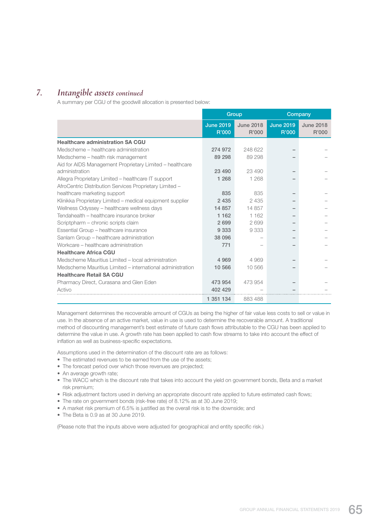## *7. Intangible assets continued*

A summary per CGU of the goodwill allocation is presented below:

|                                                            |                           | Group                     |                           | Company                   |
|------------------------------------------------------------|---------------------------|---------------------------|---------------------------|---------------------------|
|                                                            | <b>June 2019</b><br>R'000 | <b>June 2018</b><br>R'000 | <b>June 2019</b><br>R'000 | <b>June 2018</b><br>R'000 |
| <b>Healthcare administration SA CGU</b>                    |                           |                           |                           |                           |
| Medscheme – healthcare administration                      | 274 972                   | 248 622                   |                           |                           |
| Medscheme – health risk management                         | 89 298                    | 89 298                    |                           |                           |
| Aid for AIDS Management Proprietary Limited - healthcare   |                           |                           |                           |                           |
| administration                                             | 23 490                    | 23 490                    |                           |                           |
| Allegra Proprietary Limited – healthcare IT support        | 1 2 6 8                   | 1 2 6 8                   |                           |                           |
| AfroCentric Distribution Services Proprietary Limited -    |                           |                           |                           |                           |
| healthcare marketing support                               | 835                       | 835                       |                           |                           |
| Klinikka Proprietary Limited - medical equipment supplier  | 2 4 3 5                   | 2 4 3 5                   |                           |                           |
| Wellness Odyssey - healthcare wellness days                | 14 857                    | 14 857                    |                           |                           |
| Tendahealth – healthcare insurance broker                  | 1 1 6 2                   | 1 1 6 2                   |                           |                           |
| Scriptpharm - chronic scripts claim                        | 2699                      | 2699                      |                           |                           |
| Essential Group - healthcare insurance                     | 9 3 3 3                   | 9333                      |                           |                           |
| Sanlam Group - healthcare administration                   | 38 096                    |                           |                           |                           |
| Workcare – healthcare administration                       | 771                       |                           |                           |                           |
| <b>Healthcare Africa CGU</b>                               |                           |                           |                           |                           |
| Medscheme Mauritius Limited - local administration         | 4 9 6 9                   | 4 969                     |                           |                           |
| Medscheme Mauritius Limited – international administration | 10 566                    | 10 566                    |                           |                           |
| <b>Healthcare Retail SA CGU</b>                            |                           |                           |                           |                           |
| Pharmacy Direct, Curasana and Glen Eden                    | 473 954                   | 473 954                   |                           |                           |
| Activo                                                     | 402 429                   |                           |                           |                           |
|                                                            | 1 351 134                 | 883 488                   |                           |                           |

 Management determines the recoverable amount of CGUs as being the higher of fair value less costs to sell or value in use. In the absence of an active market, value in use is used to determine the recoverable amount. A traditional method of discounting management's best estimate of future cash flows attributable to the CGU has been applied to determine the value in use. A growth rate has been applied to cash flow streams to take into account the effect of inflation as well as business-specific expectations.

Assumptions used in the determination of the discount rate are as follows:

- The estimated revenues to be earned from the use of the assets;
- The forecast period over which those revenues are projected;
- An average growth rate;
- The WACC which is the discount rate that takes into account the yield on government bonds, Beta and a market risk premium;
- Risk adjustment factors used in deriving an appropriate discount rate applied to future estimated cash flows;
- The rate on government bonds (risk-free rate) of 8.12% as at 30 June 2019;
- A market risk premium of 6.5% is justified as the overall risk is to the downside; and
- The Beta is 0.9 as at 30 June 2019.

(Please note that the inputs above were adjusted for geographical and entity specific risk.)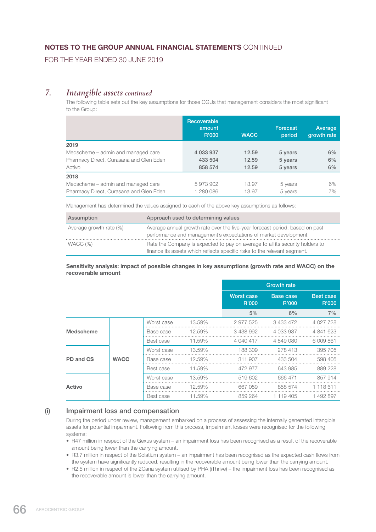FOR THE YEAR ENDED 30 JUNE 2019

## *7. Intangible assets continued*

 The following table sets out the key assumptions for those CGUs that management considers the most significant to the Group:

|                                         | Recoverable<br>amount<br>R'000 | <b>WACC</b> | <b>Forecast</b><br>period | Average<br>growth rate |
|-----------------------------------------|--------------------------------|-------------|---------------------------|------------------------|
| 2019                                    |                                |             |                           |                        |
| Medscheme – admin and managed care      | 4 033 937                      | 12.59       | 5 years                   | 6%                     |
| Pharmacy Direct, Curasana and Glen Eden | 433 504                        | 12.59       | 5 years                   | 6%                     |
| Activo                                  | 858 574                        | 12.59       | 5 years                   | 6%                     |
| 2018                                    |                                |             |                           |                        |
| Medscheme – admin and managed care      | 5973902                        | 13.97       | 5 years                   | 6%                     |
| Pharmacy Direct, Curasana and Glen Eden | 1 280 086                      | 13.97       | 5 years                   | 7%                     |

Management has determined the values assigned to each of the above key assumptions as follows:

| Assumption              | Approach used to determining values                                                                                                                        |
|-------------------------|------------------------------------------------------------------------------------------------------------------------------------------------------------|
| Average growth rate (%) | Average annual growth rate over the five-year forecast period; based on past<br>performance and management's expectations of market development.           |
| WACC (%)                | Rate the Company is expected to pay on average to all its security holders to<br>finance its assets which reflects specific risks to the relevant segment. |

#### Sensitivity analysis: impact of possible changes in key assumptions (growth rate and WACC) on the recoverable amount

|                  |             |            |           |                     | <b>Growth rate</b> |                           |
|------------------|-------------|------------|-----------|---------------------|--------------------|---------------------------|
|                  |             |            |           | Worst case<br>R'000 | Base case<br>R'000 | <b>Best case</b><br>R'000 |
|                  |             |            |           | 5%                  | 6%                 | 7%                        |
|                  |             | Worst case | 13.59%    | 2 977 525           | 3 433 472          | 4 027 728                 |
| <b>Medscheme</b> |             | Base case  | 12.59%    | 3438992             | 4 033 937          | 4 841 623                 |
|                  | Best case   | 11.59%     | 4 040 417 | 4 849 080           | 6 009 861          |                           |
|                  |             | Worst case | 13.59%    | 188 309             | 278413             | 395 705                   |
| PD and CS        | <b>WACC</b> | Base case  | 12.59%    | 311 907             | 433 504            | 598 405                   |
|                  |             | Best case  | 11.59%    | 472 977             | 643 985            | 889 228                   |
|                  |             | Worst case | 13.59%    | 519602              | 666471             | 857 914                   |
| <b>Activo</b>    |             | Base case  | 12.59%    | 667 059             | 858 574            | 1 118 611                 |
|                  |             | Best case  | 11.59%    | 859 264             | 1 119 405          | 1492897                   |

### (i) Impairment loss and compensation

 During the period under review, management embarked on a process of assessing the internally generated intangible assets for potential impairment. Following from this process, impairment losses were recognised for the following systems:

- R47 million in respect of the Gexus system an impairment loss has been recognised as a result of the recoverable amount being lower than the carrying amount.
- R3.7 million in respect of the Solatium system an impairment has been recognised as the expected cash flows from the system have significantly reduced, resulting in the recoverable amount being lower than the carrying amount.
- R2.5 million in respect of the 2Cana system utilised by PHA (iThrive) the impairment loss has been recognised as the recoverable amount is lower than the carrying amount.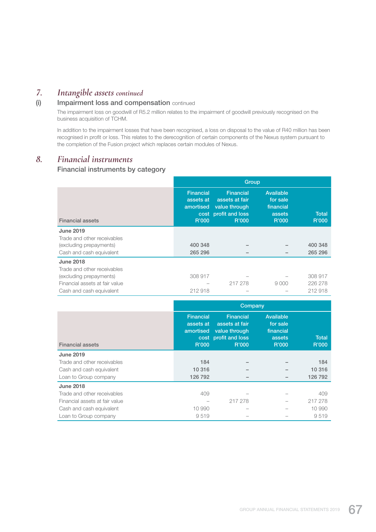## *7. Intangible assets continued*

### (i) Impairment loss and compensation continued

 The impairment loss on goodwill of R5.2 million relates to the impairment of goodwill previously recognised on the business acquisition of TCHM.

 In addition to the impairment losses that have been recognised, a loss on disposal to the value of R40 million has been recognised in profit or loss. This relates to the derecognition of certain components of the Nexus system pursuant to the completion of the Fusion project which replaces certain modules of Nexus.

## *8. Financial instruments*

### Financial instruments by category

|                                | Group                                               |                                                                                             |                                                       |                       |  |  |
|--------------------------------|-----------------------------------------------------|---------------------------------------------------------------------------------------------|-------------------------------------------------------|-----------------------|--|--|
| <b>Financial assets</b>        | <b>Financial</b><br>assets at<br>amortised<br>R'000 | <b>Financial</b><br>assets at fair<br>value through<br>cost profit and loss<br><b>R'000</b> | Available<br>for sale<br>financial<br>assets<br>R'000 | <b>Total</b><br>R'000 |  |  |
| <b>June 2019</b>               |                                                     |                                                                                             |                                                       |                       |  |  |
| Trade and other receivables    |                                                     |                                                                                             |                                                       |                       |  |  |
| (excluding prepayments)        | 400 348                                             |                                                                                             |                                                       | 400 348               |  |  |
| Cash and cash equivalent       | 265 296                                             |                                                                                             |                                                       | 265 296               |  |  |
| <b>June 2018</b>               |                                                     |                                                                                             |                                                       |                       |  |  |
| Trade and other receivables    |                                                     |                                                                                             |                                                       |                       |  |  |
| (excluding prepayments)        | 308 917                                             |                                                                                             |                                                       | 308 917               |  |  |
| Financial assets at fair value |                                                     | 217 278                                                                                     | 9000                                                  | 226 278               |  |  |
| Cash and cash equivalent       | 212918                                              |                                                                                             |                                                       | 212918                |  |  |

|                                | Company                                             |                                                                                      |                                                       |                       |  |  |
|--------------------------------|-----------------------------------------------------|--------------------------------------------------------------------------------------|-------------------------------------------------------|-----------------------|--|--|
| <b>Financial assets</b>        | <b>Financial</b><br>assets at<br>amortised<br>R'000 | <b>Financial</b><br>assets at fair<br>value through<br>cost profit and loss<br>R'000 | Available<br>for sale<br>financial<br>assets<br>R'000 | <b>Total</b><br>R'000 |  |  |
| <b>June 2019</b>               |                                                     |                                                                                      |                                                       |                       |  |  |
| Trade and other receivables    | 184                                                 |                                                                                      |                                                       | 184                   |  |  |
| Cash and cash equivalent       | 10 316                                              |                                                                                      |                                                       | 10 316                |  |  |
| Loan to Group company          | 126 792                                             |                                                                                      |                                                       | 126 792               |  |  |
| <b>June 2018</b>               |                                                     |                                                                                      |                                                       |                       |  |  |
| Trade and other receivables    | 409                                                 |                                                                                      |                                                       | 409                   |  |  |
| Financial assets at fair value |                                                     | 217 278                                                                              |                                                       | 217 278               |  |  |
| Cash and cash equivalent       | 10 990                                              |                                                                                      |                                                       | 10 990                |  |  |
| Loan to Group company          | 9519                                                |                                                                                      |                                                       | 9519                  |  |  |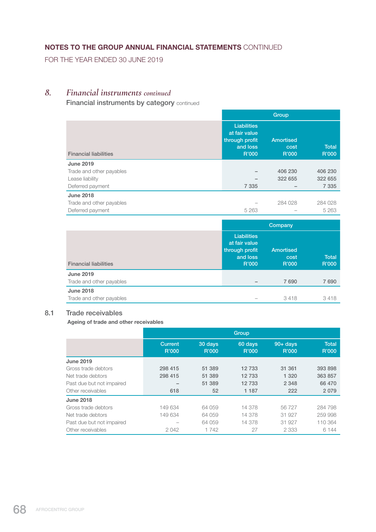FOR THE YEAR ENDED 30 JUNE 2019

## *8. Financial instruments continued*

**Financial instruments by category continued** 

|                              |                                                                            | Group                             |                       |
|------------------------------|----------------------------------------------------------------------------|-----------------------------------|-----------------------|
| <b>Financial liabilities</b> | <b>Liabilities</b><br>at fair value<br>through profit<br>and loss<br>R'000 | <b>Amortised</b><br>cost<br>R'000 | <b>Total</b><br>R'000 |
| <b>June 2019</b>             |                                                                            |                                   |                       |
| Trade and other payables     |                                                                            | 406 230                           | 406 230               |
| Lease liability              |                                                                            | 322 655                           | 322 655               |
| Deferred payment             | 7 3 3 5                                                                    |                                   | 7 3 3 5               |
| <b>June 2018</b>             |                                                                            |                                   |                       |
| Trade and other payables     |                                                                            | 284 028                           | 284 028               |
| Deferred payment             | 5 2 6 3                                                                    |                                   | 5 2 6 3               |

|                              | Company                                                                    |                            |                       |
|------------------------------|----------------------------------------------------------------------------|----------------------------|-----------------------|
| <b>Financial liabilities</b> | <b>Liabilities</b><br>at fair value<br>through profit<br>and loss<br>R'000 | Amortised<br>cost<br>R'000 | <b>Total</b><br>R'000 |
| <b>June 2019</b>             |                                                                            |                            |                       |
| Trade and other payables     |                                                                            | 7690                       | 7690                  |
| <b>June 2018</b>             |                                                                            |                            |                       |
| Trade and other payables     |                                                                            | 3418                       | 3418                  |

### 8.1 Trade receivables

Ageing of trade and other receivables

|                           | Group                    |                  |                  |                                 |                       |  |
|---------------------------|--------------------------|------------------|------------------|---------------------------------|-----------------------|--|
|                           | <b>Current</b><br>R'000  | 30 days<br>R'000 | 60 days<br>R'000 | $90 + \overline{days}$<br>R'000 | <b>Total</b><br>R'000 |  |
| <b>June 2019</b>          |                          |                  |                  |                                 |                       |  |
| Gross trade debtors       | 298 415                  | 51 389           | 12733            | 31 361                          | 393 898               |  |
| Net trade debtors         | 298 415                  | 51 389           | 12733            | 1 3 2 0                         | 363 857               |  |
| Past due but not impaired | $\overline{\phantom{a}}$ | 51 389           | 12733            | 2 3 4 8                         | 66 470                |  |
| Other receivables         | 618                      | 52               | 1 1 8 7          | 222                             | 2079                  |  |
| <b>June 2018</b>          |                          |                  |                  |                                 |                       |  |
| Gross trade debtors       | 149 634                  | 64 059           | 14 378           | 56727                           | 284 798               |  |
| Net trade debtors         | 149 634                  | 64 059           | 14 378           | 31 927                          | 259 998               |  |
| Past due but not impaired |                          | 64 059           | 14 378           | 31 927                          | 110 364               |  |
| Other receivables         | 2042                     | 1742             | 27               | 2 3 3 3                         | 6 144                 |  |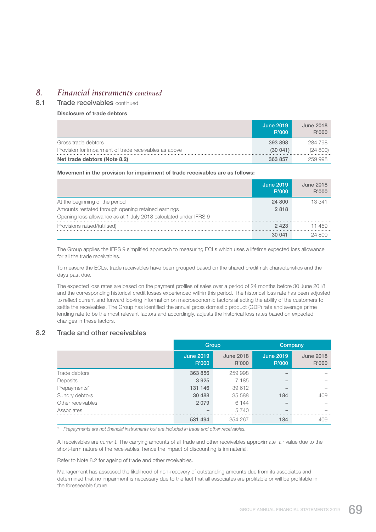## *8. Financial instruments continued*

8.1 Trade receivables continued

#### Disclosure of trade debtors

|                                                        | June 2019<br>R'000 | June 2018<br>R'000 |
|--------------------------------------------------------|--------------------|--------------------|
| Gross trade debtors                                    | 393898             | 284 798            |
| Provision for impairment of trade receivables as above | (30041)            | (24 800)           |
| Net trade debtors (Note 8.2)                           | 363857             | 259998             |

#### Movement in the provision for impairment of trade receivables are as follows:

|                                                                  | <b>June 2019</b><br><b>R'000</b> | June 2018<br>R'000 |
|------------------------------------------------------------------|----------------------------------|--------------------|
| At the beginning of the period                                   | 24 800                           | 13.341             |
| Amounts restated through opening retained earnings               | 2818                             |                    |
| Opening loss allowance as at 1 July 2018 calculated under IFRS 9 |                                  |                    |
| Provisions raised/(utilised)                                     | 2423                             | 1459               |
|                                                                  | 30041                            | 24 800             |

 The Group applies the IFRS 9 simplified approach to measuring ECLs which uses a lifetime expected loss allowance for all the trade receivables.

 To measure the ECLs, trade receivables have been grouped based on the shared credit risk characteristics and the days past due.

 The expected loss rates are based on the payment profiles of sales over a period of 24 months before 30 June 2018 and the corresponding historical credit losses experienced within this period. The historical loss rate has been adjusted to reflect current and forward looking information on macroeconomic factors affecting the ability of the customers to settle the receivables. The Group has identified the annual gross domestic product (GDP) rate and average prime lending rate to be the most relevant factors and accordingly, adjusts the historical loss rates based on expected changes in these factors.

### 8.2 Trade and other receivables

|                   | Group                     |                           | Company                   |                           |
|-------------------|---------------------------|---------------------------|---------------------------|---------------------------|
|                   | <b>June 2019</b><br>R'000 | <b>June 2018</b><br>R'000 | <b>June 2019</b><br>R'000 | <b>June 2018</b><br>R'000 |
| Trade debtors     | 363 856                   | 259 998                   |                           |                           |
| Deposits          | 3925                      | 7 1 8 5                   |                           |                           |
| Prepayments*      | 131 146                   | 39 612                    |                           |                           |
| Sundry debtors    | 30 4 88                   | 35 588                    | 184                       | 409                       |
| Other receivables | 2079                      | 6 1 4 4                   |                           |                           |
| Associates        |                           | 5740                      | -                         |                           |
|                   | 531 494                   | 354 267                   | 184                       | 409                       |

*\* Prepayments are not financial instruments but are included in trade and other receivables.*

 All receivables are current. The carrying amounts of all trade and other receivables approximate fair value due to the short-term nature of the receivables, hence the impact of discounting is immaterial.

Refer to Note 8.2 for ageing of trade and other receivables.

 Management has assessed the likelihood of non-recovery of outstanding amounts due from its associates and determined that no impairment is necessary due to the fact that all associates are profitable or will be profitable in the foreseeable future.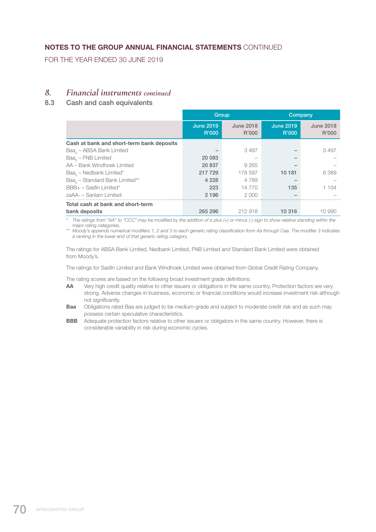FOR THE YEAR ENDED 30 JUNE 2019

### *8. Financial instruments continued*

### 8.3 Cash and cash equivalents

|                                            | Group                     |                           | Company                          |                           |
|--------------------------------------------|---------------------------|---------------------------|----------------------------------|---------------------------|
|                                            | <b>June 2019</b><br>R'000 | <b>June 2018</b><br>R'000 | <b>June 2019</b><br><b>R'000</b> | <b>June 2018</b><br>R'000 |
| Cash at bank and short-term bank deposits  |                           |                           |                                  |                           |
| Baa <sub>2</sub> – ABSA Bank Limited       |                           | 3497                      |                                  | 3497                      |
| $Baa_{2}$ – FNB Limited                    | 20 083                    |                           |                                  |                           |
| AA - Bank Windhoek Limited                 | 20 837                    | 9 2 6 5                   |                                  |                           |
| Baa <sub>2</sub> – Nedbank Limited*        | 217 729                   | 178 597                   | 10 181                           | 6389                      |
| Baa <sub>3</sub> – Standard Bank Limited** | 4 2 2 8                   | 4 7 8 9                   |                                  |                           |
| BBB+ - Sasfin Limited*                     | 223                       | 14 770                    | 135                              | 1 104                     |
| zaAA- - Sanlam Limited                     | 2 1 9 6                   | 2.000                     |                                  |                           |
| Total cash at bank and short-term          |                           |                           |                                  |                           |
| bank deposits                              | 265 296                   | 212 918                   | 10 316                           | 10 990                    |

*\* The ratings from "AA" to "CCC" may be modified by the addition of a plus (+) or minus (-) sign to show relative standing within the major rating categories.*

*\*\* Moody's appends numerical modifiers 1, 2 and 3 to each generic rating classification from Aa through Caa. The modifier 3 indicates a ranking in the lower end of that generic rating category.*

 The ratings for ABSA Bank Limited, Nedbank Limited, FNB Limited and Standard Bank Limited were obtained from Moody's.

The ratings for Sasfin Limited and Bank Windhoek Limited were obtained from Global Credit Rating Company.

The rating scores are based on the following broad investment grade definitions:

- AA Very high credit quality relative to other issuers or obligations in the same country. Protection factors are very strong. Adverse changes in business, economic or financial conditions would increase investment risk although not significantly.
- Baa Obligations rated Baa are judged to be medium-grade and subject to moderate credit risk and as such may possess certain speculative characteristics.
- BBB Adequate protection factors relative to other issuers or obligators in the same country. However, there is considerable variability in risk during economic cycles.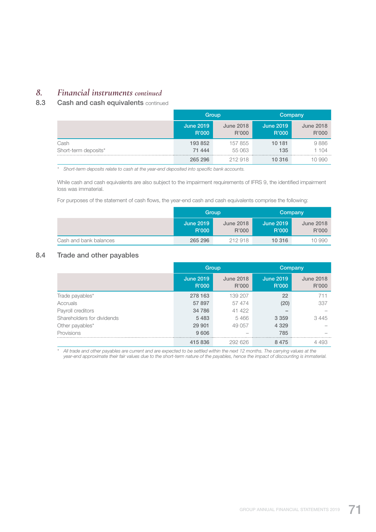# *8. Financial instruments continued*

### 8.3 Cash and cash equivalents continued

|                      | Group                     |                           | Company                   |                           |
|----------------------|---------------------------|---------------------------|---------------------------|---------------------------|
|                      | <b>June 2019</b><br>R'000 | <b>June 2018</b><br>R'000 | <b>June 2019</b><br>R'000 | <b>June 2018</b><br>R'000 |
| Cash                 | 193 852                   | 157855                    | 10 181                    | 9886                      |
| Short-term deposits* | 71 444                    | 55 063                    | 135                       | 1 104                     |
|                      | 265 296                   | 212918                    | 10 316                    |                           |

*\* Short-term deposits relate to cash at the year-end deposited into specific bank accounts.*

 While cash and cash equivalents are also subject to the impairment requirements of IFRS 9, the identified impairment loss was immaterial.

For purposes of the statement of cash flows, the year-end cash and cash equivalents comprise the following:

|                        |                           | Group                     | Company                   |                           |  |
|------------------------|---------------------------|---------------------------|---------------------------|---------------------------|--|
|                        | <b>June 2019</b><br>R'000 | <b>June 2018</b><br>R'000 | <b>June 2019</b><br>R'000 | <b>June 2018</b><br>R'000 |  |
| Cash and bank balances | 265 296                   | 212918                    | 10 316                    | 10 990                    |  |

### 8.4 Trade and other payables

|                            |                           | Group                     | Company                   |                           |  |
|----------------------------|---------------------------|---------------------------|---------------------------|---------------------------|--|
|                            | <b>June 2019</b><br>R'000 | <b>June 2018</b><br>R'000 | <b>June 2019</b><br>R'000 | <b>June 2018</b><br>R'000 |  |
| Trade payables*            | 278 163                   | 139 207                   | 22                        | 711                       |  |
| Accruals                   | 57 897                    | 57 474                    | (20)                      | 337                       |  |
| Payroll creditors          | 34 786                    | 41 422                    |                           |                           |  |
| Shareholders for dividends | 5483                      | 5466                      | 3 3 5 9                   | 3445                      |  |
| Other payables*            | 29 901                    | 49 057                    | 4 3 2 9                   |                           |  |
| <b>Provisions</b>          | 9 6 0 6                   | -                         | 785                       |                           |  |
|                            | 415836                    | 292 626                   | 8475                      | 4 4 9 3                   |  |

*\* All trade and other payables are current and are expected to be settled within the next 12 months. The carrying values at the year-end approximate their fair values due to the short-term nature of the payables, hence the impact of discounting is immaterial.*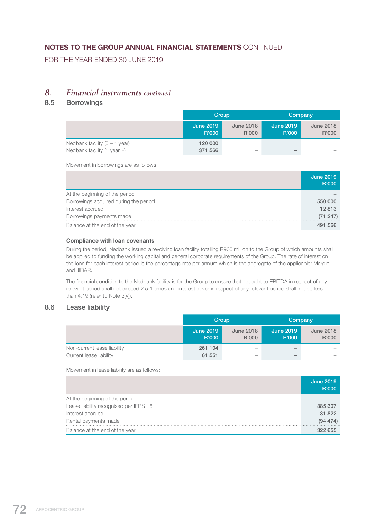FOR THE YEAR ENDED 30 JUNE 2019

### *8. Financial instruments continued*

### 8.5 Borrowings

|                                       | Group                     |                           |                           | Company                   |
|---------------------------------------|---------------------------|---------------------------|---------------------------|---------------------------|
|                                       | <b>June 2019</b><br>R'000 | <b>June 2018</b><br>R'000 | <b>June 2019</b><br>R'000 | <b>June 2018</b><br>R'000 |
| Nedbank facility $(0 - 1$ year)       | 120 000                   |                           |                           |                           |
| Nedbank facility $(1 \text{ year} +)$ | 371 566                   | -                         | $\overline{\phantom{a}}$  | -                         |

Movement in borrowings are as follows:

|                                       | <b>June 2019</b><br>R'000 |
|---------------------------------------|---------------------------|
| At the beginning of the period        |                           |
| Borrowings acquired during the period | 550 000                   |
| Interest accrued                      | 12813                     |
| Borrowings payments made              | (71 247)                  |
| Balance at the end of the year        | 491 566                   |

#### Compliance with loan covenants

 During the period, Nedbank issued a revolving loan facility totalling R900 million to the Group of which amounts shall be applied to funding the working capital and general corporate requirements of the Group. The rate of interest on the loan for each interest period is the percentage rate per annum which is the aggregate of the applicable: Margin and JIBAR.

 The financial condition to the Nedbank facility is for the Group to ensure that net debt to EBITDA in respect of any relevant period shall not exceed 2.5:1 times and interest cover in respect of any relevant period shall not be less than 4:19 (refer to Note 3(v)).

### 8.6 Lease liability

|                             | Group                     |                           |                           | Company                   |
|-----------------------------|---------------------------|---------------------------|---------------------------|---------------------------|
|                             | <b>June 2019</b><br>R'000 | <b>June 2018</b><br>R'000 | <b>June 2019</b><br>R'000 | <b>June 2018</b><br>R'000 |
| Non-current lease liability | 261 104                   | -                         | $\overline{\phantom{a}}$  |                           |
| Current lease liability     | 61 551                    | -                         | $\overline{\phantom{a}}$  | $\overline{\phantom{a}}$  |

Movement in lease liability are as follows:

|                                        | <b>June 2019</b><br>R'000 |
|----------------------------------------|---------------------------|
| At the beginning of the period         |                           |
| Lease liability recognised per IFRS 16 | 385 307                   |
| Interest accrued                       | 31 822                    |
| Rental payments made                   | (94 474)                  |
| Balance at the end of the year         | 322 655                   |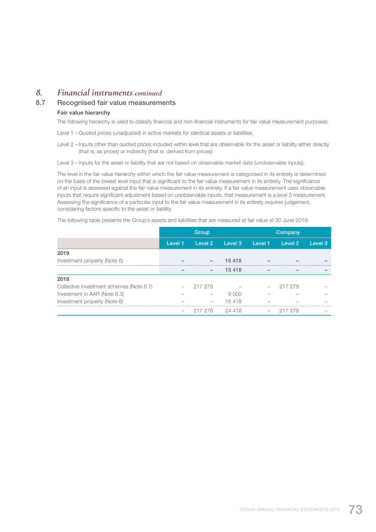## *8. Financial instruments continued*

### 8.7 Recognised fair value measurements

#### Fair value hierarchy

The following hierarchy is used to classify financial and non-financial instruments for fair value measurement purposes:

Level 1 – Quoted prices (unadjusted) in active markets for identical assets or liabilities.

Level 2 – Inputs other than quoted prices included within level that are observable for the asset or liability either directly (that is, as prices) or indirectly (that is, derived from prices).

Level 3 – Inputs for the asset or liability that are not based on observable market data (unobservable inputs).

 The level in the fair value hierarchy within which the fair value measurement is categorised in its entirety is determined on the basis of the lowest level input that is significant to the fair value measurement in its entirety. The significance of an input is assessed against the fair value measurement in its entirety. If a fair value measurement uses observable inputs that require significant adjustment based on unobservable inputs, that measurement is a level 3 measurement. Assessing the significance of a particular input to the fair value measurement in its entirety requires judgement, considering factors specific to the asset or liability.

The following table presents the Group's assets and liabilities that are measured at fair value at 30 June 2019:

|                                          | Group   |                          |         | Company |                    |         |
|------------------------------------------|---------|--------------------------|---------|---------|--------------------|---------|
|                                          | Level 1 | Level 2                  | Level 3 | Level 1 | Level <sub>2</sub> | Level 3 |
| 2019                                     |         |                          |         |         |                    |         |
| Investment property (Note 6)             |         |                          | 15 4 18 |         |                    |         |
|                                          |         | $\overline{\phantom{0}}$ | 15 4 18 |         |                    |         |
| 2018                                     |         |                          |         |         |                    |         |
| Collective investment schemes (Note 8.7) |         | 217 278                  |         |         | 217 278            |         |
| Investment in AAR (Note 8.3)             |         |                          | 9000    |         |                    |         |
| Investment property (Note 6)             |         |                          | 15418   |         |                    |         |
|                                          |         | 217 278                  | 24 418  |         | 217 278            |         |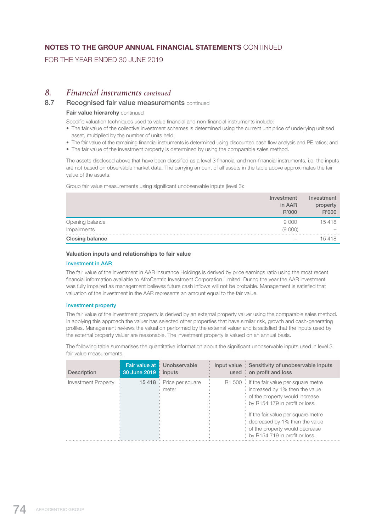FOR THE YEAR ENDED 30 JUNE 2019

### *8. Financial instruments continued*

### 8.7 Recognised fair value measurements continued

#### Fair value hierarchy continued

Specific valuation techniques used to value financial and non-financial instruments include:

- The fair value of the collective investment schemes is determined using the current unit price of underlying unitised asset, multiplied by the number of units held;
- The fair value of the remaining financial instruments is determined using discounted cash flow analysis and PE ratios; and
- The fair value of the investment property is determined by using the comparable sales method.

 The assets disclosed above that have been classified as a level 3 financial and non-financial instruments, i.e. the inputs are not based on observable market data. The carrying amount of all assets in the table above approximates the fair value of the assets.

Group fair value measurements using significant unobservable inputs (level 3):

|                        | Investment<br>in AAR<br>R'000 | Investment<br>property<br>R'000 |
|------------------------|-------------------------------|---------------------------------|
| Opening balance        | 9000                          | 15418                           |
| Impairments            | (9 000)                       |                                 |
| <b>Closing balance</b> |                               | 15418                           |

#### Valuation inputs and relationships to fair value

#### Investment in AAR

 The fair value of the investment in AAR Insurance Holdings is derived by price earnings ratio using the most recent financial information available to AfroCentric Investment Corporation Limited. During the year the AAR investment was fully impaired as management believes future cash inflows will not be probable. Management is satisfied that valuation of the investment in the AAR represents an amount equal to the fair value.

#### Investment property

 The fair value of the investment property is derived by an external property valuer using the comparable sales method. In applying this approach the valuer has selected other properties that have similar risk, growth and cash-generating profiles. Management reviews the valuation performed by the external valuer and is satisfied that the inputs used by the external property valuer are reasonable. The investment property is valued on an annual basis.

 The following table summarises the quantitative information about the significant unobservable inputs used in level 3 fair value measurements.

| <b>Description</b>  | Fair value at<br>30 June 2019 | Unobservable<br>inputs    | Input value Sensitivity of unobservable inputs<br>used on profit and loss                                                                                                                                                                                                                   |
|---------------------|-------------------------------|---------------------------|---------------------------------------------------------------------------------------------------------------------------------------------------------------------------------------------------------------------------------------------------------------------------------------------|
| Investment Property | 15418:                        | Price per square<br>meter | R1 500 If the fair value per square metre<br>increased by 1% then the value<br>of the property would increase<br>by R154 179 in profit or loss.<br>If the fair value per square metre<br>decreased by 1% then the value<br>of the property would decrease<br>by R154 719 in profit or loss. |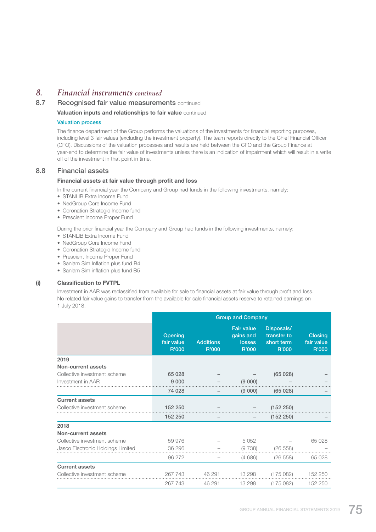### *8. Financial instruments continued*

### 8.7 Recognised fair value measurements continued

Valuation inputs and relationships to fair value continued

#### Valuation process

 The finance department of the Group performs the valuations of the investments for financial reporting purposes, including level 3 fair values (excluding the investment property). The team reports directly to the Chief Financial Officer (CFO). Discussions of the valuation processes and results are held between the CFO and the Group Finance at year-end to determine the fair value of investments unless there is an indication of impairment which will result in a write off of the investment in that point in time.

#### 8.8 Financial assets

#### Financial assets at fair value through profit and loss

In the current financial year the Company and Group had funds in the following investments, namely:

- STANLIB Extra Income Fund
- NedGroup Core Income Fund
- Coronation Strategic Income fund
- Prescient Income Proper Fund

During the prior financial year the Company and Group had funds in the following investments, namely:

- STANLIB Extra Income Fund
- NedGroup Core Income Fund
- Coronation Strategic Income fund
- Prescient Income Proper Fund
- Sanlam Sim Inflation plus fund B4
- Sanlam Sim inflation plus fund B5

#### (i) Classification to FVTPL

 Investment in AAR was reclassified from available for sale to financial assets at fair value through profit and loss. No related fair value gains to transfer from the available for sale financial assets reserve to retained earnings on 1 July 2018.

|                                   | <b>Group and Company</b>       |                           |                                                          |                                                  |                                       |  |  |
|-----------------------------------|--------------------------------|---------------------------|----------------------------------------------------------|--------------------------------------------------|---------------------------------------|--|--|
|                                   | Opening<br>fair value<br>R'000 | <b>Additions</b><br>R'000 | <b>Fair value</b><br>gains and<br><b>losses</b><br>R'000 | Disposals/<br>transfer to<br>short term<br>R'000 | <b>Closing</b><br>fair value<br>R'000 |  |  |
| 2019                              |                                |                           |                                                          |                                                  |                                       |  |  |
| Non-current assets                |                                |                           |                                                          |                                                  |                                       |  |  |
| Collective investment scheme      | 65 0 28                        |                           |                                                          | (65028)                                          |                                       |  |  |
| Investment in AAR                 | 9 0 0 0                        |                           | (9 000)                                                  |                                                  |                                       |  |  |
|                                   | 74 028                         |                           | (9 000)                                                  | (65028)                                          |                                       |  |  |
| <b>Current assets</b>             |                                |                           |                                                          |                                                  |                                       |  |  |
| Collective investment scheme      | 152 250                        |                           |                                                          | (152 250)                                        |                                       |  |  |
|                                   | 152 250                        |                           |                                                          | (152 250)                                        |                                       |  |  |
| 2018                              |                                |                           |                                                          |                                                  |                                       |  |  |
| <b>Non-current assets</b>         |                                |                           |                                                          |                                                  |                                       |  |  |
| Collective investment scheme      | 59 976                         |                           | 5 0 5 2                                                  |                                                  | 65 028                                |  |  |
| Jasco Electronic Holdings Limited | 36 296                         |                           | (9738)                                                   | (26 558)                                         |                                       |  |  |
|                                   | 96 27 2                        |                           | (4686)                                                   | (26 558)                                         | 65 0 28                               |  |  |
| <b>Current assets</b>             |                                |                           |                                                          |                                                  |                                       |  |  |
| Collective investment scheme      | 267 743                        | 46 291                    | 13 298                                                   | (175082)                                         | 152 250                               |  |  |
|                                   | 267 743                        | 46 291                    | 13 298                                                   | (175082)                                         | 152 250                               |  |  |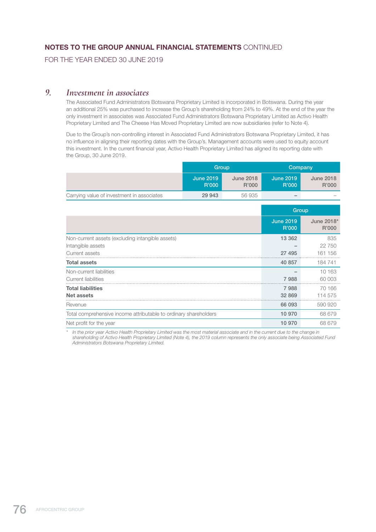FOR THE YEAR ENDED 30 JUNE 2019

### *9. Investment in associates*

 The Associated Fund Administrators Botswana Proprietary Limited is incorporated in Botswana. During the year an additional 25% was purchased to increase the Group's shareholding from 24% to 49%. At the end of the year the only investment in associates was Associated Fund Administrators Botswana Proprietary Limited as Activo Health Proprietary Limited and The Cheese Has Moved Proprietary Limited are now subsidiaries (refer to Note 4).

 Due to the Group's non-controlling interest in Associated Fund Administrators Botswana Proprietary Limited, it has no influence in aligning their reporting dates with the Group's. Management accounts were used to equity account this investment. In the current financial year, Activo Health Proprietary Limited has aligned its reporting date with the Group, 30 June 2019.

|                                            |                           | Group                     |                          | Company                   |
|--------------------------------------------|---------------------------|---------------------------|--------------------------|---------------------------|
|                                            | <b>June 2019</b><br>R'000 | <b>June 2018</b><br>R'000 | June 2019<br>R'000       | <b>June 2018</b><br>R'000 |
| Carrying value of investment in associates | 29 943                    | 56935                     | $\overline{\phantom{a}}$ | $\overline{\phantom{a}}$  |

|                                                                  | Group                     |                     |  |
|------------------------------------------------------------------|---------------------------|---------------------|--|
|                                                                  | <b>June 2019</b><br>R'000 | June 2018*<br>R'000 |  |
| Non-current assets (excluding intangible assets)                 | 13 3 6 2                  | 835                 |  |
| Intangible assets                                                |                           | 22 750              |  |
| Current assets                                                   | 27 495                    | 161 156             |  |
| <b>Total assets</b>                                              | 40 857                    | 184 741             |  |
| Non-current liabilities                                          |                           | 10 163              |  |
| Current liabilities                                              | 7988                      | 60 003              |  |
| <b>Total liabilities</b>                                         | 7988                      | 70 166              |  |
| Net assets                                                       | 32 869                    | 114 575             |  |
| Revenue                                                          | 66 093                    | 590 920             |  |
| Total comprehensive income attributable to ordinary shareholders | 10 970                    | 68 679              |  |
| Net profit for the year                                          | 10 970                    | 68 679              |  |

*\* In the prior year Activo Health Proprietary Limited was the most material associate and in the current due to the change in shareholding of Activo Health Proprietary Limited (Note 4), the 2019 column represents the only associate being Associated Fund Administrators Botswana Proprietary Limited.*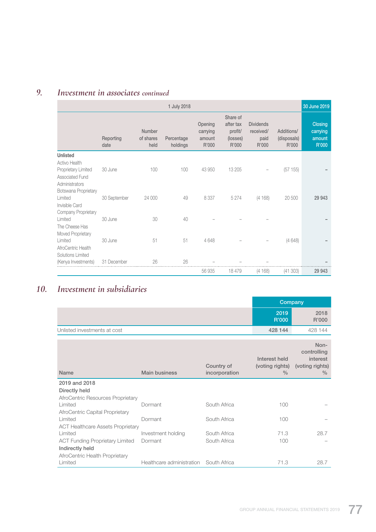# *9. Investment in associates continued*

|                                                                                         |                   |                             | 1 July 2018            |                                        |                                                       |                                                |                                    | 30 June 2019                           |
|-----------------------------------------------------------------------------------------|-------------------|-----------------------------|------------------------|----------------------------------------|-------------------------------------------------------|------------------------------------------------|------------------------------------|----------------------------------------|
|                                                                                         | Reporting<br>date | Number<br>of shares<br>held | Percentage<br>holdings | Opening<br>carrying<br>amount<br>R'000 | Share of<br>after tax<br>profit/<br>(losses)<br>R'000 | <b>Dividends</b><br>received/<br>paid<br>R'000 | Additions/<br>(disposals)<br>R'000 | Closing<br>carrying<br>amount<br>R'000 |
| <b>Unlisted</b>                                                                         |                   |                             |                        |                                        |                                                       |                                                |                                    |                                        |
| <b>Activo Health</b><br>Proprietary Limited<br><b>Associated Fund</b><br>Administrators | 30 June           | 100                         | 100                    | 43 950                                 | 13 205                                                |                                                | (57155)                            |                                        |
| Botswana Proprietary                                                                    |                   |                             |                        |                                        |                                                       |                                                |                                    |                                        |
| Limited<br>Invisible Card<br>Company Proprietary                                        | 30 September      | 24 000                      | 49                     | 8 3 3 7                                | 5 2 7 4                                               | (4168)                                         | 20 500                             | 29 943                                 |
| Limited<br>The Cheese Has                                                               | 30 June           | 30                          | 40                     |                                        |                                                       |                                                |                                    |                                        |
| Moved Proprietary<br>Limited<br>AfroCentric Health<br>Solutions Limited                 | 30 June           | 51                          | 51                     | 4648                                   |                                                       |                                                | (4648)                             |                                        |
| (Kenya Investments)                                                                     | 31 December       | 26                          | 26                     |                                        |                                                       |                                                |                                    |                                        |
|                                                                                         |                   |                             |                        | 56 935                                 | 18 479                                                | (4168)                                         | (41303)                            | 29 943                                 |

# *10. Investment in subsidiaries*

|                              | Company       |               |
|------------------------------|---------------|---------------|
|                              | 2019<br>R'000 | 2018<br>R'000 |
| Unlisted investments at cost | 428 144       | 428 144       |

| <b>Name</b>                              | <b>Main business</b>                   | Country of<br>incorporation | Interest held<br>(voting rights)<br>$\frac{0}{0}$ | Non-<br>controlling<br>interest<br>(voting rights)<br>$\%$ |
|------------------------------------------|----------------------------------------|-----------------------------|---------------------------------------------------|------------------------------------------------------------|
| 2019 and 2018                            |                                        |                             |                                                   |                                                            |
| Directly held                            |                                        |                             |                                                   |                                                            |
| AfroCentric Resources Proprietary        |                                        |                             |                                                   |                                                            |
| Limited                                  | Dormant                                | South Africa                | 100                                               |                                                            |
| AfroCentric Capital Proprietary          |                                        |                             |                                                   |                                                            |
| Limited                                  | Dormant                                | South Africa                | 100                                               |                                                            |
| <b>ACT Healthcare Assets Proprietary</b> |                                        |                             |                                                   |                                                            |
| Limited                                  | Investment holding                     | South Africa                | 71.3                                              | 28.7                                                       |
| <b>ACT Funding Proprietary Limited</b>   | Dormant                                | South Africa                | 100                                               |                                                            |
| Indirectly held                          |                                        |                             |                                                   |                                                            |
| AfroCentric Health Proprietary           |                                        |                             |                                                   |                                                            |
| Limited                                  | Healthcare administration South Africa |                             | 71.3                                              | 28.7                                                       |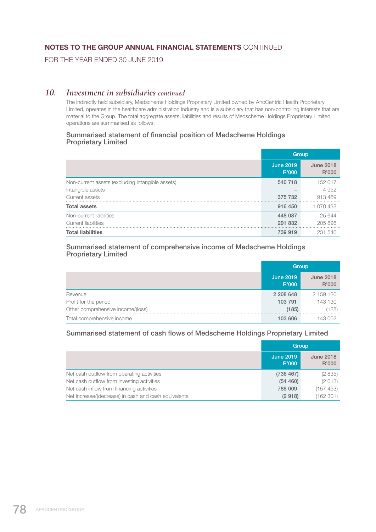FOR THE YEAR ENDED 30 JUNE 2019

### *10. Investment in subsidiaries continued*

 The indirectly held subsidiary, Medscheme Holdings Proprietary Limited owned by AfroCentric Health Proprietary Limited, operates in the healthcare administration industry and is a subsidiary that has non-controlling interests that are material to the Group. The total aggregate assets, liabilities and results of Medscheme Holdings Proprietary Limited operations are summarised as follows:

#### Summarised statement of financial position of Medscheme Holdings Proprietary Limited

|                                                  | Group                     |                           |  |
|--------------------------------------------------|---------------------------|---------------------------|--|
|                                                  | <b>June 2019</b><br>R'000 | <b>June 2018</b><br>R'000 |  |
| Non-current assets (excluding intangible assets) | 540 718                   | 152 017                   |  |
| Intangible assets                                |                           | 4 9 5 2                   |  |
| Current assets                                   | 375 732                   | 913469                    |  |
| <b>Total assets</b>                              | 916 450                   | 1 070 438                 |  |
| Non-current liabilities                          | 448 087                   | 25644                     |  |
| Current liabilities                              | 291 832                   | 205896                    |  |
| <b>Total liabilities</b>                         | 739 919                   | 231 540                   |  |

#### Summarised statement of comprehensive income of Medscheme Holdings Proprietary Limited

|                                   | Group                     |                           |  |
|-----------------------------------|---------------------------|---------------------------|--|
|                                   | <b>June 2019</b><br>R'000 | <b>June 2018</b><br>R'000 |  |
| Revenue                           | 2 208 648                 | 2 159 120                 |  |
| Profit for the period             | 103 791                   | 143 130                   |  |
| Other comprehensive income/(loss) | (185)                     | (128)                     |  |
| Total comprehensive income        | 103 606                   | 143 002                   |  |

#### Summarised statement of cash flows of Medscheme Holdings Proprietary Limited

|                                                      | Group                     |                           |
|------------------------------------------------------|---------------------------|---------------------------|
|                                                      | <b>June 2019</b><br>R'000 | <b>June 2018</b><br>R'000 |
| Net cash outflow from operating activities           | (736 467)                 | (2835)                    |
| Net cash outflow from investing activities           | (54 460)                  | (2013)                    |
| Net cash inflow from financing activities            | 788 009                   | (157 453)                 |
| Net increase/(decrease) in cash and cash equivalents | (2918)                    | (162 301)                 |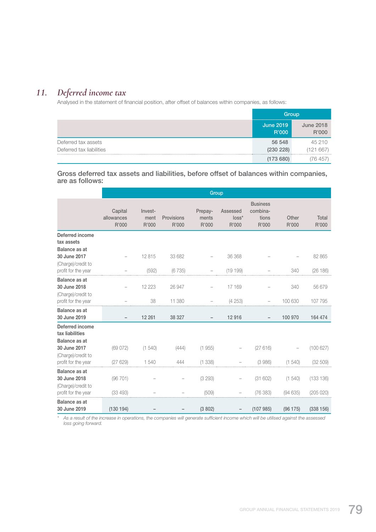# *11. Deferred income tax*

Analysed in the statement of financial position, after offset of balances within companies, as follows:

|                          | Group                     |                           |
|--------------------------|---------------------------|---------------------------|
|                          | <b>June 2019</b><br>R'000 | <b>June 2018</b><br>R'000 |
| Deferred tax assets      | 56 548                    | 45 210                    |
| Deferred tax liabilities | (230 228)                 | (121667)                  |
|                          | (173680)                  | 76 457                    |

 Gross deferred tax assets and liabilities, before offset of balances within companies, are as follows:

|                                                            | Group                          |                          |                     |                           |                              |                                               |                |                |
|------------------------------------------------------------|--------------------------------|--------------------------|---------------------|---------------------------|------------------------------|-----------------------------------------------|----------------|----------------|
|                                                            | Capital<br>allowances<br>R'000 | Invest-<br>ment<br>R'000 | Provisions<br>R'000 | Prepay-<br>ments<br>R'000 | Assessed<br>$loss*$<br>R'000 | <b>Business</b><br>combina-<br>tions<br>R'000 | Other<br>R'000 | Total<br>R'000 |
| <b>Deferred income</b><br>tax assets                       |                                |                          |                     |                           |                              |                                               |                |                |
| <b>Balance as at</b><br>30 June 2017<br>(Charge)/credit to |                                | 12815                    | 33 682              |                           | 36 368                       |                                               |                | 82 865         |
| profit for the year                                        |                                | (592)                    | (6735)              |                           | (19199)                      |                                               | 340            | (26 186)       |
| <b>Balance as at</b><br>30 June 2018<br>(Charge)/credit to |                                | 12 2 2 3                 | 26 947              |                           | 17 169                       |                                               | 340            | 56 679         |
| profit for the year                                        |                                | 38                       | 11 380              |                           | (4253)                       |                                               | 100 630        | 107 795        |
| Balance as at<br>30 June 2019                              |                                | 12 261                   | 38 327              |                           | 12916                        |                                               | 100 970        | 164 474        |
| <b>Deferred income</b><br>tax liabilities                  |                                |                          |                     |                           |                              |                                               |                |                |
| <b>Balance as at</b><br>30 June 2017<br>(Charge)/credit to | (69072)                        | (1, 540)                 | (444)               | (1955)                    |                              | (27616)                                       |                | (100627)       |
| profit for the year                                        | (27629)                        | 1540                     | 444                 | (1338)                    |                              | (3986)                                        | (1540)         | (32 509)       |
| <b>Balance as at</b><br>30 June 2018<br>(Charge)/credit to | (96 701)                       |                          |                     | (3 293)                   |                              | (31602)                                       | (1540)         | (133 136)      |
| profit for the year                                        | (33 493)                       |                          |                     | (509)                     |                              | (76383)                                       | (94635)        | (205 020)      |
| <b>Balance as at</b><br>30 June 2019                       | (130194)                       |                          |                     | (3802)                    |                              | (107985)                                      | (96 175)       | (338156)       |

*\* As a result of the increase in operations, the companies will generate sufficient income which will be utilised against the assessed loss going forward.*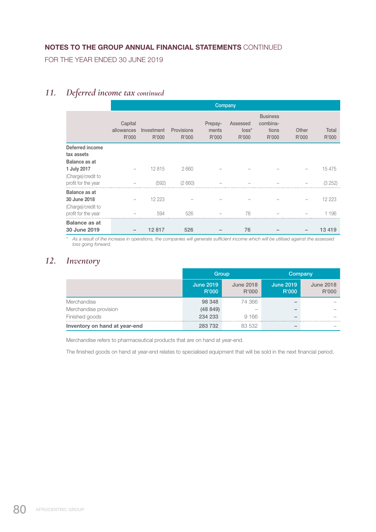FOR THE YEAR ENDED 30 JUNE 2019

# *11. Deferred income tax continued*

|                                      |                                | Company             |                     |                           |                               |                                               |                |                |
|--------------------------------------|--------------------------------|---------------------|---------------------|---------------------------|-------------------------------|-----------------------------------------------|----------------|----------------|
|                                      | Capital<br>allowances<br>R'000 | Investment<br>R'000 | Provisions<br>R'000 | Prepay-<br>ments<br>R'000 | Assessed<br>$loss^*$<br>R'000 | <b>Business</b><br>combina-<br>tions<br>R'000 | Other<br>R'000 | Total<br>R'000 |
| Deferred income                      |                                |                     |                     |                           |                               |                                               |                |                |
| tax assets                           |                                |                     |                     |                           |                               |                                               |                |                |
| <b>Balance as at</b>                 |                                |                     |                     |                           |                               |                                               |                |                |
| 1 July 2017                          |                                | 12815               | 2660                |                           |                               |                                               |                | 15 475         |
| (Charge)/credit to                   |                                |                     |                     |                           |                               |                                               |                |                |
| profit for the year                  |                                | (592)               | (2660)              |                           |                               |                                               |                | (3252)         |
| <b>Balance as at</b>                 |                                |                     |                     |                           |                               |                                               |                |                |
| 30 June 2018                         |                                | 12 2 2 3            |                     |                           |                               |                                               |                | 12 223         |
| (Charge)/credit to                   |                                |                     |                     |                           |                               |                                               |                |                |
| profit for the year                  |                                | 594                 | 526                 |                           | 76                            |                                               |                | 1196           |
| <b>Balance as at</b><br>30 June 2019 |                                | 12817               | 526                 |                           | 76                            |                                               |                | 13419          |

*\* As a result of the increase in operations, the companies will generate sufficient income which will be utilised against the assessed loss going forward.*

# *12. Inventory*

|                               |                           | Group                     | Company                   |                           |  |
|-------------------------------|---------------------------|---------------------------|---------------------------|---------------------------|--|
|                               | <b>June 2019</b><br>R'000 | <b>June 2018</b><br>R'000 | <b>June 2019</b><br>R'000 | <b>June 2018</b><br>R'000 |  |
| Merchandise                   | 98 348                    | 74 366                    |                           |                           |  |
| Merchandise provision         | (48849)                   |                           |                           |                           |  |
| Finished goods                | 234 233                   | 9166                      |                           |                           |  |
| Inventory on hand at year-end | 283 732                   | 83 532                    |                           |                           |  |

Merchandise refers to pharmaceutical products that are on hand at year-end.

The finished goods on hand at year-end relates to specialised equipment that will be sold in the next financial period.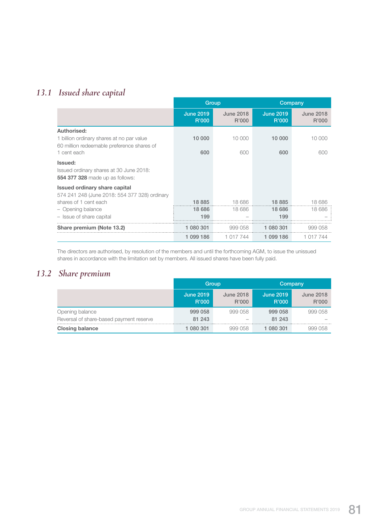# *13.1 Issued share capital*

|                                                                                              |                           | Group                     | Company                   |                           |  |
|----------------------------------------------------------------------------------------------|---------------------------|---------------------------|---------------------------|---------------------------|--|
|                                                                                              | <b>June 2019</b><br>R'000 | <b>June 2018</b><br>R'000 | <b>June 2019</b><br>R'000 | <b>June 2018</b><br>R'000 |  |
| Authorised:                                                                                  |                           |                           |                           |                           |  |
| 1 billion ordinary shares at no par value<br>60 million redeemable preference shares of      | 10 000                    | 10 000                    | 10 000                    | 10 000                    |  |
| 1 cent each                                                                                  | 600                       | 600                       | 600                       | 600                       |  |
| Issued:<br>Issued ordinary shares at 30 June 2018:<br><b>554 377 328</b> made up as follows: |                           |                           |                           |                           |  |
| Issued ordinary share capital<br>574 241 248 (June 2018: 554 377 328) ordinary               |                           |                           |                           |                           |  |
| shares of 1 cent each                                                                        | 18 8 85                   | 18 686                    | 18885                     | 18 686                    |  |
| - Opening balance                                                                            | 18 686                    | 18 686                    | 18 686                    | 18 686                    |  |
| - Issue of share capital                                                                     | 199                       |                           | 199                       |                           |  |
| Share premium (Note 13.2)                                                                    | 1 080 301                 | 999 058                   | 1 080 301                 | 999 058                   |  |
|                                                                                              | 1 099 186                 | 1 017 744                 | 1 099 186                 | 1 017 744                 |  |

 The directors are authorised, by resolution of the members and until the forthcoming AGM, to issue the unissued shares in accordance with the limitation set by members. All issued shares have been fully paid.

# *13.2 Share premium*

|                                         | Group                     |                           | Company                   |                           |  |
|-----------------------------------------|---------------------------|---------------------------|---------------------------|---------------------------|--|
|                                         | <b>June 2019</b><br>R'000 | <b>June 2018</b><br>R'000 | <b>June 2019</b><br>R'000 | <b>June 2018</b><br>R'000 |  |
| Opening balance                         | 999 058                   | 999 058                   | 999 058                   | 999 058                   |  |
| Reversal of share-based payment reserve | 81 243                    |                           | 81 243                    |                           |  |
| <b>Closing balance</b>                  | 1 080 301                 | 999 058                   | 080 301                   | 999 058                   |  |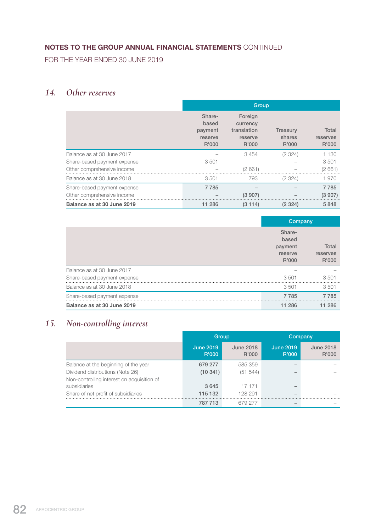FOR THE YEAR ENDED 30 JUNE 2019

# *14. Other reserves*

|                             | Group                                          |                                                        |                                    |                            |  |
|-----------------------------|------------------------------------------------|--------------------------------------------------------|------------------------------------|----------------------------|--|
|                             | Share-<br>based<br>payment<br>reserve<br>R'000 | Foreign<br>currency<br>translation<br>reserve<br>R'000 | <b>Treasury</b><br>shares<br>R'000 | Total<br>reserves<br>R'000 |  |
| Balance as at 30 June 2017  |                                                | 3 4 5 4                                                | (2324)                             | 1 1 3 0                    |  |
| Share-based payment expense | 3 5 0 1                                        |                                                        |                                    | 3 5 0 1                    |  |
| Other comprehensive income  |                                                | (2661)                                                 |                                    | (2661)                     |  |
| Balance as at 30 June 2018  | 3501                                           | 793                                                    | (2324)                             | 1970                       |  |
| Share-based payment expense | 7 7 8 5                                        |                                                        |                                    | 7 7 8 5                    |  |
| Other comprehensive income  |                                                | (3907)                                                 |                                    | (3907)                     |  |
| Balance as at 30 June 2019  | 11 286                                         | (3114)                                                 | (2324)                             | 5848                       |  |

|                             | Company                                        |                            |
|-----------------------------|------------------------------------------------|----------------------------|
|                             | Share-<br>based<br>payment<br>reserve<br>R'000 | Total<br>reserves<br>R'000 |
| Balance as at 30 June 2017  |                                                |                            |
| Share-based payment expense | 3501                                           | 3501                       |
| Balance as at 30 June 2018  | 3501                                           | 3501                       |
| Share-based payment expense | 7 7 8 5                                        | 7785                       |
| Balance as at 30 June 2019  | 11 286                                         | 286                        |

# *15. Non-controlling interest*

|                                            | Group                     |                           | Company                   |                           |  |
|--------------------------------------------|---------------------------|---------------------------|---------------------------|---------------------------|--|
|                                            | <b>June 2019</b><br>R'000 | <b>June 2018</b><br>R'000 | <b>June 2019</b><br>R'000 | <b>June 2018</b><br>R'000 |  |
| Balance at the beginning of the year       | 679 277                   | 585 359                   |                           |                           |  |
| Dividend distributions (Note 26)           | (10341)                   | (51 544)                  |                           |                           |  |
| Non-controlling interest on acquisition of |                           |                           |                           |                           |  |
| subsidiaries                               | 3645                      | 17 171                    |                           |                           |  |
| Share of net profit of subsidiaries        | 115 132                   | 128 291                   |                           |                           |  |
|                                            | 787 713                   | 679 277                   |                           |                           |  |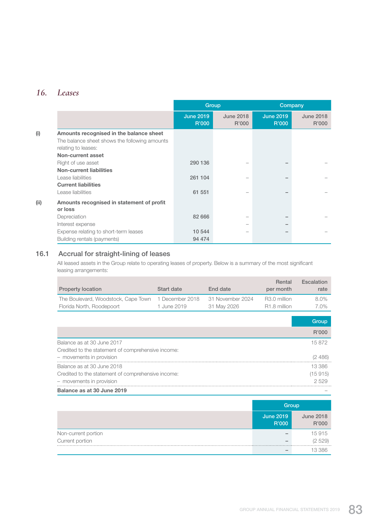# *16. Leases*

|      |                                                                      |                           | Group                     |                           | Company                   |
|------|----------------------------------------------------------------------|---------------------------|---------------------------|---------------------------|---------------------------|
|      |                                                                      | <b>June 2019</b><br>R'000 | <b>June 2018</b><br>R'000 | <b>June 2019</b><br>R'000 | <b>June 2018</b><br>R'000 |
| (i)  | Amounts recognised in the balance sheet                              |                           |                           |                           |                           |
|      | The balance sheet shows the following amounts<br>relating to leases: |                           |                           |                           |                           |
|      | Non-current asset                                                    |                           |                           |                           |                           |
|      | Right of use asset                                                   | 290 136                   |                           |                           |                           |
|      | <b>Non-current liabilities</b>                                       |                           |                           |                           |                           |
|      | Lease liabilities                                                    | 261 104                   |                           |                           |                           |
|      | <b>Current liabilities</b>                                           |                           |                           |                           |                           |
|      | Lease liabilities                                                    | 61 551                    |                           |                           |                           |
| (ii) | Amounts recognised in statement of profit<br>or loss                 |                           |                           |                           |                           |
|      | Depreciation                                                         | 82 666                    |                           |                           |                           |
|      | Interest expense                                                     |                           |                           |                           |                           |
|      | Expense relating to short-term leases                                | 10 544                    |                           |                           |                           |
|      | Building rentals (payments)                                          | 94 474                    |                           |                           |                           |

## 16.1 Accrual for straight-lining of leases

 All leased assets in the Group relate to operating leases of property. Below is a summary of the most significant leasing arrangements:

| <b>Property location</b>                           | Start date      | End date         | Rental<br>per month      | Escalation<br>rate |
|----------------------------------------------------|-----------------|------------------|--------------------------|--------------------|
| The Boulevard, Woodstock, Cape Town                | 1 December 2018 | 31 November 2024 | R <sub>3.0</sub> million | $8.0\%$            |
| Florida North, Roodepoort                          | 1 June 2019     | 31 May 2026      | R <sub>1.8</sub> million | 7.0%               |
|                                                    |                 |                  |                          |                    |
|                                                    |                 |                  |                          | Group              |
|                                                    |                 |                  |                          | R'000              |
| Balance as at 30 June 2017                         |                 |                  |                          | 15872              |
| Credited to the statement of comprehensive income: |                 |                  |                          |                    |
| - movements in provision                           |                 |                  |                          | (2, 486)           |
| Balance as at 30 June 2018                         |                 |                  |                          | 13 386             |
| Credited to the statement of comprehensive income: |                 |                  |                          | (15915)            |
| - movements in provision                           |                 |                  |                          | 2529               |
| Balance as at 30 June 2019                         |                 |                  |                          |                    |

|                     | Group                     |                           |
|---------------------|---------------------------|---------------------------|
|                     | <b>June 2019</b><br>R'000 | <b>June 2018</b><br>R'000 |
| Non-current portion |                           | 15 915                    |
| Current portion     |                           | (2 529)                   |
|                     |                           | 13.386                    |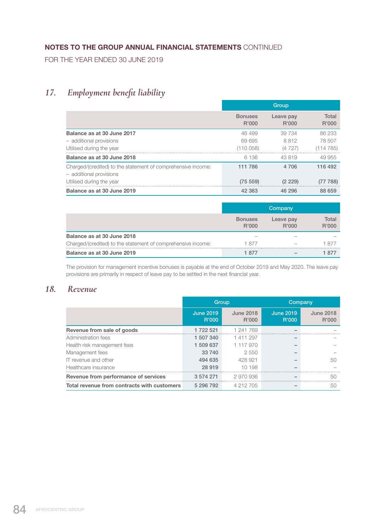FOR THE YEAR ENDED 30 JUNE 2019

# *17. Employment benefit liability*

|                                                                                         | Group                   |                    |                |  |
|-----------------------------------------------------------------------------------------|-------------------------|--------------------|----------------|--|
|                                                                                         | <b>Bonuses</b><br>R'000 | Leave pay<br>R'000 | Total<br>R'000 |  |
| Balance as at 30 June 2017                                                              | 46 499                  | 39 734             | 86 233         |  |
| - additional provisions                                                                 | 69 695                  | 8812               | 78 507         |  |
| Utilised during the year                                                                | (110 058)               | (4727)             | (114 785)      |  |
| Balance as at 30 June 2018                                                              | 6 136                   | 43819              | 49 955         |  |
| Charged/(credited) to the statement of comprehensive income:<br>- additional provisions | 111 786                 | 4 706              | 116 492        |  |
| Utilised during the year                                                                | (75, 559)               | (2 229)            | (77 788)       |  |
| Balance as at 30 June 2019                                                              | 42 363                  | 46 296             | 88 659         |  |

|                                                              |                         | Company            |                |
|--------------------------------------------------------------|-------------------------|--------------------|----------------|
|                                                              | <b>Bonuses</b><br>R'000 | Leave pay<br>R'000 | Total<br>R'000 |
| Balance as at 30 June 2018                                   |                         |                    |                |
| Charged/(credited) to the statement of comprehensive income: | 1 877                   |                    | 1 877          |
| Balance as at 30 June 2019                                   | 1.877                   |                    |                |

 The provision for management incentive bonuses is payable at the end of October 2019 and May 2020. The leave pay provisions are primarily in respect of leave pay to be settled in the next financial year.

# *18. Revenue*

|                                             | Group                     |                           | Company                   |                           |
|---------------------------------------------|---------------------------|---------------------------|---------------------------|---------------------------|
|                                             | <b>June 2019</b><br>R'000 | <b>June 2018</b><br>R'000 | <b>June 2019</b><br>R'000 | <b>June 2018</b><br>R'000 |
| Revenue from sale of goods                  | 1 722 521                 | 1 241 769                 |                           |                           |
| Administration fees                         | 1 507 340                 | 1411297                   |                           |                           |
| Health risk management fees                 | 1 509 637                 | 1 117 970                 |                           |                           |
| Management fees                             | 33 740                    | 2 5 5 0                   |                           |                           |
| IT revenue and other                        | 494 635                   | 428 921                   |                           | 50                        |
| Healthcare insurance                        | 28 919                    | 10 198                    |                           |                           |
| Revenue from performance of services        | 3 574 271                 | 2970936                   |                           | 50                        |
| Total revenue from contracts with customers | 5 296 792                 | 4 212 705                 |                           | 50                        |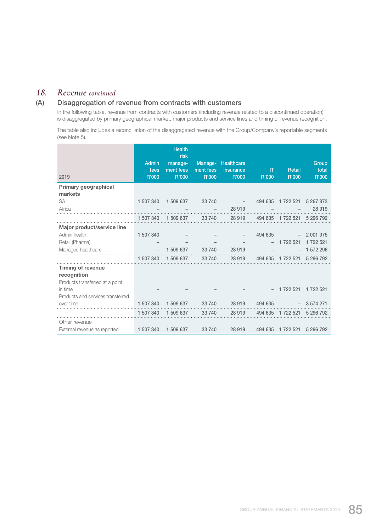### *18. Revenue continued*

### (A) Disaggregation of revenue from contracts with customers

 In the following table, revenue from contracts with customers (including revenue related to a discontinued operation) is disaggregated by primary geographical market, major products and service lines and timing of revenue recognition.

 The table also includes a reconciliation of the disaggregated revenue with the Group/Company's reportable segments (see Note 5).

| 2019                                    | <b>Admin</b><br>fees<br>R'000 | <b>Health</b><br>risk<br>manage-<br>ment fees<br>R'000 | Manage-<br>ment fees<br>R'000 | Healthcare<br>insurance<br>R'000 | IT<br>R'000 | Retail<br>R'000             | Group<br>total<br>R'000 |
|-----------------------------------------|-------------------------------|--------------------------------------------------------|-------------------------------|----------------------------------|-------------|-----------------------------|-------------------------|
| Primary geographical                    |                               |                                                        |                               |                                  |             |                             |                         |
| markets                                 |                               |                                                        |                               |                                  |             |                             |                         |
| <b>SA</b>                               | 1 507 340                     | 1 509 637                                              | 33 740                        |                                  |             | 494 635 1 722 521           | 5 267 873               |
| Africa                                  |                               |                                                        |                               | 28 919                           |             |                             | 28 919                  |
|                                         |                               | 1 507 340 1 509 637                                    |                               | 33 740 28 919                    |             | 494 635 1 722 521 5 296 792 |                         |
| Major product/service line              |                               |                                                        |                               |                                  |             |                             |                         |
| Admin health                            | 1 507 340                     |                                                        |                               |                                  | 494 635     |                             | $-2001975$              |
| Retail (Pharma)                         |                               |                                                        |                               |                                  |             | $-1722521$                  | 1 722 521               |
| Managed healthcare                      |                               | 1 509 637                                              | 33 740                        | 28 919                           |             |                             | 1 572 296               |
|                                         | 1 507 340                     | 1 509 637                                              | 33 740                        | 28 919                           |             | 494 635 1 722 521 5 296 792 |                         |
| <b>Timing of revenue</b><br>recognition |                               |                                                        |                               |                                  |             |                             |                         |
| Products transferred at a point         |                               |                                                        |                               |                                  |             |                             |                         |
| in time                                 |                               |                                                        |                               |                                  |             | 1 722 521 1 722 521         |                         |
| Products and services transferred       |                               |                                                        |                               |                                  |             |                             |                         |
| over time                               | 1 507 340                     | 1 509 637                                              | 33 740                        | 28 919                           | 494 635     |                             | $-3574271$              |
|                                         | 1 507 340                     | 1 509 637                                              | 33 740                        | 28 919                           |             | 494 635 1 722 521 5 296 792 |                         |
| Other revenue                           |                               |                                                        |                               |                                  |             |                             |                         |
| External revenue as reported            | 1 507 340                     | 1 509 637                                              | 33 740                        | 28 919                           |             | 494 635 1 722 521           | 5 296 792               |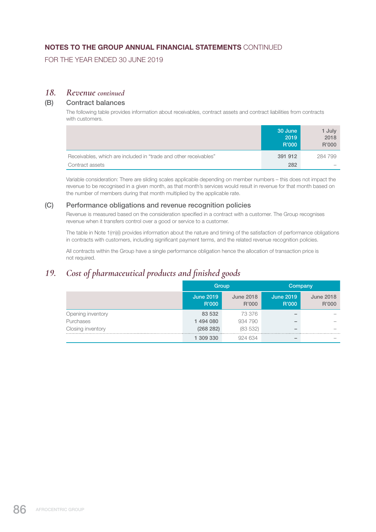FOR THE YEAR ENDED 30 JUNE 2019

### *18. Revenue continued*

#### (B) Contract balances

 The following table provides information about receivables, contract assets and contract liabilities from contracts with customers.

|                                                                  | 30 June<br>2019<br>R'000 | 1 July<br>2018<br>R'000 |
|------------------------------------------------------------------|--------------------------|-------------------------|
| Receivables, which are included in "trade and other receivables" | 391 912                  | 284 799                 |
| Contract assets                                                  | 282                      |                         |

 Variable consideration: There are sliding scales applicable depending on member numbers – this does not impact the revenue to be recognised in a given month, as that month's services would result in revenue for that month based on the number of members during that month multiplied by the applicable rate.

#### (C) Performance obligations and revenue recognition policies

 Revenue is measured based on the consideration specified in a contract with a customer. The Group recognises revenue when it transfers control over a good or service to a customer.

 The table in Note 1(m)(i) provides information about the nature and timing of the satisfaction of performance obligations in contracts with customers, including significant payment terms, and the related revenue recognition policies.

 All contracts within the Group have a single performance obligation hence the allocation of transaction price is not required.

# *19. Cost of pharmaceutical products and finished goods*

|                   | Group                     |                           | Company                   |                           |
|-------------------|---------------------------|---------------------------|---------------------------|---------------------------|
|                   | <b>June 2019</b><br>R'000 | <b>June 2018</b><br>R'000 | <b>June 2019</b><br>R'000 | <b>June 2018</b><br>R'000 |
| Opening inventory | 83 532                    | 73 376                    |                           |                           |
| Purchases         | 1 494 080                 | 934 790                   |                           |                           |
| Closing inventory | (268 282)                 | (83532)                   |                           |                           |
|                   | 309 330                   | 924 634                   |                           |                           |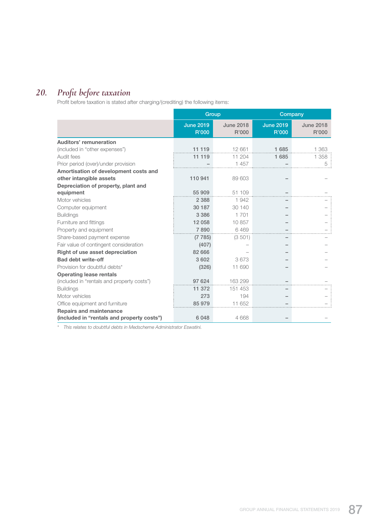# *20. Profit before taxation*

Profit before taxation is stated after charging/(crediting) the following items:

|                                            | <b>Group</b>              |                           | Company                   |                           |
|--------------------------------------------|---------------------------|---------------------------|---------------------------|---------------------------|
|                                            | <b>June 2019</b><br>R'000 | <b>June 2018</b><br>R'000 | <b>June 2019</b><br>R'000 | <b>June 2018</b><br>R'000 |
| Auditors' remuneration                     |                           |                           |                           |                           |
| (included in "other expenses")             | 11 119                    | 12 661                    | 1685                      | 1 3 6 3                   |
| Audit fees                                 | 11 119                    | 11 204                    | 1 685                     | 1 358                     |
| Prior period (over)/under provision        |                           | 1 457                     |                           | 5                         |
| Amortisation of development costs and      |                           |                           |                           |                           |
| other intangible assets                    | 110 941                   | 89 603                    |                           |                           |
| Depreciation of property, plant and        |                           |                           |                           |                           |
| equipment                                  | 55 909                    | 51 109                    |                           |                           |
| Motor vehicles                             | 2 3 8 8                   | 1942                      |                           |                           |
| Computer equipment                         | 30 187                    | 30 140                    |                           |                           |
| <b>Buildings</b>                           | 3 3 8 6                   | 1 701                     |                           |                           |
| Furniture and fittings                     | 12 058                    | 10857                     |                           |                           |
| Property and equipment                     | 7890                      | 6469                      |                           |                           |
| Share-based payment expense                | (7785)                    | (3501)                    |                           |                           |
| Fair value of contingent consideration     | (407)                     |                           |                           |                           |
| <b>Right of use asset depreciation</b>     | 82 666                    |                           |                           |                           |
| <b>Bad debt write-off</b>                  | 3 602                     | 3673                      |                           |                           |
| Provision for doubtful debts*              | (326)                     | 11 690                    |                           |                           |
| <b>Operating lease rentals</b>             |                           |                           |                           |                           |
| (included in "rentals and property costs") | 97 624                    | 163 299                   |                           |                           |
| <b>Buildings</b>                           | 11 372                    | 151 453                   |                           |                           |
| Motor vehicles                             | 273                       | 194                       |                           |                           |
| Office equipment and furniture             | 85 979                    | 11 652                    |                           |                           |
| <b>Repairs and maintenance</b>             |                           |                           |                           |                           |
| (included in "rentals and property costs") | 6 0 4 8                   | 4 6 6 8                   |                           |                           |

*\* This relates to doubtful debts in Medscheme Administrator Eswatini.*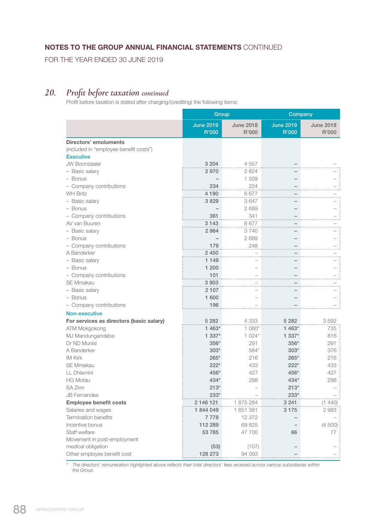FOR THE YEAR ENDED 30 JUNE 2019

# *20. Profit before taxation continued*

Profit before taxation is stated after charging/(crediting) the following items:

|                                          | Group                     |                           | Company                          |                           |
|------------------------------------------|---------------------------|---------------------------|----------------------------------|---------------------------|
|                                          | <b>June 2019</b><br>R'000 | <b>June 2018</b><br>R'000 | <b>June 2019</b><br><b>R'000</b> | <b>June 2018</b><br>R'000 |
| <b>Directors' emoluments</b>             |                           |                           |                                  |                           |
| (included in "employee benefit costs")   |                           |                           |                                  |                           |
| <b>Executive</b>                         |                           |                           |                                  |                           |
| <b>JW Boonzaaier</b>                     | 3 2 0 4                   | 4 5 5 7                   |                                  |                           |
| - Basic salary                           | 2970                      | 2824                      |                                  |                           |
| - Bonus                                  |                           | 1509                      |                                  |                           |
| - Company contributions                  | 234                       | 224                       |                                  |                           |
| <b>WH Britz</b>                          | 4 1 9 0                   | 6677                      |                                  |                           |
| - Basic salary                           | 3829                      | 3647                      |                                  |                           |
| - Bonus                                  |                           | 2689                      |                                  |                           |
| - Company contributions                  | 361                       | 341                       |                                  |                           |
| AV van Buuren                            | 3 1 4 3                   | 6677                      |                                  |                           |
| - Basic salary                           | 2964                      | 3740                      |                                  |                           |
| - Bonus                                  |                           | 2689                      |                                  |                           |
| - Company contributions                  | 179                       | 248                       |                                  |                           |
| A Banderker                              | 2450                      |                           |                                  |                           |
| - Basic salary                           | 1 1 4 9                   |                           |                                  |                           |
| - Bonus                                  | 1 200                     |                           |                                  |                           |
| - Company contributions                  | 101                       |                           |                                  |                           |
| <b>SE Mmakau</b>                         | 3903                      |                           |                                  |                           |
| - Basic salary                           | 2 107                     |                           |                                  |                           |
| - Bonus                                  | 1 600                     |                           |                                  |                           |
| - Company contributions                  | 196                       |                           |                                  |                           |
| Non-executive                            |                           |                           |                                  |                           |
| For services as directors (basic salary) | 5 2 8 2                   | 4 3 3 3                   | 5 2 8 2                          | 3592                      |
| ATM Mokgokong                            | 1 463*                    | $1060*$                   | 1 463*                           | 735                       |
| MJ Mandungandaba                         | 1 337*                    | $1024*$                   | 1 337*                           | 816                       |
| Dr ND Munisi                             | 356*                      | 291                       | $356*$                           | 291                       |
| A Banderker                              | $303*$                    | 584*                      | $303*$                           | 376                       |
| <b>IM Kirk</b>                           | $265*$                    | 216                       | $265*$                           | 216                       |
| <b>SE Mmakau</b>                         | $222*$                    | 433                       | $222*$                           | 433                       |
| LL Dhlamini                              | 456*                      | 427                       | 456*                             | 427                       |
| <b>HG Motau</b>                          | 434*                      | 298                       | 434*                             | 298                       |
| <b>SA Zinn</b>                           | $213*$                    |                           | $213*$                           |                           |
| <b>JB Fernandes</b>                      | $233*$                    |                           | $233*$                           |                           |
| <b>Employee benefit costs</b>            | 2 146 121                 | 1875264                   | 3 2 4 1                          | (1 440)                   |
| Salaries and wages                       | 1844049                   | 1 651 381                 | 3 1 7 5                          | 2983                      |
| <b>Termination benefits</b>              | 7778                      | 12 372                    |                                  |                           |
| Incentive bonus                          | 112 289                   | 69 825                    |                                  | (4500)                    |
| Staff welfare                            | 53 785                    | 47 700                    | 66                               | 77                        |
| Movement in post-employment              |                           |                           |                                  |                           |
| medical obligation                       | (53)                      | (107)                     |                                  |                           |
| Other employee benefit cost              | 128 273                   | 94 093                    |                                  |                           |

*\* The directors' remuneration highlighted above reflects their total directors' fees received across various subsidiaries within the Group.*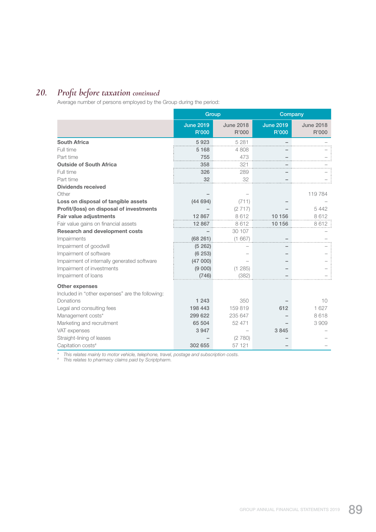# *20. Profit before taxation continued*

Average number of persons employed by the Group during the period:

|                                                                          | Group                     |                           | Company                   |                           |
|--------------------------------------------------------------------------|---------------------------|---------------------------|---------------------------|---------------------------|
|                                                                          | <b>June 2019</b><br>R'000 | <b>June 2018</b><br>R'000 | <b>June 2019</b><br>R'000 | <b>June 2018</b><br>R'000 |
| <b>South Africa</b>                                                      | 5923                      | 5 2 8 1                   |                           |                           |
| Full time                                                                | 5 1 6 8                   | 4808                      |                           |                           |
| Part time                                                                | 755                       | 473                       |                           |                           |
| <b>Outside of South Africa</b>                                           | 358                       | 321                       |                           |                           |
| Full time                                                                | 326                       | 289                       |                           |                           |
| Part time                                                                | 32                        | 32                        |                           |                           |
| <b>Dividends received</b>                                                |                           |                           |                           |                           |
| Other                                                                    |                           |                           |                           | 119784                    |
| Loss on disposal of tangible assets                                      | (44694)                   | (711)                     |                           |                           |
| Profit/(loss) on disposal of investments                                 |                           | (2717)                    |                           | 5442                      |
| <b>Fair value adjustments</b>                                            | 12867                     | 8612                      | 10 156                    | 8612                      |
| Fair value gains on financial assets                                     | 12 867                    | 8612                      | 10 156                    | 8612                      |
| <b>Research and development costs</b>                                    |                           | 30 107                    |                           |                           |
| Impairments                                                              | (68261)                   | (1667)                    |                           |                           |
| Impairment of goodwill                                                   | (5262)                    |                           |                           |                           |
| Impairment of software                                                   | (6253)                    |                           |                           |                           |
| Impairment of internally generated software                              | (47000)                   |                           |                           |                           |
| Impairment of investments                                                | (9 000)                   | (1 285)                   |                           |                           |
| Impairment of loans                                                      | (746)                     | (382)                     |                           |                           |
| <b>Other expenses</b><br>Included in "other expenses" are the following: |                           |                           |                           |                           |
| <b>Donations</b>                                                         | 1 2 4 3                   | 350                       |                           | 10                        |
| Legal and consulting fees                                                | 198 443                   | 159819                    | 612                       | 1 627                     |
| Management costs*                                                        | 299 622                   | 235 647                   |                           | 8618                      |
| Marketing and recruitment                                                | 65 504                    | 52 471                    |                           | 3909                      |
| VAT expenses                                                             | 3 9 4 7                   |                           | 3845                      |                           |
| Straight-lining of leases                                                |                           | (2780)                    |                           |                           |
| Capitation costs <sup>#</sup>                                            | 302 655                   | 57 121                    |                           |                           |

*\* This relates mainly to motor vehicle, telephone, travel, postage and subscription costs.*

*# This relates to pharmacy claims paid by Scriptpharm.*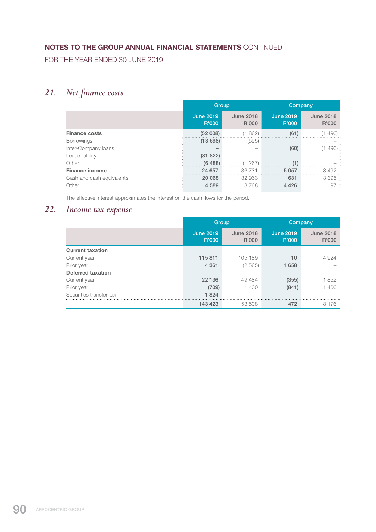FOR THE YEAR ENDED 30 JUNE 2019

# *21. Net finance costs*

|                           |                           | Group                     |                           | Company                   |
|---------------------------|---------------------------|---------------------------|---------------------------|---------------------------|
|                           | <b>June 2019</b><br>R'000 | <b>June 2018</b><br>R'000 | <b>June 2019</b><br>R'000 | <b>June 2018</b><br>R'000 |
| <b>Finance costs</b>      | (52008)                   | (1862)                    | (61)                      | (1490)                    |
| <b>Borrowings</b>         | (13698)                   | (595)                     |                           |                           |
| Inter-Company loans       |                           |                           | (60)                      | (1490)                    |
| Lease liability           | (31 822)                  |                           |                           |                           |
| Other                     | (6488)                    | (1267)                    | (1)                       |                           |
| <b>Finance income</b>     | 24 657                    | 36731                     | 5 0 5 7                   | 3492                      |
| Cash and cash equivalents | 20 068                    | 32 963                    | 631                       | 3395:                     |
| Other                     | 4 5 8 9                   | 3768                      | 4426                      | 97                        |
|                           |                           |                           |                           |                           |

The effective interest approximates the interest on the cash flows for the period.

# *22. Income tax expense*

|                          | Group                     |                           | Company                   |                           |
|--------------------------|---------------------------|---------------------------|---------------------------|---------------------------|
|                          | <b>June 2019</b><br>R'000 | <b>June 2018</b><br>R'000 | <b>June 2019</b><br>R'000 | <b>June 2018</b><br>R'000 |
| <b>Current taxation</b>  |                           |                           |                           |                           |
| Current year             | 115 811                   | 105 189                   | 10                        | 4924                      |
| Prior year               | 4 3 6 1                   | (2565)                    | 1658                      |                           |
| <b>Deferred taxation</b> |                           |                           |                           |                           |
| Current year             | 22 136                    | 49 4 84                   | (355)                     | 1852                      |
| Prior year               | (709)                     | 1400                      | (841)                     | 1400                      |
| Securities transfer tax  | 1824                      | $\overline{\phantom{a}}$  | $\overline{\phantom{a}}$  |                           |
|                          | 143 423                   | 153 508                   | 472                       | 8 1 7 6                   |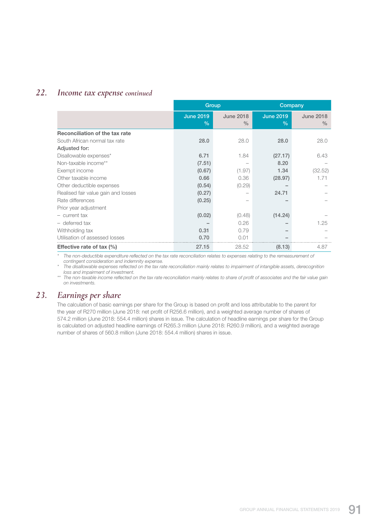## *22. Income tax expense continued*

|                                     | Group                             |                                   | Company                  |                                   |
|-------------------------------------|-----------------------------------|-----------------------------------|--------------------------|-----------------------------------|
|                                     | <b>June 2019</b><br>$\frac{0}{0}$ | <b>June 2018</b><br>$\frac{0}{0}$ | <b>June 2019</b><br>$\%$ | <b>June 2018</b><br>$\frac{0}{0}$ |
| Reconciliation of the tax rate      |                                   |                                   |                          |                                   |
| South African normal tax rate       | 28.0                              | 28.0                              | 28.0                     | 28.0                              |
| Adjusted for:                       |                                   |                                   |                          |                                   |
| Disallowable expenses*              | 6.71                              | 1.84                              | (27.17)                  | 6.43                              |
| Non-taxable income**                | (7.51)                            |                                   | 8.20                     |                                   |
| Exempt income                       | (0.67)                            | (1.97)                            | 1.34                     | (32.52)                           |
| Other taxable income                | 0.66                              | 0.36                              | (28.97)                  | 1.71                              |
| Other deductible expenses           | (0.54)                            | (0.29)                            |                          |                                   |
| Realised fair value gain and losses | (0.27)                            |                                   | 24.71                    |                                   |
| Rate differences                    | (0.25)                            |                                   |                          |                                   |
| Prior year adjustment               |                                   |                                   |                          |                                   |
| - current tax                       | (0.02)                            | (0.48)                            | (14.24)                  |                                   |
| - deferred tax                      |                                   | 0.26                              |                          | 1.25                              |
| Withholding tax                     | 0.31                              | 0.79                              |                          |                                   |
| Utilisation of assessed losses      | 0.70                              | 0.01                              |                          |                                   |
| Effective rate of tax $(\%)$        | 27.15                             | 28.52                             | (8.13)                   | 4.87                              |

*\* The non-deductible expenditure reflected on the tax rate reconciliation relates to expenses relating to the remeasurement of contingent consideration and indemnity expense.*

*\* The disallowable expenses reflected on the tax rate reconciliation mainly relates to impairment of intangible assets, derecognition loss and impairment of investment.*

*\*\* The non-taxable income reflected on the tax rate reconciliation mainly relates to share of profit of associates and the fair value gain on investments.*

# *23. Earnings per share*

 The calculation of basic earnings per share for the Group is based on profit and loss attributable to the parent for the year of R270 million (June 2018: net profit of R256.6 million), and a weighted average number of shares of 574.2 million (June 2018: 554.4 million) shares in issue. The calculation of headline earnings per share for the Group is calculated on adjusted headline earnings of R265.3 million (June 2018: R260.9 million), and a weighted average number of shares of 560.8 million (June 2018: 554.4 million) shares in issue.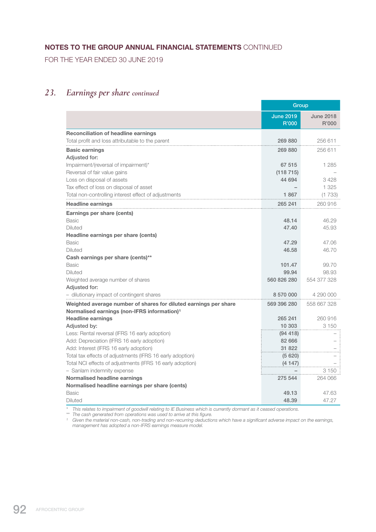FOR THE YEAR ENDED 30 JUNE 2019

# *23. Earnings per share continued*

|                                                                  | Group                     |                           |
|------------------------------------------------------------------|---------------------------|---------------------------|
|                                                                  | <b>June 2019</b><br>R'000 | <b>June 2018</b><br>R'000 |
| <b>Reconciliation of headline earnings</b>                       |                           |                           |
| Total profit and loss attributable to the parent                 | 269 880                   | 256 611                   |
| <b>Basic earnings</b>                                            | 269 880                   | 256 611                   |
| Adjusted for:                                                    |                           |                           |
| Impairment/(reversal of impairment)*                             | 67 515                    | 1 2 8 5                   |
| Reversal of fair value gains                                     | (118715)                  |                           |
| Loss on disposal of assets                                       | 44 694                    | 3428                      |
| Tax effect of loss on disposal of asset                          |                           | 1 3 2 5                   |
| Total non-controlling interest effect of adjustments             | 1867                      | (1733)                    |
| <b>Headline earnings</b>                                         | 265 241                   | 260 916                   |
| Earnings per share (cents)                                       |                           |                           |
| <b>Basic</b>                                                     | 48.14                     | 46.29                     |
| <b>Diluted</b>                                                   | 47.40                     | 45.93                     |
| Headline earnings per share (cents)                              |                           |                           |
| Basic                                                            | 47.29                     | 47.06                     |
| <b>Diluted</b>                                                   | 46.58                     | 46.70                     |
| Cash earnings per share (cents)**                                |                           |                           |
| <b>Basic</b>                                                     | 101.47                    | 99.70                     |
| <b>Diluted</b>                                                   | 99.94                     | 98.93                     |
| Weighted average number of shares                                | 560 826 280               | 554 377 328               |
| Adjusted for:                                                    |                           |                           |
| - dilutionary impact of contingent shares                        | 8 570 000                 | 4 290 000                 |
| Weighted average number of shares for diluted earnings per share | 569 396 280               | 558 667 328               |
| Normalised earnings (non-IFRS information) <sup>1</sup>          |                           |                           |
| <b>Headline earnings</b>                                         | 265 241                   | 260 916                   |
| Adjusted by:                                                     | 10 303                    | 3 1 5 0                   |
| Less: Rental reversal (IFRS 16 early adoption)                   | (94, 418)                 |                           |
| Add: Depreciation (IFRS 16 early adoption)                       | 82 666                    |                           |
| Add: Interest (IFRS 16 early adoption)                           | 31 822                    |                           |
| Total tax effects of adjustments (IFRS 16 early adoption)        | (5620)                    |                           |
| Total NCI effects of adjustments (IFRS 16 early adoption)        | (4147)                    |                           |
| - Sanlam indemnity expense                                       |                           | 3 1 5 0                   |
| Normalised headline earnings                                     | 275 544                   | 264 066                   |
| Normalised headline earnings per share (cents)                   |                           |                           |
| Basic                                                            | 49.13                     | 47.63                     |
| <b>Diluted</b>                                                   | 48.39                     | 47.27                     |

*\* This relates to impairment of goodwill relating to IE Business which is currently dormant as it ceased operations.*

*\*\* The cash generated from operations was used to arrive at this figure.*

*¹ Given the material non-cash, non-trading and non-recurring deductions which have a significant adverse impact on the earnings, management has adopted a non-IFRS earnings measure model.*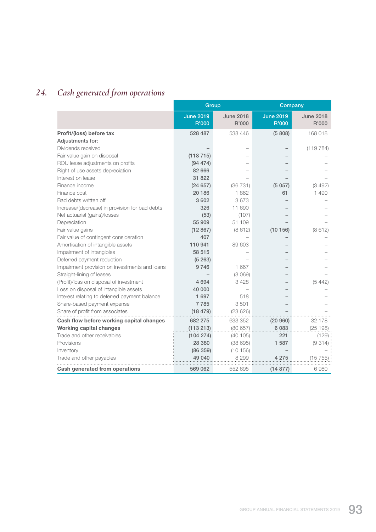# *24. Cash generated from operations*

|                                                |                           | Group                     | Company                   |                           |
|------------------------------------------------|---------------------------|---------------------------|---------------------------|---------------------------|
|                                                | <b>June 2019</b><br>R'000 | <b>June 2018</b><br>R'000 | <b>June 2019</b><br>R'000 | <b>June 2018</b><br>R'000 |
| Profit/(loss) before tax                       | 528 487                   | 538 446                   | (5808)                    | 168 018                   |
| Adjustments for:                               |                           |                           |                           |                           |
| Dividends received                             |                           |                           |                           | (119784)                  |
| Fair value gain on disposal                    | (118715)                  |                           |                           |                           |
| ROU lease adjustments on profits               | (94 474)                  |                           |                           |                           |
| Right of use assets depreciation               | 82 666                    |                           |                           |                           |
| Interest on lease                              | 31 822                    |                           |                           |                           |
| Finance income                                 | (24657)                   | (36731)                   | (5057)                    | (3 492)                   |
| Finance cost                                   | 20 186                    | 1862                      | 61                        | 1490                      |
| Bad debts written off                          | 3 6 0 2                   | 3673                      |                           |                           |
| Increase/(decrease) in provision for bad debts | 326                       | 11 690                    |                           |                           |
| Net actuarial (gains)/losses                   | (53)                      | (107)                     |                           |                           |
| Depreciation                                   | 55 909                    | 51 109                    |                           |                           |
| Fair value gains                               | (12867)                   | (8612)                    | (10156)                   | (8612)                    |
| Fair value of contingent consideration         | 407                       |                           |                           |                           |
| Amortisation of intangible assets              | 110 941                   | 89 603                    |                           |                           |
| Impairment of intangibles                      | 58 515                    |                           |                           |                           |
| Deferred payment reduction                     | (5263)                    |                           |                           |                           |
| Impairment provision on investments and loans  | 9746                      | 1667                      |                           |                           |
| Straight-lining of leases                      |                           | (3069)                    |                           |                           |
| (Profit)/loss on disposal of investment        | 4 6 9 4                   | 3428                      |                           | (5, 442)                  |
| Loss on disposal of intangible assets          | 40 000                    |                           |                           |                           |
| Interest relating to deferred payment balance  | 1 697                     | 518                       |                           |                           |
| Share-based payment expense                    | 7785                      | 3501                      |                           |                           |
| Share of profit from associates                | (18479)                   | (23626)                   |                           |                           |
| Cash flow before working capital changes       | 682 275                   | 633 352                   | (20960)                   | 32 178                    |
| <b>Working capital changes</b>                 | (113 213)                 | (80657)                   | 6083                      | (25198)                   |
| Trade and other receivables                    | (104 274)                 | (40105)                   | 221                       | (129)                     |
| Provisions                                     | 28 380                    | (38695)                   | 1 587                     | (9314)                    |
| Inventory                                      | (86 359)                  | (10156)                   |                           |                           |
| Trade and other payables                       | 49 040                    | 8 2 9 9                   | 4 2 7 5                   | (15755)                   |
| Cash generated from operations                 | 569 062                   | 552 695                   | (14877)                   | 6980                      |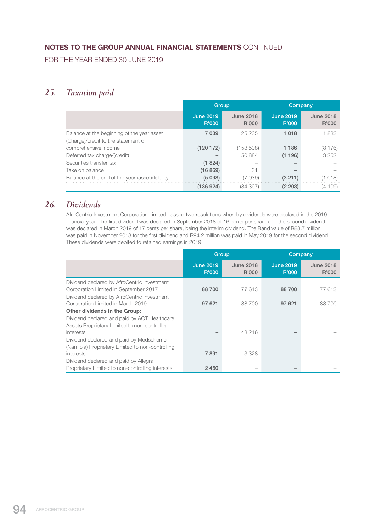FOR THE YEAR ENDED 30 JUNE 2019

# *25. Taxation paid*

|                                                                                   |                           | Group                     |                           | Company                   |
|-----------------------------------------------------------------------------------|---------------------------|---------------------------|---------------------------|---------------------------|
|                                                                                   | <b>June 2019</b><br>R'000 | <b>June 2018</b><br>R'000 | <b>June 2019</b><br>R'000 | <b>June 2018</b><br>R'000 |
| Balance at the beginning of the year asset<br>(Charge)/credit to the statement of | 7 0 3 9                   | 25 235                    | 1 0 1 8                   | 1833                      |
| comprehensive income                                                              | (120172)                  | (153 508)                 | 1 1 8 6                   | (8176)                    |
| Deferred tax charge/(credit)                                                      |                           | 50 884                    | (1196)                    | 3 2 5 2                   |
| Securities transfer tax                                                           | (1824)                    | -                         |                           |                           |
| Take on balance                                                                   | (16 869)                  | 31                        |                           |                           |
| Balance at the end of the year (asset)/liability                                  | (5098)                    | (7039)                    | (3 211)                   | (1018)                    |
|                                                                                   | (136924)                  | (84 397)                  | (2 203)                   | (4 109)                   |

# *26. Dividends*

 AfroCentric Investment Corporation Limited passed two resolutions whereby dividends were declared in the 2019 financial year. The first dividend was declared in September 2018 of 16 cents per share and the second dividend was declared in March 2019 of 17 cents per share, being the interim dividend. The Rand value of R88.7 million was paid in November 2018 for the first dividend and R94.2 million was paid in May 2019 for the second dividend. These dividends were debited to retained earnings in 2019.

|                                                                                                                                       | Group                     |                           | Company                   |                           |
|---------------------------------------------------------------------------------------------------------------------------------------|---------------------------|---------------------------|---------------------------|---------------------------|
|                                                                                                                                       | <b>June 2019</b><br>R'000 | <b>June 2018</b><br>R'000 | <b>June 2019</b><br>R'000 | <b>June 2018</b><br>R'000 |
| Dividend declared by AfroCentric Investment<br>Corporation Limited in September 2017<br>Dividend declared by AfroCentric Investment   | 88 700                    | 77 613                    | 88700                     | 77 613                    |
| Corporation Limited in March 2019                                                                                                     | 97 621                    | 88 700                    | 97 621                    | 88700                     |
| <b>Other dividends in the Group:</b><br>Dividend declared and paid by ACT Healthcare<br>Assets Proprietary Limited to non-controlling |                           |                           |                           |                           |
| interests                                                                                                                             |                           | 48 216                    |                           |                           |
| Dividend declared and paid by Medscheme<br>(Namibia) Proprietary Limited to non-controlling                                           |                           |                           |                           |                           |
| <i>interests</i>                                                                                                                      | 7891                      | 3 3 2 8                   |                           |                           |
| Dividend declared and paid by Allegra                                                                                                 |                           |                           |                           |                           |
| Proprietary Limited to non-controlling interests                                                                                      | 2450                      |                           |                           |                           |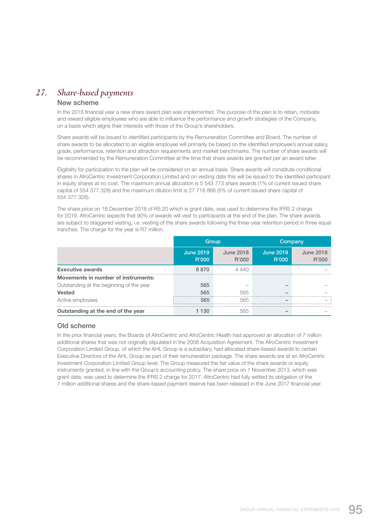# *27. Share-based payments*

#### New scheme

In the 2018 financial year a new share award plan was implemented. The purpose of the plan is to retain, motivate and reward eligible employees who are able to influence the performance and growth strategies of the Company, on a basis which aligns their interests with those of the Group's shareholders.

 Share awards will be issued to identified participants by the Remuneration Committee and Board. The number of share awards to be allocated to an eligible employee will primarily be based on the identified employee's annual salary, grade, performance, retention and attraction requirements and market benchmarks. The number of share awards will be recommended by the Remuneration Committee at the time that share awards are granted per an award letter.

 Eligibility for participation to the plan will be considered on an annual basis. Share awards will constitute conditional shares in AfroCentric Investment Corporation Limited and on vesting date this will be issued to the identified participant in equity shares at no cost. The maximum annual allocation is 5 543 773 share awards (1% of current issued share capital of 554 377 328) and the maximum dilution limit is 27 718 866 (5% of current issued share capital of 554 377 328).

 The share price on 18 December 2018 of R5.20 which is grant date, was used to determine the IFRS 2 charge for 2019. AfroCentric expects that 90% of awards will vest to participants at the end of the plan. The share awards are subject to staggered vesting, i.e. vesting of the share awards following the three-year retention period in three equal tranches. The charge for the year is R7 million.

|                                            | Group                     |                           | Company                   |                           |
|--------------------------------------------|---------------------------|---------------------------|---------------------------|---------------------------|
|                                            | <b>June 2019</b><br>R'000 | <b>June 2018</b><br>R'000 | <b>June 2019</b><br>R'000 | <b>June 2018</b><br>R'000 |
| <b>Executive awards</b>                    | 8870                      | 4440                      |                           |                           |
| <b>Movements in number of instruments:</b> |                           |                           |                           |                           |
| Outstanding at the beginning of the year   | 565                       |                           |                           |                           |
| <b>Vested</b>                              | 565                       | 565                       |                           |                           |
| Active employees                           | 565                       | 565                       |                           |                           |
| Outstanding at the end of the year         | 130                       | 565                       |                           |                           |

#### Old scheme

 In the prior financial years, the Boards of AfroCentric and AfroCentric Health had approved an allocation of 7 million additional shares that was not originally stipulated in the 2008 Acquisition Agreement. The AfroCentric Investment Corporation Limited Group, of which the AHL Group is a subsidiary, had allocated share-based awards to certain Executive Directors of the AHL Group as part of their remuneration package. The share awards are at an AfroCentric Investment Corporation Limited Group level. The Group measured the fair value of the share awards or equity instruments granted, in line with the Group's accounting policy. The share price on 1 November 2013, which was grant date, was used to determine the IFRS 2 charge for 2017. AfroCentric had fully settled its obligation of the 7 million additional shares and the share-based payment reserve has been released in the June 2017 financial year.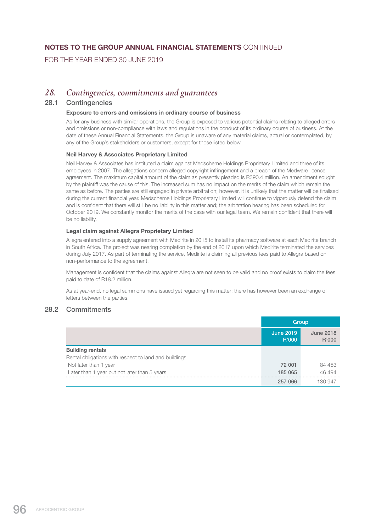FOR THE YEAR ENDED 30 JUNE 2019

## *28. Contingencies, commitments and guarantees*

#### 28.1 Contingencies

#### Exposure to errors and omissions in ordinary course of business

 As for any business with similar operations, the Group is exposed to various potential claims relating to alleged errors and omissions or non-compliance with laws and regulations in the conduct of its ordinary course of business. At the date of these Annual Financial Statements, the Group is unaware of any material claims, actual or contemplated, by any of the Group's stakeholders or customers, except for those listed below.

#### Neil Harvey & Associates Proprietary Limited

 Neil Harvey & Associates has instituted a claim against Medscheme Holdings Proprietary Limited and three of its employees in 2007. The allegations concern alleged copyright infringement and a breach of the Medware licence agreement. The maximum capital amount of the claim as presently pleaded is R390.4 million. An amendment sought by the plaintiff was the cause of this. The increased sum has no impact on the merits of the claim which remain the same as before. The parties are still engaged in private arbitration; however, it is unlikely that the matter will be finalised during the current financial year. Medscheme Holdings Proprietary Limited will continue to vigorously defend the claim and is confident that there will still be no liability in this matter and; the arbitration hearing has been scheduled for October 2019. We constantly monitor the merits of the case with our legal team. We remain confident that there will be no liability.

#### Legal claim against Allegra Proprietary Limited

 Allegra entered into a supply agreement with Medirite in 2015 to install its pharmacy software at each Medirite branch in South Africa. The project was nearing completion by the end of 2017 upon which Medirite terminated the services during July 2017. As part of terminating the service, Medirite is claiming all previous fees paid to Allegra based on non-performance to the agreement.

 Management is confident that the claims against Allegra are not seen to be valid and no proof exists to claim the fees paid to date of R18.2 million.

 As at year-end, no legal summons have issued yet regarding this matter; there has however been an exchange of letters between the parties.

### 28.2 Commitments

|                                                       | Group                     |                           |
|-------------------------------------------------------|---------------------------|---------------------------|
|                                                       | <b>June 2019</b><br>R'000 | <b>June 2018</b><br>R'000 |
| <b>Building rentals</b>                               |                           |                           |
| Rental obligations with respect to land and buildings |                           |                           |
| Not later than 1 year                                 | 72 001                    | 84 453                    |
| Later than 1 year but not later than 5 years          | 185 065                   | 46 494                    |
|                                                       | 257 066                   | 130.947                   |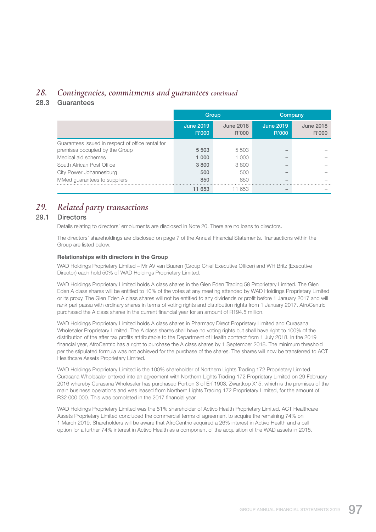# *28. Contingencies, commitments and guarantees continued*

### 28.3 Guarantees

|                                                   | Group                            |                           | Company                   |                           |
|---------------------------------------------------|----------------------------------|---------------------------|---------------------------|---------------------------|
|                                                   | <b>June 2019</b><br><b>R'000</b> | <b>June 2018</b><br>R'000 | <b>June 2019</b><br>R'000 | <b>June 2018</b><br>R'000 |
| Guarantees issued in respect of office rental for |                                  |                           |                           |                           |
| premises occupied by the Group                    | 5 5 0 3                          | 5503                      |                           |                           |
| Medical aid schemes                               | 1 0 0 0                          | 1 000                     |                           |                           |
| South African Post Office                         | 3800                             | 3800                      |                           |                           |
| City Power Johannesburg                           | 500                              | 500                       |                           |                           |
| MMed guarantees to suppliers                      | 850                              | 850                       |                           |                           |
|                                                   | 11 653                           | 11 653                    |                           |                           |

# *29. Related party transactions*

### 29.1 Directors

Details relating to directors' emoluments are disclosed in Note 20. There are no loans to directors.

 The directors' shareholdings are disclosed on page 7 of the Annual Financial Statements. Transactions within the Group are listed below.

#### Relationships with directors in the Group

 WAD Holdings Proprietary Limited – Mr AV van Buuren (Group Chief Executive Officer) and WH Britz (Executive Director) each hold 50% of WAD Holdings Proprietary Limited.

 WAD Holdings Proprietary Limited holds A class shares in the Glen Eden Trading 58 Proprietary Limited. The Glen Eden A class shares will be entitled to 10% of the votes at any meeting attended by WAD Holdings Proprietary Limited or its proxy. The Glen Eden A class shares will not be entitled to any dividends or profit before 1 January 2017 and will rank pari passu with ordinary shares in terms of voting rights and distribution rights from 1 January 2017. AfroCentric purchased the A class shares in the current financial year for an amount of R194.5 million.

 WAD Holdings Proprietary Limited holds A class shares in Pharmacy Direct Proprietary Limited and Curasana Wholesaler Proprietary Limited. The A class shares shall have no voting rights but shall have right to 100% of the distribution of the after tax profits attributable to the Department of Health contract from 1 July 2018. In the 2019 financial year, AfroCentric has a right to purchase the A class shares by 1 September 2018. The minimum threshold per the stipulated formula was not achieved for the purchase of the shares. The shares will now be transferred to ACT Healthcare Assets Proprietary Limited.

 WAD Holdings Proprietary Limited is the 100% shareholder of Northern Lights Trading 172 Proprietary Limited. Curasana Wholesaler entered into an agreement with Northern Lights Trading 172 Proprietary Limited on 29 February 2016 whereby Curasana Wholesaler has purchased Portion 3 of Erf 1903, Zwartkop X15, which is the premises of the main business operations and was leased from Northern Lights Trading 172 Proprietary Limited, for the amount of R32 000 000. This was completed in the 2017 financial year.

 WAD Holdings Proprietary Limited was the 51% shareholder of Activo Health Proprietary Limited. ACT Healthcare Assets Proprietary Limited concluded the commercial terms of agreement to acquire the remaining 74% on 1 March 2019. Shareholders will be aware that AfroCentric acquired a 26% interest in Activo Health and a call option for a further 74% interest in Activo Health as a component of the acquisition of the WAD assets in 2015.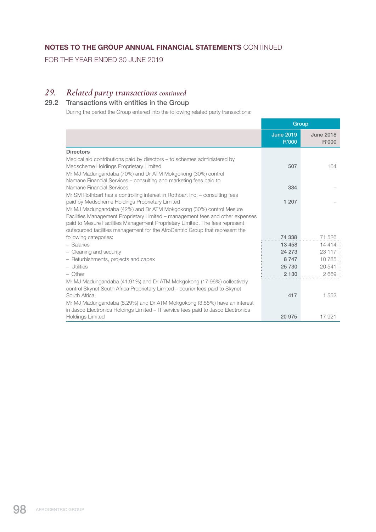FOR THE YEAR ENDED 30 JUNE 2019

# *29. Related party transactions continued*

# 29.2 Transactions with entities in the Group

During the period the Group entered into the following related party transactions:

|                                                                                                                                                                | <b>Group</b>              |                           |
|----------------------------------------------------------------------------------------------------------------------------------------------------------------|---------------------------|---------------------------|
|                                                                                                                                                                | <b>June 2019</b><br>R'000 | <b>June 2018</b><br>R'000 |
| <b>Directors</b>                                                                                                                                               |                           |                           |
| Medical aid contributions paid by directors – to schemes administered by                                                                                       |                           |                           |
| Medscheme Holdings Proprietary Limited                                                                                                                         | 507                       | 164                       |
| Mr MJ Madungandaba (70%) and Dr ATM Mokgokong (30%) control                                                                                                    |                           |                           |
| Namane Financial Services – consulting and marketing fees paid to                                                                                              |                           |                           |
| Namane Financial Services                                                                                                                                      | 334                       |                           |
| Mr SM Rothbart has a controlling interest in Rothbart Inc. – consulting fees                                                                                   |                           |                           |
| paid by Medscheme Holdings Proprietary Limited                                                                                                                 | 1 207                     |                           |
| Mr MJ Madungandaba (42%) and Dr ATM Mokgokong (30%) control Mesure                                                                                             |                           |                           |
| Facilities Management Proprietary Limited – management fees and other expenses<br>paid to Mesure Facilities Management Proprietary Limited. The fees represent |                           |                           |
| outsourced facilities management for the AfroCentric Group that represent the                                                                                  |                           |                           |
| following categories:                                                                                                                                          | 74 338                    | 71 526                    |
| - Salaries                                                                                                                                                     | 13 4 58                   | 14 4 14                   |
| - Cleaning and security                                                                                                                                        | 24 273                    | 23 117                    |
| - Refurbishments, projects and capex                                                                                                                           | 8747                      | 10785                     |
| - Utilities                                                                                                                                                    | 25 730                    | 20 541                    |
| $-$ Other                                                                                                                                                      | 2 1 3 0                   | 2669                      |
| Mr MJ Madungandaba (41.91%) and Dr ATM Mokgokong (17.96%) collectively                                                                                         |                           |                           |
| control Skynet South Africa Proprietary Limited – courier fees paid to Skynet                                                                                  |                           |                           |
| South Africa                                                                                                                                                   | 417                       | 1 552                     |
| Mr MJ Madungandaba (8.29%) and Dr ATM Mokgokong (3.55%) have an interest                                                                                       |                           |                           |
| in Jasco Electronics Holdings Limited – IT service fees paid to Jasco Electronics                                                                              |                           |                           |
| <b>Holdings Limited</b>                                                                                                                                        | 20 975                    | 17 921                    |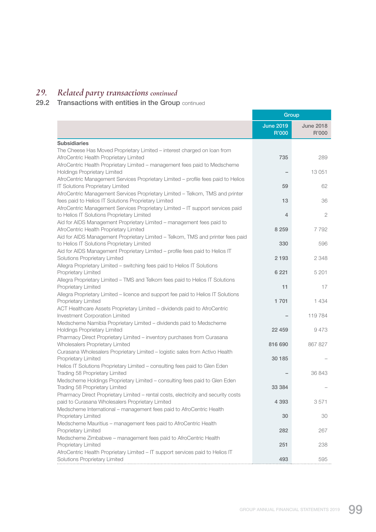# *29. Related party transactions continued*

#### 29.2 Transactions with entities in the Group continued

|                                                                                                                              | Group                     |                           |
|------------------------------------------------------------------------------------------------------------------------------|---------------------------|---------------------------|
|                                                                                                                              | <b>June 2019</b><br>R'000 | <b>June 2018</b><br>R'000 |
| <b>Subsidiaries</b>                                                                                                          |                           |                           |
| The Cheese Has Moved Proprietary Limited - interest charged on loan from                                                     |                           |                           |
| AfroCentric Health Proprietary Limited                                                                                       | 735                       | 289                       |
| AfroCentric Health Proprietary Limited - management fees paid to Medscheme                                                   |                           |                           |
| Holdings Proprietary Limited                                                                                                 |                           | 13 051                    |
| AfroCentric Management Services Proprietary Limited - profile fees paid to Helios<br><b>IT Solutions Proprietary Limited</b> | 59                        | 62                        |
| AfroCentric Management Services Proprietary Limited - Telkom, TMS and printer                                                |                           |                           |
| fees paid to Helios IT Solutions Proprietary Limited                                                                         | 13                        | 36                        |
| AfroCentric Management Services Proprietary Limited - IT support services paid                                               |                           |                           |
| to Helios IT Solutions Proprietary Limited                                                                                   | 4                         | $\mathbf{2}$              |
| Aid for AIDS Management Proprietary Limited - management fees paid to                                                        |                           |                           |
| AfroCentric Health Proprietary Limited                                                                                       | 8 2 5 9                   | 7792                      |
| Aid for AIDS Management Proprietary Limited - Telkom, TMS and printer fees paid                                              |                           |                           |
| to Helios IT Solutions Proprietary Limited<br>Aid for AIDS Management Proprietary Limited - profile fees paid to Helios IT   | 330                       | 596                       |
| Solutions Proprietary Limited                                                                                                | 2 1 9 3                   | 2 3 4 8                   |
| Allegra Proprietary Limited - switching fees paid to Helios IT Solutions                                                     |                           |                           |
| Proprietary Limited                                                                                                          | 6 2 2 1                   | 5 2 0 1                   |
| Allegra Proprietary Limited - TMS and Telkom fees paid to Helios IT Solutions                                                |                           |                           |
| Proprietary Limited                                                                                                          | 11                        | 17                        |
| Allegra Proprietary Limited - licence and support fee paid to Helios IT Solutions                                            |                           |                           |
| Proprietary Limited                                                                                                          | 1 701                     | 1 4 3 4                   |
| ACT Healthcare Assets Proprietary Limited - dividends paid to AfroCentric<br>Investment Corporation Limited                  |                           | 119 784                   |
| Medscheme Namibia Proprietary Limited - dividends paid to Medscheme                                                          |                           |                           |
| Holdings Proprietary Limited                                                                                                 | 22 459                    | 9473                      |
| Pharmacy Direct Proprietary Limited - inventory purchases from Curasana                                                      |                           |                           |
| Wholesalers Proprietary Limited                                                                                              | 816 690                   | 867 827                   |
| Curasana Wholesalers Proprietary Limited - logistic sales from Activo Health                                                 |                           |                           |
| Proprietary Limited                                                                                                          | 30 185                    |                           |
| Helios IT Solutions Proprietary Limited - consulting fees paid to Glen Eden                                                  |                           |                           |
| Trading 58 Proprietary Limited<br>Medscheme Holdings Proprietary Limited - consulting fees paid to Glen Eden                 |                           | 36 843                    |
| Trading 58 Proprietary Limited                                                                                               | 33 384                    |                           |
| Pharmacy Direct Proprietary Limited - rental costs, electricity and security costs                                           |                           |                           |
| paid to Curasana Wholesalers Proprietary Limited                                                                             | 4 3 9 3                   | 3571                      |
| Medscheme International - management fees paid to AfroCentric Health                                                         |                           |                           |
| Proprietary Limited                                                                                                          | 30                        | 30                        |
| Medscheme Mauritius - management fees paid to AfroCentric Health                                                             |                           |                           |
| Proprietary Limited                                                                                                          | 282                       | 267                       |
| Medscheme Zimbabwe - management fees paid to AfroCentric Health                                                              |                           |                           |
| Proprietary Limited                                                                                                          | 251                       | 238                       |
| AfroCentric Health Proprietary Limited - IT support services paid to Helios IT<br>Solutions Proprietary Limited              | 493                       | 595                       |
|                                                                                                                              |                           |                           |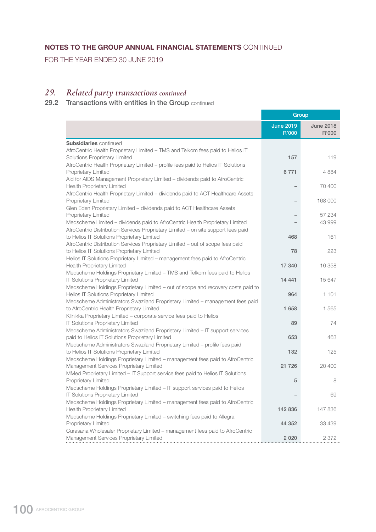FOR THE YEAR ENDED 30 JUNE 2019

## *29. Related party transactions continued*

#### 29.2 Transactions with entities in the Group continued

|                                                                                                                             | Group                     |                           |
|-----------------------------------------------------------------------------------------------------------------------------|---------------------------|---------------------------|
|                                                                                                                             | <b>June 2019</b><br>R'000 | <b>June 2018</b><br>R'000 |
| <b>Subsidiaries</b> continued                                                                                               |                           |                           |
| AfroCentric Health Proprietary Limited - TMS and Telkom fees paid to Helios IT                                              |                           |                           |
| Solutions Proprietary Limited                                                                                               | 157                       | 119                       |
| AfroCentric Health Proprietary Limited - profile fees paid to Helios IT Solutions                                           |                           |                           |
| Proprietary Limited                                                                                                         | 6771                      | 4884                      |
| Aid for AIDS Management Proprietary Limited - dividends paid to AfroCentric<br>Health Proprietary Limited                   |                           | 70 400                    |
| AfroCentric Health Proprietary Limited - dividends paid to ACT Healthcare Assets                                            |                           |                           |
| Proprietary Limited                                                                                                         |                           | 168 000                   |
| Glen Eden Proprietary Limited - dividends paid to ACT Healthcare Assets                                                     |                           |                           |
| Proprietary Limited                                                                                                         |                           | 57 234                    |
| Medscheme Limited - dividends paid to AfroCentric Health Proprietary Limited                                                |                           | 43 999                    |
| AfroCentric Distribution Services Proprietary Limited - on site support fees paid                                           |                           |                           |
| to Helios IT Solutions Proprietary Limited                                                                                  | 468                       | 161                       |
| AfroCentric Distribution Services Proprietary Limited - out of scope fees paid                                              | 78                        | 223                       |
| to Helios IT Solutions Proprietary Limited<br>Helios IT Solutions Proprietary Limited - management fees paid to AfroCentric |                           |                           |
| <b>Health Proprietary Limited</b>                                                                                           | 17 340                    | 16 358                    |
| Medscheme Holdings Proprietary Limited - TMS and Telkom fees paid to Helios                                                 |                           |                           |
| <b>IT Solutions Proprietary Limited</b>                                                                                     | 14 4 4 1                  | 15 647                    |
| Medscheme Holdings Proprietary Limited - out of scope and recovery costs paid to                                            |                           |                           |
| Helios IT Solutions Proprietary Limited                                                                                     | 964                       | 1 101                     |
| Medscheme Administrators Swaziland Proprietary Limited - management fees paid                                               |                           |                           |
| to AfroCentric Health Proprietary Limited                                                                                   | 1 658                     | 1 565                     |
| Klinikka Proprietary Limited - corporate service fees paid to Helios                                                        |                           |                           |
| <b>IT Solutions Proprietary Limited</b><br>Medscheme Administrators Swaziland Proprietary Limited - IT support services     | 89                        | 74                        |
| paid to Helios IT Solutions Proprietary Limited                                                                             | 653                       | 463                       |
| Medscheme Administrators Swaziland Proprietary Limited - profile fees paid                                                  |                           |                           |
| to Helios IT Solutions Proprietary Limited                                                                                  | 132                       | 125                       |
| Medscheme Holdings Proprietary Limited - management fees paid to AfroCentric                                                |                           |                           |
| Management Services Proprietary Limited                                                                                     | 21 7 26                   | 20 400                    |
| MMed Proprietary Limited - IT Support service fees paid to Helios IT Solutions                                              |                           |                           |
| Proprietary Limited                                                                                                         | 5                         | 8                         |
| Medscheme Holdings Proprietary Limited - IT support services paid to Helios<br>IT Solutions Proprietary Limited             |                           | 69                        |
| Medscheme Holdings Proprietary Limited - management fees paid to AfroCentric                                                |                           |                           |
| Health Proprietary Limited                                                                                                  | 142 836                   | 147 836                   |
| Medscheme Holdings Proprietary Limited - switching fees paid to Allegra                                                     |                           |                           |
| Proprietary Limited                                                                                                         | 44 352                    | 33 439                    |
| Curasana Wholesaler Proprietary Limited - management fees paid to AfroCentric                                               |                           |                           |
| Management Services Proprietary Limited                                                                                     | 2 0 2 0                   | 2 3 7 2                   |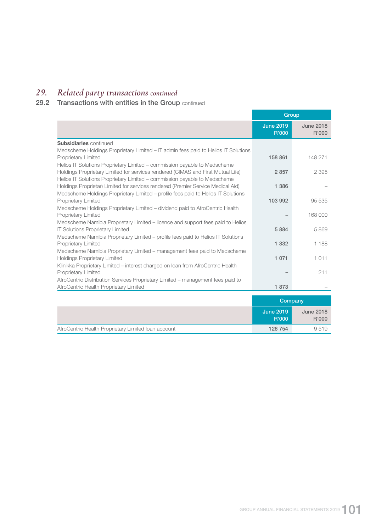# *29. Related party transactions continued*

#### 29.2 Transactions with entities in the Group continued

|                                                                                                                                                                                        | Group                            |                           |
|----------------------------------------------------------------------------------------------------------------------------------------------------------------------------------------|----------------------------------|---------------------------|
|                                                                                                                                                                                        | <b>June 2019</b><br><b>R'000</b> | <b>June 2018</b><br>R'000 |
| <b>Subsidiaries</b> continued                                                                                                                                                          |                                  |                           |
| Medscheme Holdings Proprietary Limited – IT admin fees paid to Helios IT Solutions<br>Proprietary Limited<br>Helios IT Solutions Proprietary Limited – commission payable to Medscheme | 158 861                          | 148 271                   |
| Holdings Proprietary Limited for services rendered (CIMAS and First Mutual Life)<br>Helios IT Solutions Proprietary Limited – commission payable to Medscheme                          | 2857                             | 2 3 9 5                   |
| Holdings Proprietar) Limited for services rendered (Premier Service Medical Aid)<br>Medscheme Holdings Proprietary Limited - profile fees paid to Helios IT Solutions                  | 1 3 8 6                          |                           |
| Proprietary Limited<br>Medscheme Holdings Proprietary Limited – dividend paid to AfroCentric Health                                                                                    | 103 992                          | 95 535                    |
| Proprietary Limited<br>Medscheme Namibia Proprietary Limited – licence and support fees paid to Helios                                                                                 |                                  | 168 000                   |
| <b>IT Solutions Proprietary Limited</b><br>Medscheme Namibia Proprietary Limited - profile fees paid to Helios IT Solutions                                                            | 5884                             | 5869                      |
| Proprietary Limited<br>Medscheme Namibia Proprietary Limited - management fees paid to Medscheme                                                                                       | 1 3 3 2                          | 1 188                     |
| <b>Holdings Proprietary Limited</b><br>Klinikka Proprietary Limited - interest charged on loan from AfroCentric Health                                                                 | 1 0 7 1                          | 1011                      |
| Proprietary Limited                                                                                                                                                                    |                                  | 211                       |
| AfroCentric Distribution Services Proprietary Limited - management fees paid to<br>AfroCentric Health Proprietary Limited                                                              | 1873                             |                           |
|                                                                                                                                                                                        | Company                          |                           |
|                                                                                                                                                                                        | <b>June 2019</b><br>R'000        | <b>June 2018</b><br>R'000 |
| AfroCentric Health Proprietary Limited Ioan account                                                                                                                                    | 126 754                          | 9519                      |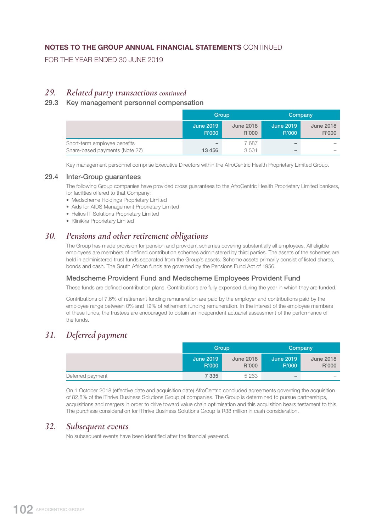FOR THE YEAR ENDED 30 JUNE 2019

## *29. Related party transactions continued*

### 29.3 Key management personnel compensation

|                                | Group                     |                           | Company                   |                           |
|--------------------------------|---------------------------|---------------------------|---------------------------|---------------------------|
|                                | <b>June 2019</b><br>R'000 | <b>June 2018</b><br>R'000 | <b>June 2019</b><br>R'000 | <b>June 2018</b><br>R'000 |
| Short-term employee benefits   | $\overline{\phantom{a}}$  | 7687                      | $\overline{\phantom{a}}$  |                           |
| Share-based payments (Note 27) | 13 456                    | 3501                      | $\overline{\phantom{a}}$  |                           |

Key management personnel comprise Executive Directors within the AfroCentric Health Proprietary Limited Group.

#### 29.4 Inter-Group guarantees

 The following Group companies have provided cross guarantees to the AfroCentric Health Proprietary Limited bankers, for facilities offered to that Company:

- Medscheme Holdings Proprietary Limited
- Aids for AIDS Management Proprietary Limited
- Helios IT Solutions Proprietary Limited
- Klinikka Proprietary Limited

## *30. Pensions and other retirement obligations*

 The Group has made provision for pension and provident schemes covering substantially all employees. All eligible employees are members of defined contribution schemes administered by third parties. The assets of the schemes are held in administered trust funds separated from the Group's assets. Scheme assets primarily consist of listed shares, bonds and cash. The South African funds are governed by the Pensions Fund Act of 1956.

### Medscheme Provident Fund and Medscheme Employees Provident Fund

These funds are defined contribution plans. Contributions are fully expensed during the year in which they are funded.

 Contributions of 7.6% of retirement funding remuneration are paid by the employer and contributions paid by the employee range between 0% and 12% of retirement funding remuneration. In the interest of the employee members of these funds, the trustees are encouraged to obtain an independent actuarial assessment of the performance of the funds.

# *31. Deferred payment*

|                  | Group                     |                           | Company                   |                           |
|------------------|---------------------------|---------------------------|---------------------------|---------------------------|
|                  | <b>June 2019</b><br>R'000 | <b>June 2018</b><br>R'000 | <b>June 2019</b><br>R'000 | <b>June 2018</b><br>R'000 |
| Deferred payment | 7 335                     | 5 2 6 3                   | $\overline{\phantom{a}}$  | $\overline{\phantom{a}}$  |

 On 1 October 2018 (effective date and acquisition date) AfroCentric concluded agreements governing the acquisition of 82.8% of the iThrive Business Solutions Group of companies. The Group is determined to pursue partnerships, acquisitions and mergers in order to drive toward value chain optimisation and this acquisition bears testament to this. The purchase consideration for iThrive Business Solutions Group is R38 million in cash consideration.

## *32. Subsequent events*

No subsequent events have been identified after the financial year-end.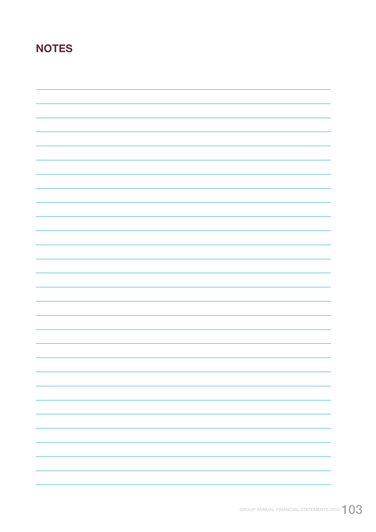# **NOTES**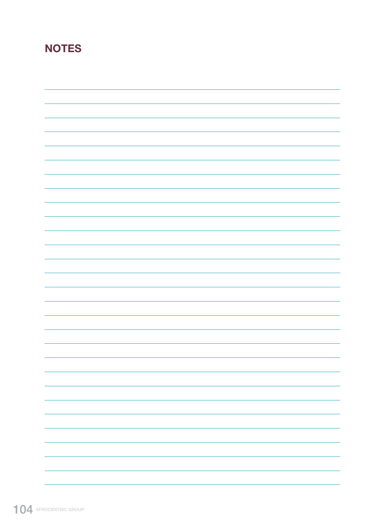# **NOTES**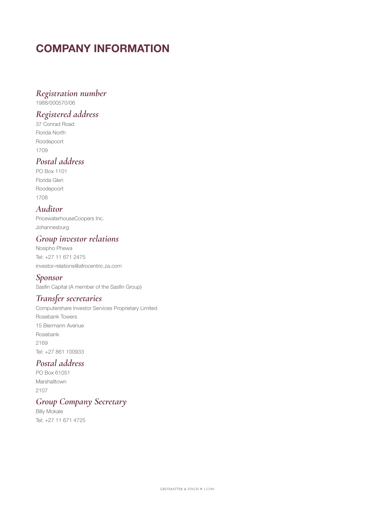# COMPANY INFORMATION

### *Registration number*

1988/000570/06

# *Registered address*

37 Conrad Road Florida North Roodepoort 1709

# *Postal address*

PO Box 1101 Florida Glen Roodepoort 1708

# *Auditor*

PricewaterhouseCoopers Inc. Johannesburg

# *Group investor relations*

Nosipho Phewa Tel: +27 11 671 2475 investor-relations@afrocentric.za.com

## *Sponsor*

Sasfin Capital (A member of the Sasfin Group)

# *Transfer secretaries*

Computershare Investor Services Proprietary Limited Rosebank Towers 15 Biermann Avenue Rosebank 2169 Tel: +27 861 100933

# *Postal address*

PO Box 61051 Marshalltown 2107

# *Group Company Secretary*

Billy Mokale Tel: +27 11 671 4725